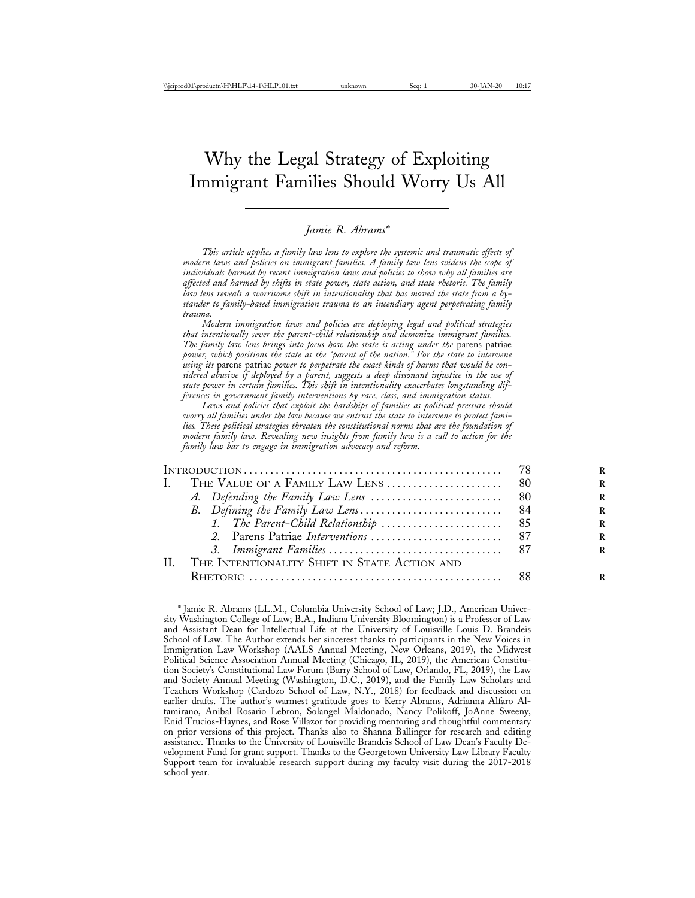# Why the Legal Strategy of Exploiting Immigrant Families Should Worry Us All

## *Jamie R. Abrams\**

*This article applies a family law lens to explore the systemic and traumatic effects of modern laws and policies on immigrant families. A family law lens widens the scope of individuals harmed by recent immigration laws and policies to show why all families are affected and harmed by shifts in state power, state action, and state rhetoric. The family law lens reveals a worrisome shift in intentionality that has moved the state from a bystander to family-based immigration trauma to an incendiary agent perpetrating family trauma.*

*Modern immigration laws and policies are deploying legal and political strategies that intentionally sever the parent-child relationship and demonize immigrant families. The family law lens brings into focus how the state is acting under the parens patriae power, which positions the state as the "parent of the nation." For the state to intervene using its* parens patriae *power to perpetrate the exact kinds of harms that would be considered abusive if deployed by a parent, suggests a deep dissonant injustice in the use of state power in certain families. This shift in intentionality exacerbates longstanding differences in government family interventions by race, class, and immigration status.*

*Laws and policies that exploit the hardships of families as political pressure should worry all families under the law because we entrust the state to intervene to protect families. These political strategies threaten the constitutional norms that are the foundation of modern family law. Revealing new insights from family law is a call to action for the family law bar to engage in immigration advocacy and reform.*

| H. | THE INTENTIONALITY SHIFT IN STATE ACTION AND |  |
|----|----------------------------------------------|--|
|    |                                              |  |
|    |                                              |  |

<sup>\*</sup> Jamie R. Abrams (LL.M., Columbia University School of Law; J.D., American University Washington College of Law; B.A., Indiana University Bloomington) is a Professor of Law and Assistant Dean for Intellectual Life at the University of Louisville Louis D. Brandeis School of Law. The Author extends her sincerest thanks to participants in the New Voices in Immigration Law Workshop (AALS Annual Meeting, New Orleans, 2019), the Midwest Political Science Association Annual Meeting (Chicago, IL, 2019), the American Constitution Society's Constitutional Law Forum (Barry School of Law, Orlando, FL, 2019), the Law and Society Annual Meeting (Washington, D.C., 2019), and the Family Law Scholars and Teachers Workshop (Cardozo School of Law, N.Y., 2018) for feedback and discussion on earlier drafts. The author's warmest gratitude goes to Kerry Abrams, Adrianna Alfaro Altamirano, Anibal Rosario Lebron, Solangel Maldonado, Nancy Polikoff, JoAnne Sweeny, Enid Trucios-Haynes, and Rose Villazor for providing mentoring and thoughtful commentary on prior versions of this project. Thanks also to Shanna Ballinger for research and editing assistance. Thanks to the University of Louisville Brandeis School of Law Dean's Faculty Development Fund for grant support. Thanks to the Georgetown University Law Library Faculty Support team for invaluable research support during my faculty visit during the 2017-2018 school year.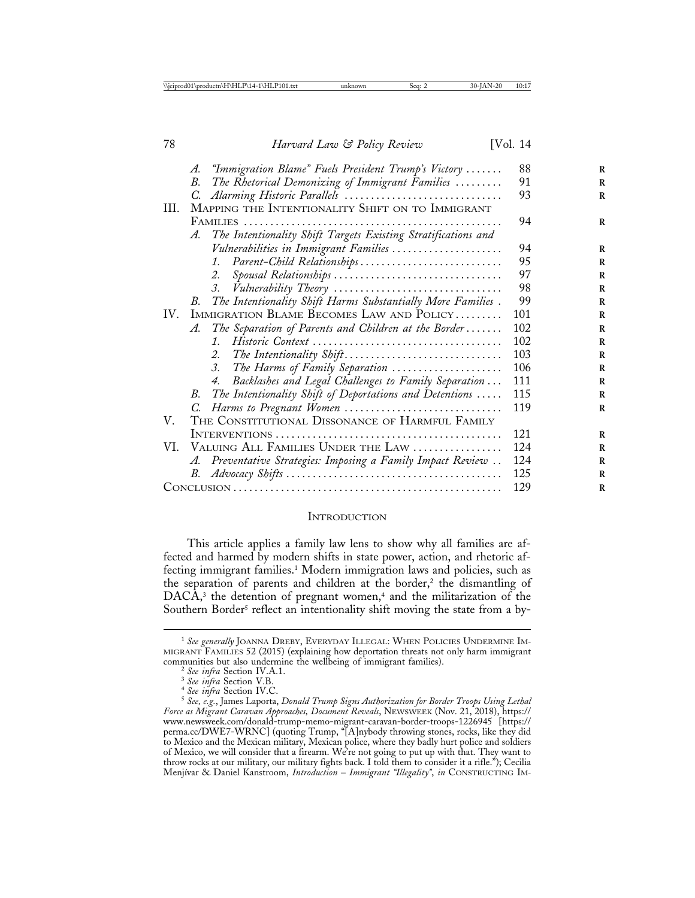|      | "Immigration Blame" Fuels President Trump's Victory<br>A.           | 88  |
|------|---------------------------------------------------------------------|-----|
|      | The Rhetorical Demonizing of Immigrant Families<br>В.               | 91  |
|      | C.                                                                  | 93  |
| III. | MAPPING THE INTENTIONALITY SHIFT ON TO IMMIGRANT                    |     |
|      |                                                                     | 94  |
|      | The Intentionality Shift Targets Existing Stratifications and<br>A. |     |
|      | Vulnerabilities in Immigrant Families                               | 94  |
|      | Parent-Child Relationships<br>$1_{\cdot}$                           | 95  |
|      | Spousal Relationships<br>2.                                         | 97  |
|      | Vulnerability Theory<br>3.                                          | 98  |
|      | The Intentionality Shift Harms Substantially More Families.<br>В.   | 99  |
| IV.  | IMMIGRATION BLAME BECOMES LAW AND POLICY                            | 101 |
|      | The Separation of Parents and Children at the Border<br>A.          | 102 |
|      | $\mathcal{I}$ .                                                     | 102 |
|      | The Intentionality Shift<br>2.                                      | 103 |
|      | The Harms of Family Separation<br>3.                                | 106 |
|      | Backlashes and Legal Challenges to Family Separation<br>4.          | 111 |
|      | The Intentionality Shift of Deportations and Detentions<br>В.       | 115 |
|      | C. Harms to Pregnant Women                                          | 119 |
| V.   | THE CONSTITUTIONAL DISSONANCE OF HARMFUL FAMILY                     |     |
|      |                                                                     | 121 |
|      | VI. VALUING ALL FAMILIES UNDER THE LAW                              | 124 |
|      | A. Preventative Strategies: Imposing a Family Impact Review         | 124 |
|      |                                                                     | 125 |
|      |                                                                     | 129 |
|      |                                                                     |     |

#### **INTRODUCTION**

This article applies a family law lens to show why all families are affected and harmed by modern shifts in state power, action, and rhetoric affecting immigrant families.1 Modern immigration laws and policies, such as the separation of parents and children at the border,<sup>2</sup> the dismantling of  $DACA<sup>3</sup>$ , the detention of pregnant women,<sup>4</sup> and the militarization of the Southern Border<sup>5</sup> reflect an intentionality shift moving the state from a by-

<sup>1</sup> *See generally* JOANNA DREBY, EVERYDAY ILLEGAL: WHEN POLICIES UNDERMINE IM-MIGRANT FAMILIES 52 (2015) (explaining how deportation threats not only harm immigrant communities but also undermine the wellbeing of immigrant families).<br>
<sup>2</sup> See infra Section IV.A.1.<br>
<sup>3</sup> See infra Section V.B.<br>
<sup>4</sup> See infra Section IV.C.<br>
<sup>5</sup> See, e.g., James Laporta, *Donald Trump Signs Authorization* 

*Force as Migrant Caravan Approaches, Document Reveals*, NEWSWEEK (Nov. 21, 2018), https:// www.newsweek.com/donald-trump-memo-migrant-caravan-border-troops-1226945 [https:// perma.cc/DWE7-WRNC] (quoting Trump, "[A]nybody throwing stones, rocks, like they did to Mexico and the Mexican military, Mexican police, where they badly hurt police and soldiers of Mexico, we will consider that a firearm. We're not going to put up with that. They want to throw rocks at our military, our military fights back. I told them to consider it a rifle."); Cecilia Menj´ıvar & Daniel Kanstroom, *Introduction* – *Immigrant "Illegality"*, *in* CONSTRUCTING IM-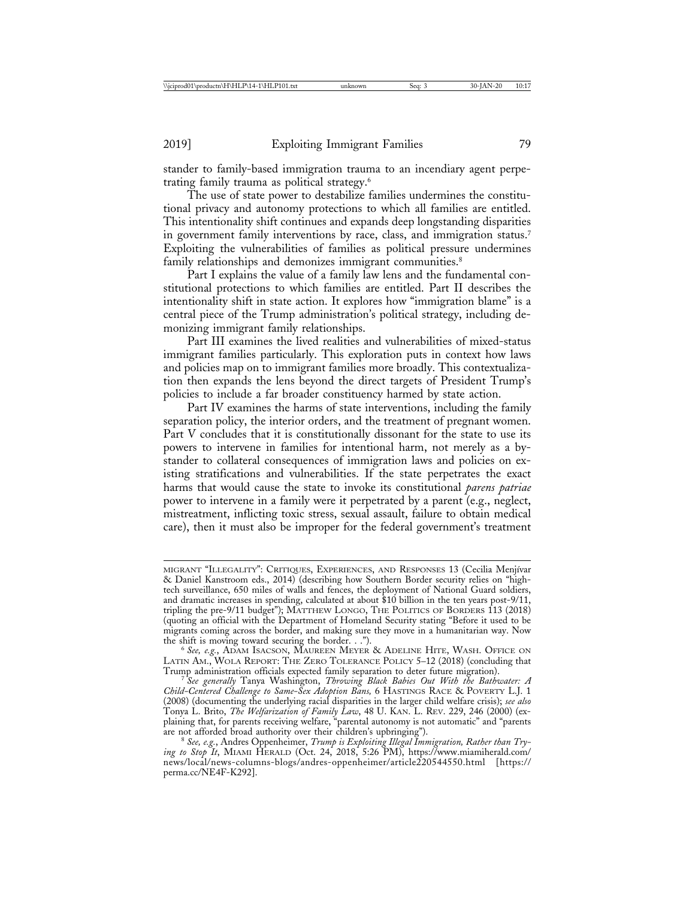stander to family-based immigration trauma to an incendiary agent perpetrating family trauma as political strategy.6

The use of state power to destabilize families undermines the constitutional privacy and autonomy protections to which all families are entitled. This intentionality shift continues and expands deep longstanding disparities in government family interventions by race, class, and immigration status.7 Exploiting the vulnerabilities of families as political pressure undermines family relationships and demonizes immigrant communities.<sup>8</sup>

Part I explains the value of a family law lens and the fundamental constitutional protections to which families are entitled. Part II describes the intentionality shift in state action. It explores how "immigration blame" is a central piece of the Trump administration's political strategy, including demonizing immigrant family relationships.

Part III examines the lived realities and vulnerabilities of mixed-status immigrant families particularly. This exploration puts in context how laws and policies map on to immigrant families more broadly. This contextualization then expands the lens beyond the direct targets of President Trump's policies to include a far broader constituency harmed by state action.

Part IV examines the harms of state interventions, including the family separation policy, the interior orders, and the treatment of pregnant women. Part V concludes that it is constitutionally dissonant for the state to use its powers to intervene in families for intentional harm, not merely as a bystander to collateral consequences of immigration laws and policies on existing stratifications and vulnerabilities. If the state perpetrates the exact harms that would cause the state to invoke its constitutional *parens patriae* power to intervene in a family were it perpetrated by a parent (e.g., neglect, mistreatment, inflicting toxic stress, sexual assault, failure to obtain medical care), then it must also be improper for the federal government's treatment

MIGRANT "ILLEGALITY": CRITIQUES, EXPERIENCES, AND RESPONSES 13 (Cecilia Menjívar & Daniel Kanstroom eds., 2014) (describing how Southern Border security relies on "hightech surveillance, 650 miles of walls and fences, the deployment of National Guard soldiers, and dramatic increases in spending, calculated at about \$10 billion in the ten years post-9/11, tripling the pre-9/11 budget"); MATTHEW LONGO, THE POLITICS OF BORDERS 113 (2018) (quoting an official with the Department of Homeland Security stating "Before it used to be migrants coming across the border, and making sure they move in a humanitarian way. Now the shift is moving toward securing the border. . .").

<sup>&</sup>lt;sup>6</sup> See, e.g., ADAM ISACSON, MAUREEN MEYER & ADELINE HITE, WASH. OFFICE ON LATIN AM., WOLA REPORT: THE ZERO TOLERANCE POLICY 5-12 (2018) (concluding that Trump administration officials expected family separation to deter future migration).

<sup>&</sup>lt;sup>7</sup> See generally Tanya Washington, *Throwing Black Babies Out With the Bathwater: A Child-Centered Challenge to Same-Sex Adoption Bans,* 6 HASTINGS RACE & POVERTY L.J. 1 (2008) (documenting the underlying racial disparities in the larger child welfare crisis); *see also* Tonya L. Brito, *The Welfarization of Family Law*, 48 U. KAN. L. REV. 229, 246 (2000) (explaining that, for parents receiving welfare, "parental autonomy is not automatic" and "parents are not afforded broad authority over their children's upbringing").

are not afforded broad authority over their children's upbringing"). <sup>8</sup> *See, e.g.*, Andres Oppenheimer, *Trump is Exploiting Illegal Immigration, Rather than Trying to Stop It*, MIAMI HERALD (Oct. 24, 2018, 5:26 PM), https://www.miamiherald.com/ news/local/news-columns-blogs/andres-oppenheimer/article220544550.html [https:// perma.cc/NE4F-K292].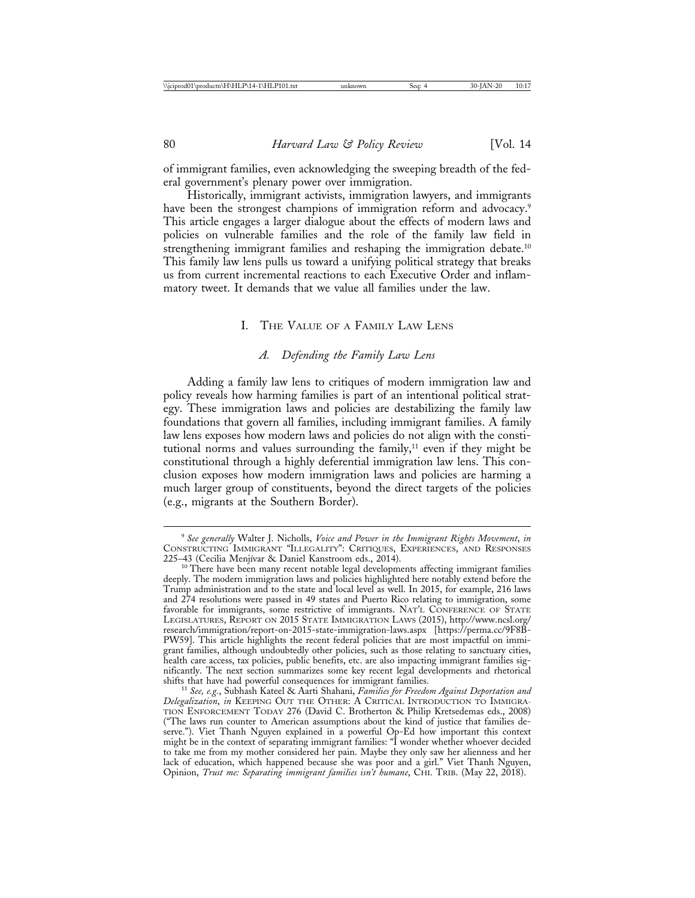of immigrant families, even acknowledging the sweeping breadth of the federal government's plenary power over immigration.

Historically, immigrant activists, immigration lawyers, and immigrants have been the strongest champions of immigration reform and advocacy.<sup>9</sup> This article engages a larger dialogue about the effects of modern laws and policies on vulnerable families and the role of the family law field in strengthening immigrant families and reshaping the immigration debate.10 This family law lens pulls us toward a unifying political strategy that breaks us from current incremental reactions to each Executive Order and inflammatory tweet. It demands that we value all families under the law.

#### I. THE VALUE OF A FAMILY LAW LENS

## *A. Defending the Family Law Lens*

Adding a family law lens to critiques of modern immigration law and policy reveals how harming families is part of an intentional political strategy. These immigration laws and policies are destabilizing the family law foundations that govern all families, including immigrant families. A family law lens exposes how modern laws and policies do not align with the constitutional norms and values surrounding the family, $11$  even if they might be constitutional through a highly deferential immigration law lens. This conclusion exposes how modern immigration laws and policies are harming a much larger group of constituents, beyond the direct targets of the policies (e.g., migrants at the Southern Border).

<sup>9</sup> *See generally* Walter J. Nicholls, *Voice and Power in the Immigrant Rights Movement*, *in* CONSTRUCTING IMMIGRANT "ILLEGALITY": CRITIQUES, EXPERIENCES, AND RESPONSES

<sup>&</sup>lt;sup>10</sup> There have been many recent notable legal developments affecting immigrant families deeply. The modern immigration laws and policies highlighted here notably extend before the Trump administration and to the state and local level as well. In 2015, for example, 216 laws and 274 resolutions were passed in 49 states and Puerto Rico relating to immigration, some favorable for immigrants, some restrictive of immigrants. NAT'L CONFERENCE OF STATE LEGISLATURES, REPORT ON 2015 STATE IMMIGRATION LAWS (2015), http://www.ncsl.org/ research/immigration/report-on-2015-state-immigration-laws.aspx [https://perma.cc/9F8B-PW59]. This article highlights the recent federal policies that are most impactful on immigrant families, although undoubtedly other policies, such as those relating to sanctuary cities, health care access, tax policies, public benefits, etc. are also impacting immigrant families significantly. The next section summarizes some key recent legal developments and rhetorical

<sup>&</sup>lt;sup>11</sup> See, e.g., Subhash Kateel & Aarti Shahani, Families for Freedom Against Deportation and *Delegalization*, *in* KEEPING OUT THE OTHER: A CRITICAL INTRODUCTION TO IMMIGRA-TION ENFORCEMENT TODAY 276 (David C. Brotherton & Philip Kretsedemas eds., 2008) ("The laws run counter to American assumptions about the kind of justice that families deserve."). Viet Thanh Nguyen explained in a powerful Op-Ed how important this context might be in the context of separating immigrant families: "I wonder whether whoever decided to take me from my mother considered her pain. Maybe they only saw her alienness and her lack of education, which happened because she was poor and a girl." Viet Thanh Nguyen, Opinion, *Trust me: Separating immigrant families isn't humane*, CHI. TRIB. (May 22, 2018).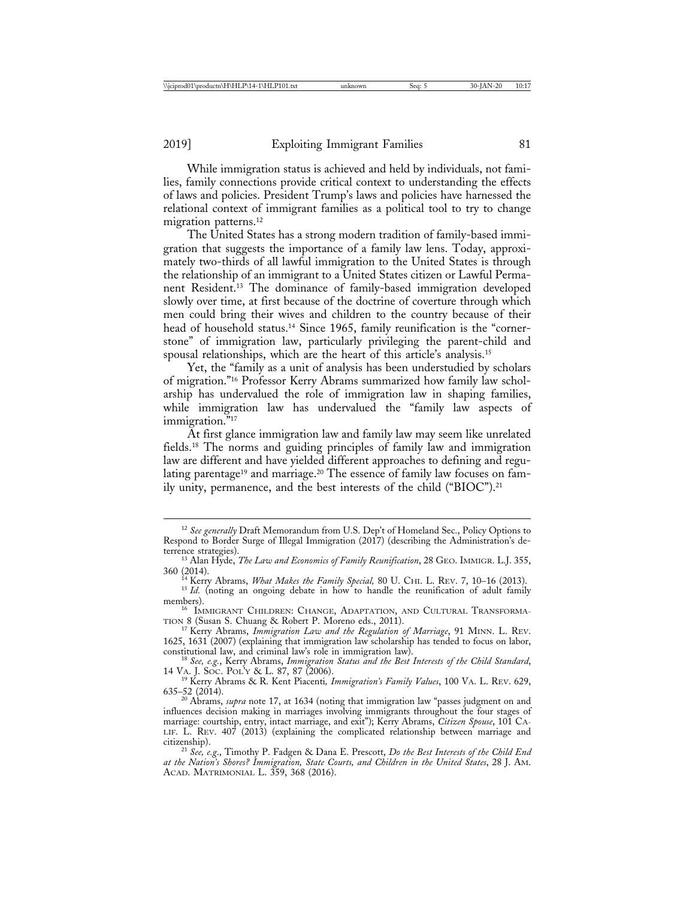While immigration status is achieved and held by individuals, not families, family connections provide critical context to understanding the effects of laws and policies. President Trump's laws and policies have harnessed the relational context of immigrant families as a political tool to try to change migration patterns.<sup>12</sup>

The United States has a strong modern tradition of family-based immigration that suggests the importance of a family law lens. Today, approximately two-thirds of all lawful immigration to the United States is through the relationship of an immigrant to a United States citizen or Lawful Permanent Resident.13 The dominance of family-based immigration developed slowly over time, at first because of the doctrine of coverture through which men could bring their wives and children to the country because of their head of household status.<sup>14</sup> Since 1965, family reunification is the "cornerstone" of immigration law, particularly privileging the parent-child and spousal relationships, which are the heart of this article's analysis.15

Yet, the "family as a unit of analysis has been understudied by scholars of migration."16 Professor Kerry Abrams summarized how family law scholarship has undervalued the role of immigration law in shaping families, while immigration law has undervalued the "family law aspects of immigration."<sup>17</sup>

At first glance immigration law and family law may seem like unrelated fields.18 The norms and guiding principles of family law and immigration law are different and have yielded different approaches to defining and regulating parentage<sup>19</sup> and marriage.<sup>20</sup> The essence of family law focuses on family unity, permanence, and the best interests of the child ("BIOC").21

<sup>12</sup> *See generally* Draft Memorandum from U.S. Dep't of Homeland Sec., Policy Options to Respond to Border Surge of Illegal Immigration (2017) (describing the Administration's deterrence strategies). <sup>13</sup> Alan Hyde, *The Law and Economics of Family Reunification*, 28 GEO. IMMIGR. L.J. 355,

<sup>360 (2014).</sup> <sup>14</sup> Kerry Abrams, *What Makes the Family Special,* 80 U. CHI. L. REV. 7, 10–16 (2013). <sup>15</sup> *Id.* (noting an ongoing debate in how to handle the reunification of adult family

members).<br><sup>16</sup> IMMIGRANT CHILDREN: CHANGE, ADAPTATION, AND CULTURAL TRANSFORMA-

TION 8 (Susan S. Chuang & Robert P. Moreno eds., 2011).

<sup>17</sup> Kerry Abrams, *Immigration Law and the Regulation of Marriage*, 91 MINN. L. REV. 1625, 1631 (2007) (explaining that immigration law scholarship has tended to focus on labor,

constitutional law, and criminal law's role in immigration law).<br><sup>18</sup> *See, e.g.*, Kerry Abrams, *Immigration Status and the Best Interests of the Child Standard*,<br>14 VA. J. Soc. Pol.'y & L. 87, 87 (2006).

<sup>&</sup>lt;sup>19</sup> Kerry Abrams & R. Kent Piacenti, Immigration's Family Values, 100 VA. L. REV. 629, 635–52 (2014).

<sup>&</sup>lt;sup>20</sup> Abrams, *supra* note 17, at 1634 (noting that immigration law "passes judgment on and influences decision making in marriages involving immigrants throughout the four stages of marriage: courtship, entry, intact marriage, and exit"); Kerry Abrams, *Citizen Spouse*, 101 CA-LIF. L. REV. 407 (2013) (explaining the complicated relationship between marriage and citizenship).

<sup>&</sup>lt;sup>21</sup> See, e.g., Timothy P. Fadgen & Dana E. Prescott, *Do the Best Interests of the Child End at the Nation's Shores? Immigration, State Courts, and Children in the United States*, 28 J. AM. ACAD. MATRIMONIAL L. 359, 368 (2016).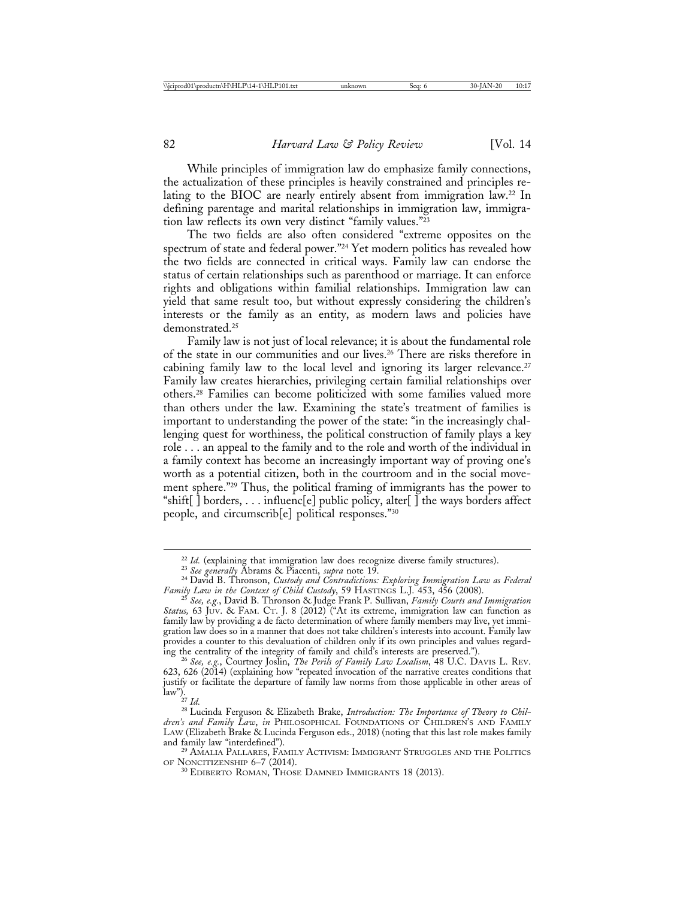While principles of immigration law do emphasize family connections, the actualization of these principles is heavily constrained and principles relating to the BIOC are nearly entirely absent from immigration law.22 In defining parentage and marital relationships in immigration law, immigration law reflects its own very distinct "family values."23

The two fields are also often considered "extreme opposites on the spectrum of state and federal power."24 Yet modern politics has revealed how the two fields are connected in critical ways. Family law can endorse the status of certain relationships such as parenthood or marriage. It can enforce rights and obligations within familial relationships. Immigration law can yield that same result too, but without expressly considering the children's interests or the family as an entity, as modern laws and policies have demonstrated.<sup>25</sup>

Family law is not just of local relevance; it is about the fundamental role of the state in our communities and our lives.26 There are risks therefore in cabining family law to the local level and ignoring its larger relevance.<sup>27</sup> Family law creates hierarchies, privileging certain familial relationships over others.28 Families can become politicized with some families valued more than others under the law. Examining the state's treatment of families is important to understanding the power of the state: "in the increasingly challenging quest for worthiness, the political construction of family plays a key role . . . an appeal to the family and to the role and worth of the individual in a family context has become an increasingly important way of proving one's worth as a potential citizen, both in the courtroom and in the social movement sphere."29 Thus, the political framing of immigrants has the power to "shift[ $\overline{\phantom{a}}$ ] borders, ... influenc[e] public policy, alter[ $\overline{\phantom{a}}$ ] the ways borders affect people, and circumscrib[e] political responses."30

 $^{29}$  AMALIA PALLARES, FAMILY ACTIVISM: IMMIGRANT STRUGGLES AND THE POLITICS OF NONCITIZENSHIP 6–7 (2014).

<sup>&</sup>lt;sup>22</sup> Id. (explaining that immigration law does recognize diverse family structures).<br><sup>23</sup> See generally Abrams & Piacenti, *supra* note 19.<br><sup>24</sup> David B. Thronson, *Custody and Contradictions: Exploring Immigration Law as* 

*Family Law in the Context of Child Custody*, 59 HASTINGS L.J. 453, 456 (2008). <sup>25</sup> *See, e.g.*, David B. Thronson & Judge Frank P. Sullivan, *Family Courts and Immigration Status,* 63 JUV. & FAM. CT. J. 8 (2012) ("At its extreme, immigration law can function as family law by providing a de facto determination of where family members may live, yet immigration law does so in a manner that does not take children's interests into account. Family law provides a counter to this devaluation of children only if its own principles and values regard-<br>ing the centrality of the integrity of family and child's interests are preserved.").

<sup>&</sup>lt;sup>26</sup> See, e.g., Courtney Joslin, *The Perils of Family Law Localism*, 48 U.C. DAVIS L. REV. 623, 626 (2014) (explaining how "repeated invocation of the narrative creates conditions that justify or facilitate the departure of family law norms from those applicable in other areas of law").

<sup>&</sup>lt;sup>28</sup> Lucinda Ferguson & Elizabeth Brake, *Introduction: The Importance of Theory to Children's and Family Law*, *in* PHILOSOPHICAL FOUNDATIONS OF CHILDREN'S AND FAMILY LAW (Elizabeth Brake & Lucinda Ferguson eds., 2018) (noting that this last role makes family

 $^{30}$  EDIBERTO ROMAN, THOSE DAMNED IMMIGRANTS 18 (2013).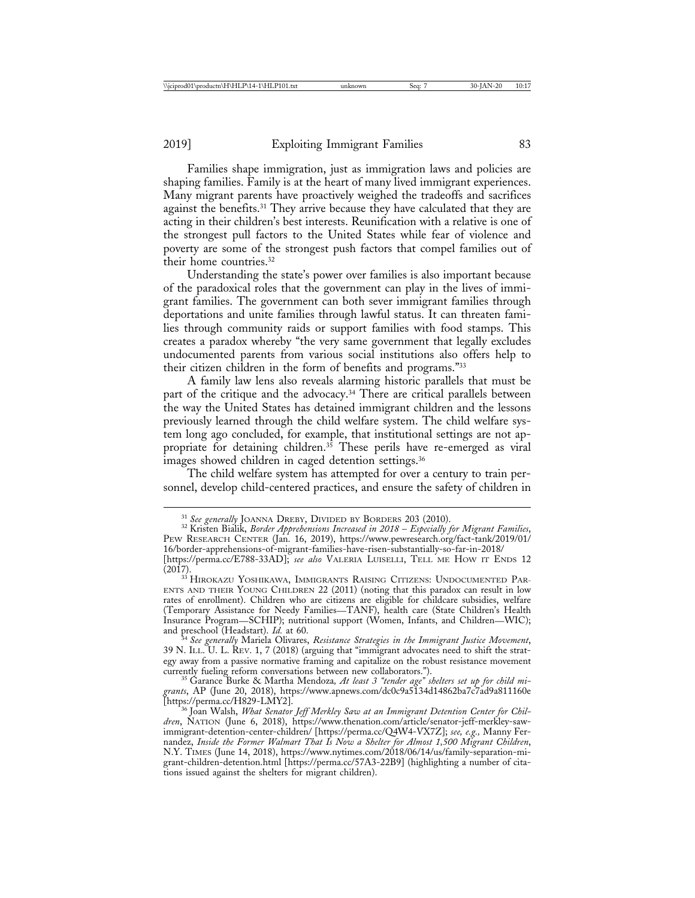Families shape immigration, just as immigration laws and policies are shaping families. Family is at the heart of many lived immigrant experiences. Many migrant parents have proactively weighed the tradeoffs and sacrifices against the benefits.31 They arrive because they have calculated that they are acting in their children's best interests. Reunification with a relative is one of the strongest pull factors to the United States while fear of violence and poverty are some of the strongest push factors that compel families out of their home countries.32

Understanding the state's power over families is also important because of the paradoxical roles that the government can play in the lives of immigrant families. The government can both sever immigrant families through deportations and unite families through lawful status. It can threaten families through community raids or support families with food stamps. This creates a paradox whereby "the very same government that legally excludes undocumented parents from various social institutions also offers help to their citizen children in the form of benefits and programs."33

A family law lens also reveals alarming historic parallels that must be part of the critique and the advocacy.<sup>34</sup> There are critical parallels between the way the United States has detained immigrant children and the lessons previously learned through the child welfare system. The child welfare system long ago concluded, for example, that institutional settings are not appropriate for detaining children.<sup>35</sup> These perils have re-emerged as viral images showed children in caged detention settings.<sup>36</sup>

The child welfare system has attempted for over a century to train personnel, develop child-centered practices, and ensure the safety of children in

<sup>31</sup> *See generally* JOANNA DREBY, DIVIDED BY BORDERS 203 (2010). <sup>32</sup> Kristen Bialik, *Border Apprehensions Increased in 2018* – *Especially for Migrant Families*, PEW RESEARCH CENTER (Jan. 16, 2019), https://www.pewresearch.org/fact-tank/2019/01/ 16/border-apprehensions-of-migrant-families-have-risen-substantially-so-far-in-2018/

<sup>[</sup>https://perma.cc/E788-33AD]; *see also* VALERIA LUISELLI, TELL ME HOW IT ENDS 12 (2017).<br><sup>33</sup> Hirokazu Yoshikawa, Immigrants Raising Citizens: Undocumented Par-

ENTS AND THEIR YOUNG CHILDREN 22 (2011) (noting that this paradox can result in low rates of enrollment). Children who are citizens are eligible for childcare subsidies, welfare (Temporary Assistance for Needy Families—TANF), health care (State Children's Health Insurance Program—SCHIP); nutritional support (Women, Infants, and Children—WIC); and preschool (Headstart). *Id.* at 60.

<sup>&</sup>lt;sup>34</sup> See generally Mariela Olivares, *Resistance Strategies in the Immigrant Justice Movement*, 39 N. ILL. U. L. REV. 1, 7 (2018) (arguing that "immigrant advocates need to shift the strategy away from a passive normative framing and capitalize on the robust resistance movement currently fueling reform conversations between new collaborators.").

<sup>&</sup>lt;sup>35</sup> Garance Burke & Martha Mendoza, At least 3 "tender age" shelters set up for child mi*grants*, AP (June 20, 2018), https://www.apnews.com/dc0c9a5134d14862ba7c7ad9a811160e<br>[https://perma.cc/H829-LMY2].

<sup>&</sup>lt;sup>36</sup> Joan Walsh, *What Senator Jeff Merkley Saw at an Immigrant Detention Center for Children*, NATION (June 6, 2018), https://www.thenation.com/article/senator-jeff-merkley-sawimmigrant-detention-center-children/ [https://perma.cc/Q4W4-VX7Z]; *see, e.g.,* Manny Fernandez, *Inside the Former Walmart That Is Now a Shelter for Almost 1,500 Migrant Children*, N.Y. TIMES (June 14, 2018), https://www.nytimes.com/2018/06/14/us/family-separation-migrant-children-detention.html [https://perma.cc/57A3-22B9] (highlighting a number of citations issued against the shelters for migrant children).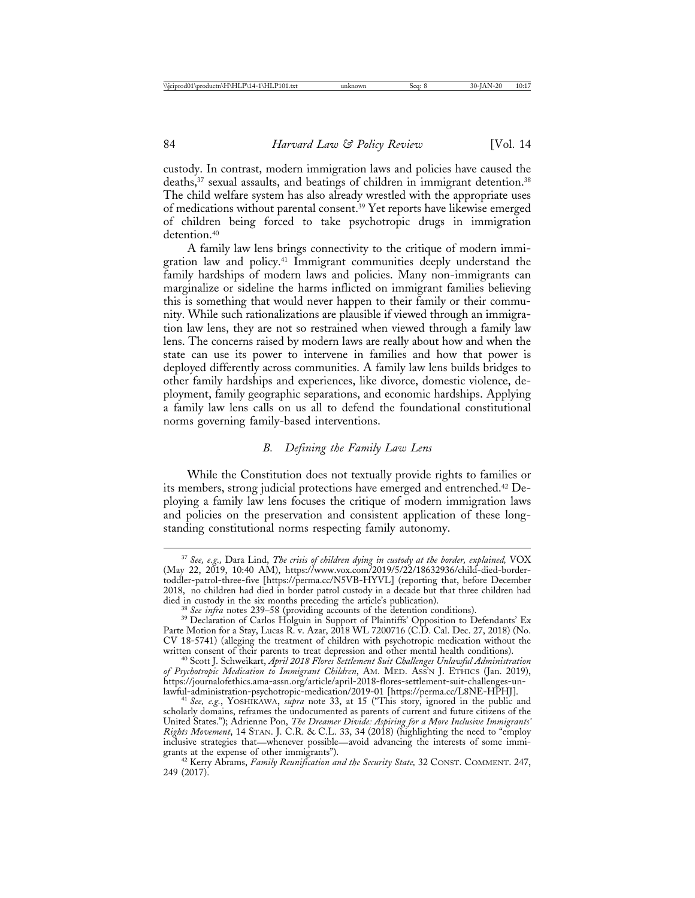custody. In contrast, modern immigration laws and policies have caused the deaths,<sup>37</sup> sexual assaults, and beatings of children in immigrant detention.<sup>38</sup> The child welfare system has also already wrestled with the appropriate uses of medications without parental consent.39 Yet reports have likewise emerged of children being forced to take psychotropic drugs in immigration detention.<sup>40</sup>

A family law lens brings connectivity to the critique of modern immigration law and policy.41 Immigrant communities deeply understand the family hardships of modern laws and policies. Many non-immigrants can marginalize or sideline the harms inflicted on immigrant families believing this is something that would never happen to their family or their community. While such rationalizations are plausible if viewed through an immigration law lens, they are not so restrained when viewed through a family law lens. The concerns raised by modern laws are really about how and when the state can use its power to intervene in families and how that power is deployed differently across communities. A family law lens builds bridges to other family hardships and experiences, like divorce, domestic violence, deployment, family geographic separations, and economic hardships. Applying a family law lens calls on us all to defend the foundational constitutional norms governing family-based interventions.

## *B. Defining the Family Law Lens*

While the Constitution does not textually provide rights to families or its members, strong judicial protections have emerged and entrenched.42 Deploying a family law lens focuses the critique of modern immigration laws and policies on the preservation and consistent application of these longstanding constitutional norms respecting family autonomy.

<sup>37</sup> *See, e.g.,* Dara Lind, *The crisis of children dying in custody at the border, explained,* VOX (May 22, 2019, 10:40 AM), https://www.vox.com/2019/5/22/18632936/child-died-bordertoddler-patrol-three-five [https://perma.cc/N5VB-HYVL] (reporting that, before December 2018, no children had died in border patrol custody in a decade but that three children had

<sup>&</sup>lt;sup>38</sup> See infra notes 239–58 (providing accounts of the detention conditions).<br><sup>39</sup> Declaration of Carlos Holguin in Support of Plaintiffs' Opposition to Defendants' Ex Parte Motion for a Stay, Lucas R. v. Azar, 2018 WL 7200716 (C.D. Cal. Dec. 27, 2018) (No. CV 18-5741) (alleging the treatment of children with psychotropic medication without the

<sup>&</sup>lt;sup>40</sup> Scott J. Schweikart, April 2018 Flores Settlement Suit Challenges Unlawful Administration *of Psychotropic Medication to Immigrant Children*, AM. MED. ASS'N J. ETHICS (Jan. 2019), https://journalofethics.ama-assn.org/article/april-2018-flores-settlement-suit-challenges-un-

<sup>&</sup>lt;sup>41</sup> See, e.g., YOSHIKAWA, *supra* note 33, at 15 ("This story, ignored in the public and scholarly domains, reframes the undocumented as parents of current and future citizens of the United States."); Adrienne Pon, *The Dreamer Divide: Aspiring for a More Inclusive Immigrants' Rights Movement*, 14 STAN. J. C.R. & C.L. 33, 34 (2018) (highlighting the need to "employ inclusive strategies that—whenever possible—avoid advancing the interests of some immi-

<sup>&</sup>lt;sup>42</sup> Kerry Abrams, Family Reunification and the Security State, 32 CONST. COMMENT. 247, 249 (2017).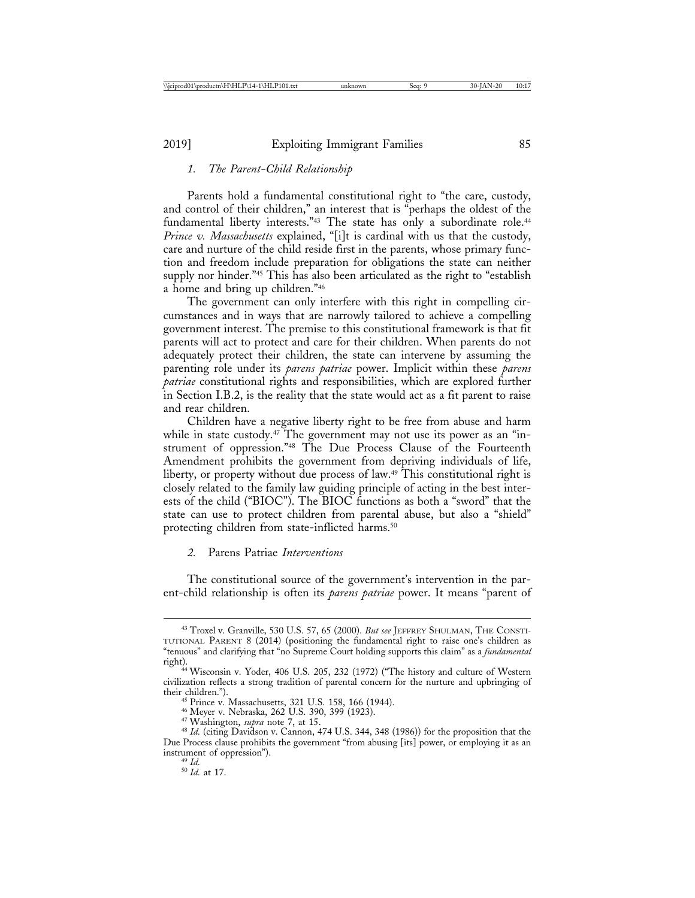## *1. The Parent-Child Relationship*

Parents hold a fundamental constitutional right to "the care, custody, and control of their children," an interest that is "perhaps the oldest of the fundamental liberty interests."<sup>43</sup> The state has only a subordinate role.<sup>44</sup> *Prince v. Massachusetts* explained, "[i]t is cardinal with us that the custody, care and nurture of the child reside first in the parents, whose primary function and freedom include preparation for obligations the state can neither supply nor hinder."<sup>45</sup> This has also been articulated as the right to "establish" a home and bring up children."46

The government can only interfere with this right in compelling circumstances and in ways that are narrowly tailored to achieve a compelling government interest. The premise to this constitutional framework is that fit parents will act to protect and care for their children. When parents do not adequately protect their children, the state can intervene by assuming the parenting role under its *parens patriae* power. Implicit within these *parens patriae* constitutional rights and responsibilities, which are explored further in Section I.B.2, is the reality that the state would act as a fit parent to raise and rear children.

Children have a negative liberty right to be free from abuse and harm while in state custody.<sup>47</sup> The government may not use its power as an "instrument of oppression."48 The Due Process Clause of the Fourteenth Amendment prohibits the government from depriving individuals of life, liberty, or property without due process of law.<sup>49</sup> This constitutional right is closely related to the family law guiding principle of acting in the best interests of the child ("BIOC"). The BIOC functions as both a "sword" that the state can use to protect children from parental abuse, but also a "shield" protecting children from state-inflicted harms.<sup>50</sup>

## *2.* Parens Patriae *Interventions*

The constitutional source of the government's intervention in the parent-child relationship is often its *parens patriae* power. It means "parent of

<sup>43</sup> Troxel v. Granville, 530 U.S. 57, 65 (2000). *But see* JEFFREY SHULMAN, THE CONSTI-TUTIONAL PARENT 8 (2014) (positioning the fundamental right to raise one's children as "tenuous" and clarifying that "no Supreme Court holding supports this claim" as a *fundamental*

right). <sup>44</sup> Wisconsin v. Yoder, 406 U.S. 205, 232 (1972) ("The history and culture of Western civilization reflects a strong tradition of parental concern for the nurture and upbringing of their children.").<br>
<sup>45</sup> Prince v. Massachusetts, 321 U.S. 158, 166 (1944).<br>
<sup>46</sup> Meyer v. Nebraska, 262 U.S. 390, 399 (1923).<br>
<sup>47</sup> Washington, *supra* note 7, at 15.<br>
<sup>48</sup> *Id.* (citing Davidson v. Cannon, 474 U.S. 344,

Due Process clause prohibits the government "from abusing [its] power, or employing it as an instrument of oppression"). <sup>49</sup> *Id.* <sup>50</sup> *Id.* at 17.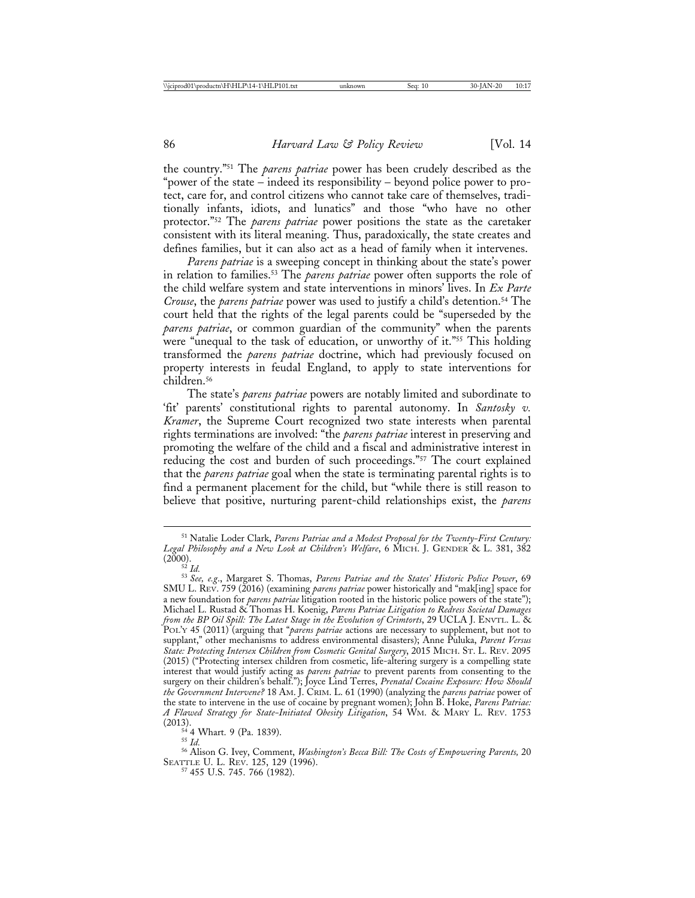the country."51 The *parens patriae* power has been crudely described as the "power of the state – indeed its responsibility – beyond police power to protect, care for, and control citizens who cannot take care of themselves, traditionally infants, idiots, and lunatics" and those "who have no other protector."52 The *parens patriae* power positions the state as the caretaker consistent with its literal meaning. Thus, paradoxically, the state creates and defines families, but it can also act as a head of family when it intervenes.

*Parens patriae* is a sweeping concept in thinking about the state's power in relation to families.53 The *parens patriae* power often supports the role of the child welfare system and state interventions in minors' lives. In *Ex Parte Crouse*, the *parens patriae* power was used to justify a child's detention.<sup>54</sup> The court held that the rights of the legal parents could be "superseded by the *parens patriae*, or common guardian of the community" when the parents were "unequal to the task of education, or unworthy of it."<sup>55</sup> This holding transformed the *parens patriae* doctrine, which had previously focused on property interests in feudal England, to apply to state interventions for children.56

The state's *parens patriae* powers are notably limited and subordinate to 'fit' parents' constitutional rights to parental autonomy. In *Santosky v. Kramer*, the Supreme Court recognized two state interests when parental rights terminations are involved: "the *parens patriae* interest in preserving and promoting the welfare of the child and a fiscal and administrative interest in reducing the cost and burden of such proceedings."57 The court explained that the *parens patriae* goal when the state is terminating parental rights is to find a permanent placement for the child, but "while there is still reason to believe that positive, nurturing parent-child relationships exist, the *parens*

<sup>55</sup> Id.<br><sup>56</sup> Alison G. Ivey, Comment, *Washington's Becca Bill: The Costs of Empowering Parents*, 20 SEATTLE U. L. REV. 125, 129 (1996).<br><sup>57</sup> 455 U.S. 745. 766 (1982).

<sup>51</sup> Natalie Loder Clark, *Parens Patriae and a Modest Proposal for the Twenty-First Century: Legal Philosophy and a New Look at Children's Welfare*, 6 MICH. J. GENDER & L. 381, 382 (2000).<br>(2000).

<sup>(2000).</sup> <sup>52</sup> *Id.* <sup>53</sup> *See, e.g*., Margaret S. Thomas, *Parens Patriae and the States' Historic Police Power*, 69 SMU L. REV. 759 (2016) (examining *parens patriae* power historically and "mak[ing] space for a new foundation for *parens patriae* litigation rooted in the historic police powers of the state"); Michael L. Rustad & Thomas H. Koenig, *Parens Patriae Litigation to Redress Societal Damages from the BP Oil Spill: The Latest Stage in the Evolution of Crimtorts*, 29 UCLA J. ENVTL. L. & POL'Y 45 (2011) (arguing that "*parens patriae* actions are necessary to supplement, but not to supplant," other mechanisms to address environmental disasters); Anne Puluka, *Parent Versus State: Protecting Intersex Children from Cosmetic Genital Surgery*, 2015 MICH. ST. L. REV. 2095 (2015) ("Protecting intersex children from cosmetic, life-altering surgery is a compelling state interest that would justify acting as *parens patriae* to prevent parents from consenting to the surgery on their children's behalf."); Joyce Lind Terres, *Prenatal Cocaine Exposure: How Should the Government Intervene?* 18 AM. J. CRIM. L. 61 (1990) (analyzing the *parens patriae* power of the state to intervene in the use of cocaine by pregnant women); John B. Hoke, *Parens Patriae: A Flawed Strategy for State-Initiated Obesity Litigation*, 54 WM. & MARY L. REV. 1753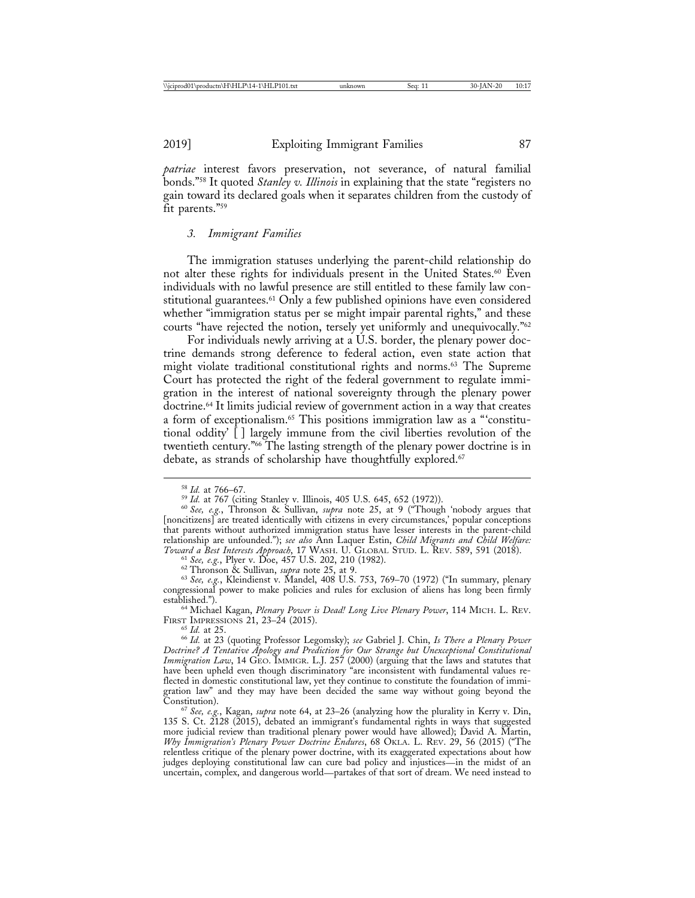*patriae* interest favors preservation, not severance, of natural familial bonds."58 It quoted *Stanley v. Illinois* in explaining that the state "registers no gain toward its declared goals when it separates children from the custody of fit parents."59

### *3. Immigrant Families*

The immigration statuses underlying the parent-child relationship do not alter these rights for individuals present in the United States.<sup>60</sup> Even individuals with no lawful presence are still entitled to these family law constitutional guarantees.<sup>61</sup> Only a few published opinions have even considered whether "immigration status per se might impair parental rights," and these courts "have rejected the notion, tersely yet uniformly and unequivocally."<sup>62</sup>

For individuals newly arriving at a U.S. border, the plenary power doctrine demands strong deference to federal action, even state action that might violate traditional constitutional rights and norms.63 The Supreme Court has protected the right of the federal government to regulate immigration in the interest of national sovereignty through the plenary power doctrine.64 It limits judicial review of government action in a way that creates a form of exceptionalism.65 This positions immigration law as a "'constitutional oddity' [ ] largely immune from the civil liberties revolution of the twentieth century."66 The lasting strength of the plenary power doctrine is in debate, as strands of scholarship have thoughtfully explored.<sup>67</sup>

<sup>64</sup> Michael Kagan, *Plenary Power is Dead! Long Live Plenary Power*, 114 MICH. L. REV.<br>FIRST IMPRESSIONS 21, 23-24 (2015).

<sup>58</sup> *Id.* at 766–67. <sup>59</sup> *Id.* at 767 (citing Stanley v. Illinois, 405 U.S. 645, 652 (1972)). <sup>60</sup> *See, e.g.*, Thronson & Sullivan, *supra* note 25, at 9 ("Though 'nobody argues that [noncitizens] are treated identically with citizens in every circumstances,' popular conceptions that parents without authorized immigration status have lesser interests in the parent-child relationship are unfounded."); *see also* Ann Laquer Estin, *Child Migrants and Child Welfare:* Toward a Best Interests Approach, 17 WASH. U. GLOBAL STUD. L. REV. 589, 591 (2018).<br>
<sup>61</sup> See, e.g., Plyer v. Doe, 457 U.S. 202, 210 (1982).<br>
<sup>62</sup> Thronson & Sullivan, *supra* note 25, at 9.<br>
<sup>63</sup> See, e.g., Kleindienst v.

congressional power to make policies and rules for exclusion of aliens has long been firmly

FIRST IMPRESSIONS 21, 23–24 (2015). <sup>65</sup> *Id.* at 25. <sup>66</sup> *Id.* at 23 (quoting Professor Legomsky); *see* Gabriel J. Chin, *Is There a Plenary Power Doctrine? A Tentative Apology and Prediction for Our Strange but Unexceptional Constitutional Immigration Law*, 14 GEO. IMMIGR. L.J. 257 (2000) (arguing that the laws and statutes that have been upheld even though discriminatory "are inconsistent with fundamental values reflected in domestic constitutional law, yet they continue to constitute the foundation of immigration law" and they may have been decided the same way without going beyond the

<sup>&</sup>lt;sup>67</sup> See, e.g., Kagan, *supra* note 64, at 23–26 (analyzing how the plurality in Kerry v. Din, 135 S. Ct. 2128 (2015), debated an immigrant's fundamental rights in ways that suggested more judicial review than traditional plenary power would have allowed); David A. Martin, *Why Immigration's Plenary Power Doctrine Endures*, 68 OKLA. L. REV. 29, 56 (2015) ("The relentless critique of the plenary power doctrine, with its exaggerated expectations about how judges deploying constitutional law can cure bad policy and injustices—in the midst of an uncertain, complex, and dangerous world—partakes of that sort of dream. We need instead to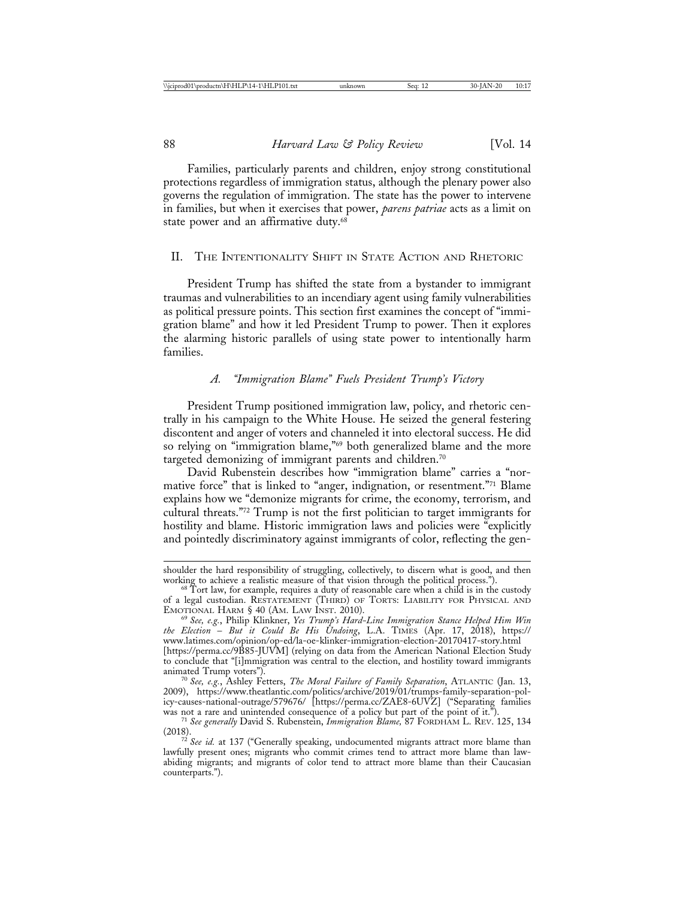Families, particularly parents and children, enjoy strong constitutional protections regardless of immigration status, although the plenary power also governs the regulation of immigration. The state has the power to intervene in families, but when it exercises that power, *parens patriae* acts as a limit on state power and an affirmative duty.<sup>68</sup>

#### II. THE INTENTIONALITY SHIFT IN STATE ACTION AND RHETORIC

President Trump has shifted the state from a bystander to immigrant traumas and vulnerabilities to an incendiary agent using family vulnerabilities as political pressure points. This section first examines the concept of "immigration blame" and how it led President Trump to power. Then it explores the alarming historic parallels of using state power to intentionally harm families.

## *A. "Immigration Blame" Fuels President Trump's Victory*

President Trump positioned immigration law, policy, and rhetoric centrally in his campaign to the White House. He seized the general festering discontent and anger of voters and channeled it into electoral success. He did so relying on "immigration blame,"<sup>69</sup> both generalized blame and the more targeted demonizing of immigrant parents and children.70

David Rubenstein describes how "immigration blame" carries a "normative force" that is linked to "anger, indignation, or resentment."71 Blame explains how we "demonize migrants for crime, the economy, terrorism, and cultural threats."72 Trump is not the first politician to target immigrants for hostility and blame. Historic immigration laws and policies were "explicitly and pointedly discriminatory against immigrants of color, reflecting the gen-

shoulder the hard responsibility of struggling, collectively, to discern what is good, and then working to achieve a realistic measure of that vision through the political process.").

 $68$  Tort law, for example, requires a duty of reasonable care when a child is in the custody of a legal custodian. RESTATEMENT (THIRD) OF TORTS: LIABILITY FOR PHYSICAL AND

<sup>&</sup>lt;sup>69</sup> See, e.g., Philip Klinkner, *Yes Trump's Hard-Line Immigration Stance Helped Him Win the Election* – *But it Could Be His Undoing*, L.A. TIMES (Apr. 17, 2018), https:// www.latimes.com/opinion/op-ed/la-oe-klinker-immigration-election-20170417-story.html

<sup>[</sup>https://perma.cc/9B85-JUVM] (relying on data from the American National Election Study to conclude that "[i]mmigration was central to the election, and hostility toward immigrants

<sup>&</sup>lt;sup>70</sup> See, e.g., Ashley Fetters, *The Moral Failure of Family Separation*, ATLANTIC (Jan. 13, 2009), https://www.theatlantic.com/politics/archive/2019/01/trumps-family-separation-policy-causes-national-outrage/579676/ [https://perma.cc/ZAE8-6UVZ] ("Separating families

was not a rare and unintended consequence of a policy but part of the point of it.<sup>39</sup>).<br><sup>71</sup> *See generally* David S. Rubenstein, *Immigration Blame*, 87 FORDHAM L. REV. 125, 134 (2018).

<sup>&</sup>lt;sup>72</sup> See id. at 137 ("Generally speaking, undocumented migrants attract more blame than lawfully present ones; migrants who commit crimes tend to attract more blame than lawabiding migrants; and migrants of color tend to attract more blame than their Caucasian counterparts.").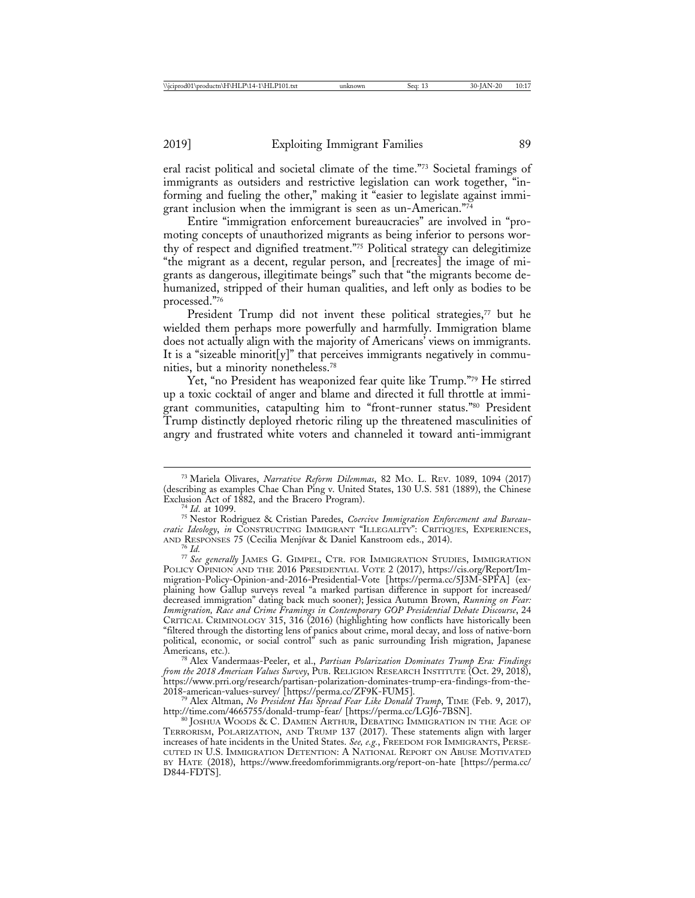eral racist political and societal climate of the time."73 Societal framings of immigrants as outsiders and restrictive legislation can work together, "informing and fueling the other," making it "easier to legislate against immigrant inclusion when the immigrant is seen as un-American."74

Entire "immigration enforcement bureaucracies" are involved in "promoting concepts of unauthorized migrants as being inferior to persons worthy of respect and dignified treatment."75 Political strategy can delegitimize "the migrant as a decent, regular person, and [recreates] the image of migrants as dangerous, illegitimate beings" such that "the migrants become dehumanized, stripped of their human qualities, and left only as bodies to be processed."76

President Trump did not invent these political strategies,<sup>77</sup> but he wielded them perhaps more powerfully and harmfully. Immigration blame does not actually align with the majority of Americans' views on immigrants. It is a "sizeable minorit[y]" that perceives immigrants negatively in communities, but a minority nonetheless.78

Yet, "no President has weaponized fear quite like Trump."79 He stirred up a toxic cocktail of anger and blame and directed it full throttle at immigrant communities, catapulting him to "front-runner status."80 President Trump distinctly deployed rhetoric riling up the threatened masculinities of angry and frustrated white voters and channeled it toward anti-immigrant

<sup>73</sup> Mariela Olivares, *Narrative Reform Dilemmas*, 82 MO. L. REV. 1089, 1094 (2017) (describing as examples Chae Chan Ping v. United States, 130 U.S. 581 (1889), the Chinese

<sup>&</sup>lt;sup>74</sup> Id. at 1099.<br><sup>75</sup> Nestor Rodriguez & Cristian Paredes, *Coercive Immigration Enforcement and Bureaucratic Ideology, in* CONSTRUCTING IMMIGRANT "ILLEGALITY": CRITIQUES, EXPERIENCES, AND RESPONSES 75 (Cecilia Menjívar & Daniel Kanstroom eds., 2014).

<sup>&</sup>lt;sup>76</sup> Id.<br><sup>77</sup> See generally James G. Gimpel, Ctr. for Immigration Studies, Immigration POLICY OPINION AND THE 2016 PRESIDENTIAL VOTE 2 (2017), https://cis.org/Report/Immigration-Policy-Opinion-and-2016-Presidential-Vote [https://perma.cc/5J3M-SPFA] (explaining how Gallup surveys reveal "a marked partisan difference in support for increased/ decreased immigration" dating back much sooner); Jessica Autumn Brown, *Running on Fear: Immigration, Race and Crime Framings in Contemporary GOP Presidential Debate Discourse*, 24 CRITICAL CRIMINOLOGY 315, 316 (2016) (highlighting how conflicts have historically been "filtered through the distorting lens of panics about crime, moral decay, and loss of native-born political, economic, or social control" such as panic surrounding Irish migration, Japanese

<sup>&</sup>lt;sup>78</sup> Alex Vandermaas-Peeler, et al., *Partisan Polarization Dominates Trump Era: Findings from the 2018 American Values Survey*, PUB. RELIGION RESEARCH INSTITUTE (Oct. 29, 2018), https://www.prri.org/research/partisan-polarization-dominates-trump-era-findings-from-the-

<sup>&</sup>lt;sup>79</sup> Alex Altman, *No President Has Spread Fear Like Donald Trump*, TIME (Feb. 9, 2017), http://time.com/4665755/donald-trump-fear/ [https://perma.cc/LGJ6-7BSN].

 $^{80}$  JOSHUA WOODS & C. DAMIEN ARTHUR, DEBATING IMMIGRATION IN THE AGE OF TERRORISM, POLARIZATION, AND TRUMP 137 (2017). These statements align with larger increases of hate incidents in the United States. *See, e.g.*, FREEDOM FOR IMMIGRANTS, PERSE-CUTED IN U.S. IMMIGRATION DETENTION: A NATIONAL REPORT ON ABUSE MOTIVATED BY HATE (2018), https://www.freedomforimmigrants.org/report-on-hate [https://perma.cc/ D844-FDTS].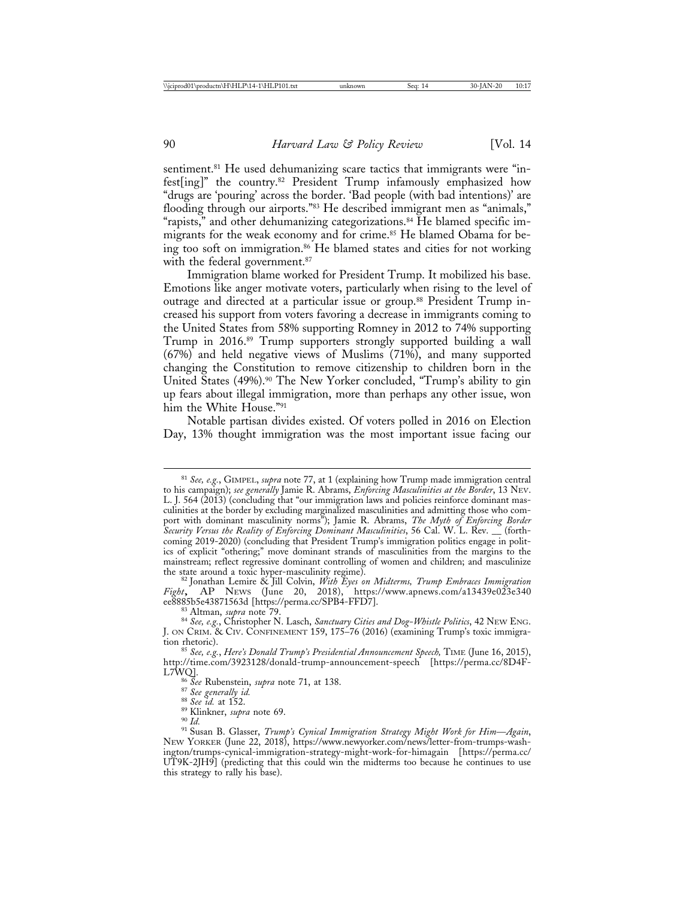sentiment.<sup>81</sup> He used dehumanizing scare tactics that immigrants were "infest[ing]" the country.82 President Trump infamously emphasized how "drugs are 'pouring' across the border. 'Bad people (with bad intentions)' are flooding through our airports."83 He described immigrant men as "animals," "rapists," and other dehumanizing categorizations.<sup>84</sup> He blamed specific immigrants for the weak economy and for crime.<sup>85</sup> He blamed Obama for being too soft on immigration.86 He blamed states and cities for not working with the federal government.<sup>87</sup>

Immigration blame worked for President Trump. It mobilized his base. Emotions like anger motivate voters, particularly when rising to the level of outrage and directed at a particular issue or group.88 President Trump increased his support from voters favoring a decrease in immigrants coming to the United States from 58% supporting Romney in 2012 to 74% supporting Trump in 2016.89 Trump supporters strongly supported building a wall (67%) and held negative views of Muslims (71%), and many supported changing the Constitution to remove citizenship to children born in the United States (49%).<sup>90</sup> The New Yorker concluded, "Trump's ability to gin up fears about illegal immigration, more than perhaps any other issue, won him the White House."91

Notable partisan divides existed. Of voters polled in 2016 on Election Day, 13% thought immigration was the most important issue facing our

<sup>81</sup> *See, e.g.*, GIMPEL, *supra* note 77, at 1 (explaining how Trump made immigration central to his campaign); *see generally* Jamie R. Abrams, *Enforcing Masculinities at the Border*, 13 NEV. L. J. 564 (2013) (concluding that "our immigration laws and policies reinforce dominant masculinities at the border by excluding marginalized masculinities and admitting those who comport with dominant masculinity norms"); Jamie R. Abrams, *The Myth of Enforcing Border Security Versus the Reality of Enforcing Dominant Masculinities*, 56 Cal. W. L. Rev. \_\_ (forthcoming 2019-2020) (concluding that President Trump's immigration politics engage in politics of explicit "othering;" move dominant strands of masculinities from the margins to the mainstream; reflect regressive dominant controlling of women and children; and masculinize the state around a toxic hyper-masculinity regime).

<sup>&</sup>lt;sup>82</sup> Jonathan Lemire & Jill Colvin, *With Eyes on Midterms, Trump Embraces Immigration Fight*, AP NEWS (June 20, 2018), https://www.apnews.com/a13439e023e340

<sup>&</sup>lt;sup>83</sup> Altman, *supra* note 79. <sup>-</sup><br><sup>84</sup> *See, e.g., Christopher N. Lasch, Sanctuary Cities and Dog-Whistle Politics, 42 NEW ENG.* J. ON CRIM. & CIV. CONFINEMENT 159, 175–76 (2016) (examining Trump's toxic immigra-

tion rhetoric). <sup>85</sup> *See, e.g.*, *Here's Donald Trump's Presidential Announcement Speech,* TIME (June 16, 2015), http://time.com/3923128/donald-trump-announcement-speech [https://perma.cc/8D4F-

<sup>&</sup>lt;sup>86</sup> See Rubenstein, *supra* note 71, at 138.<br><sup>87</sup> See generally id.<br><sup>88</sup> See id. at 152.<br><sup>89</sup> Klinkner, *supra* note 69.<br><sup>90</sup> Id.<br><sup>91</sup> Susan B. Glasser, *Trump's Cynical Immigration Strategy Might Work for Him—Again,* NEW YORKER (June 22, 2018), https://www.newyorker.com/news/letter-from-trumps-washington/trumps-cynical-immigration-strategy-might-work-for-himagain [https://perma.cc/ UT9K-2JH9] (predicting that this could win the midterms too because he continues to use this strategy to rally his base).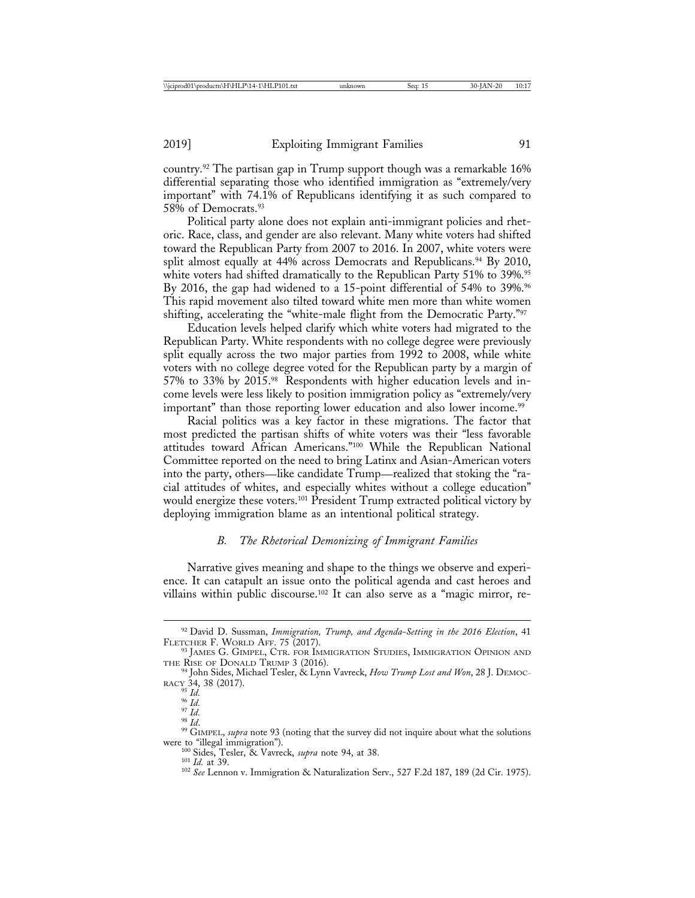country.92 The partisan gap in Trump support though was a remarkable 16% differential separating those who identified immigration as "extremely/very important" with 74.1% of Republicans identifying it as such compared to 58% of Democrats.93

Political party alone does not explain anti-immigrant policies and rhetoric. Race, class, and gender are also relevant. Many white voters had shifted toward the Republican Party from 2007 to 2016. In 2007, white voters were split almost equally at  $44\%$  across Democrats and Republicans.<sup>94</sup> By 2010, white voters had shifted dramatically to the Republican Party 51% to 39%.<sup>95</sup> By 2016, the gap had widened to a 15-point differential of 54% to 39%.<sup>96</sup> This rapid movement also tilted toward white men more than white women shifting, accelerating the "white-male flight from the Democratic Party."97

Education levels helped clarify which white voters had migrated to the Republican Party. White respondents with no college degree were previously split equally across the two major parties from 1992 to 2008, while white voters with no college degree voted for the Republican party by a margin of 57% to 33% by 2015.98 Respondents with higher education levels and income levels were less likely to position immigration policy as "extremely/very important" than those reporting lower education and also lower income.<sup>99</sup>

Racial politics was a key factor in these migrations. The factor that most predicted the partisan shifts of white voters was their "less favorable attitudes toward African Americans."100 While the Republican National Committee reported on the need to bring Latinx and Asian-American voters into the party, others—like candidate Trump—realized that stoking the "racial attitudes of whites, and especially whites without a college education" would energize these voters.<sup>101</sup> President Trump extracted political victory by deploying immigration blame as an intentional political strategy.

## *B. The Rhetorical Demonizing of Immigrant Families*

Narrative gives meaning and shape to the things we observe and experience. It can catapult an issue onto the political agenda and cast heroes and villains within public discourse.102 It can also serve as a "magic mirror, re-

<sup>92</sup> David D. Sussman, *Immigration, Trump, and Agenda-Setting in the 2016 Election*, 41

 $^{93}$  JAMES G. GIMPEL, CTR. FOR IMMIGRATION STUDIES, IMMIGRATION OPINION AND THE RISE OF DONALD TRUMP 3 (2016).

<sup>&</sup>lt;sup>94</sup> John Sides, Michael Tesler, & Lynn Vavreck, *How Trump Lost and Won*, 28 J. DEMOC-RACY 34, 38 (2017).<br>
<sup>95</sup> Id.

<sup>&</sup>lt;sup>96</sup> *Id.*<br><sup>97</sup> *Id.*<br><sup>98</sup> *Id.*<br><sup>99</sup> GIMPEL, *supra* note 93 (noting that the survey did not inquire about what the solutions were to "illegal immigration").

<sup>&</sup>lt;sup>100</sup> Sides, Tesler, & Vavreck, *supra* note 94, at 38.<br><sup>101</sup> *Id.* at 39. 101 *Id.* at 39. 102 *See Lennon v. Immigration & Naturalization Serv., 527 F.2d 187, 189 (2d Cir. 1975).*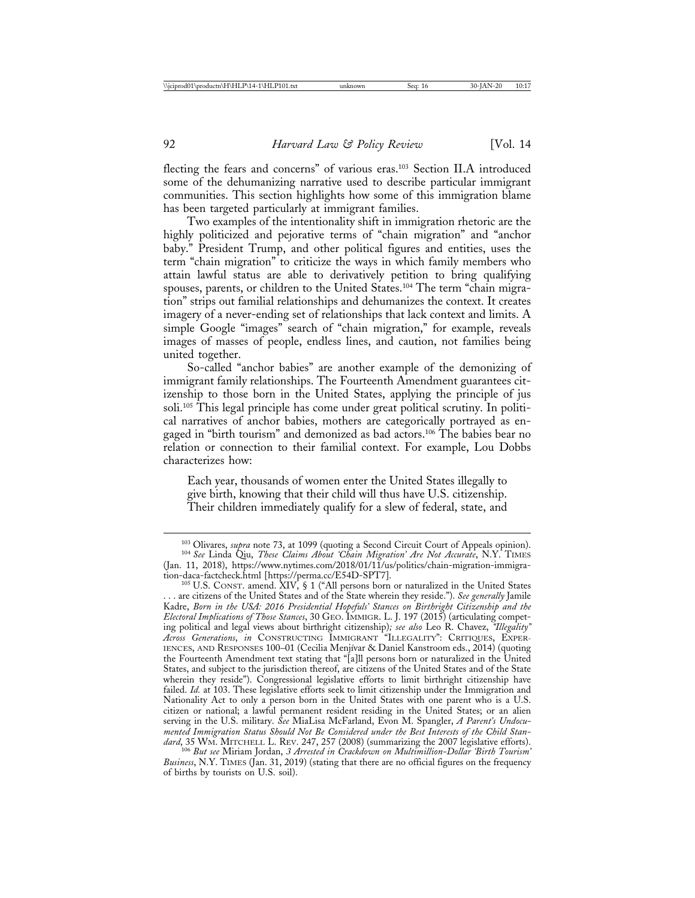flecting the fears and concerns" of various eras.103 Section II.A introduced some of the dehumanizing narrative used to describe particular immigrant communities. This section highlights how some of this immigration blame has been targeted particularly at immigrant families.

Two examples of the intentionality shift in immigration rhetoric are the highly politicized and pejorative terms of "chain migration" and "anchor baby." President Trump, and other political figures and entities, uses the term "chain migration" to criticize the ways in which family members who attain lawful status are able to derivatively petition to bring qualifying spouses, parents, or children to the United States.<sup>104</sup> The term "chain migration" strips out familial relationships and dehumanizes the context. It creates imagery of a never-ending set of relationships that lack context and limits. A simple Google "images" search of "chain migration," for example, reveals images of masses of people, endless lines, and caution, not families being united together.

So-called "anchor babies" are another example of the demonizing of immigrant family relationships. The Fourteenth Amendment guarantees citizenship to those born in the United States, applying the principle of jus soli.105 This legal principle has come under great political scrutiny. In political narratives of anchor babies, mothers are categorically portrayed as engaged in "birth tourism" and demonized as bad actors.106 The babies bear no relation or connection to their familial context. For example, Lou Dobbs characterizes how:

Each year, thousands of women enter the United States illegally to give birth, knowing that their child will thus have U.S. citizenship. Their children immediately qualify for a slew of federal, state, and

<sup>103</sup> Olivares, *supra* note 73, at 1099 (quoting a Second Circuit Court of Appeals opinion). <sup>104</sup> *See* Linda Qiu, *These Claims About 'Chain Migration' Are Not Accurate*, N.Y. TIMES

<sup>(</sup>Jan. 11, 2018), https://www.nytimes.com/2018/01/11/us/politics/chain-migration-immigra-

 $105$  U.S. CONST. amend.  $XIV$ , § 1 ("All persons born or naturalized in the United States . . . are citizens of the United States and of the State wherein they reside."). *See generally* Jamile Kadre, *Born in the USA: 2016 Presidential Hopefuls' Stances on Birthright Citizenship and the Electoral Implications of Those Stances*, 30 GEO. IMMIGR. L. J. 197 (2015) (articulating competing political and legal views about birthright citizenship)*; see also* Leo R. Chavez, *"Illegality" Across Generations*, *in* CONSTRUCTING IMMIGRANT "ILLEGALITY": CRITIQUES, EXPER-IENCES, AND RESPONSES 100-01 (Cecilia Menjívar & Daniel Kanstroom eds., 2014) (quoting the Fourteenth Amendment text stating that "[a]ll persons born or naturalized in the United States, and subject to the jurisdiction thereof, are citizens of the United States and of the State wherein they reside"). Congressional legislative efforts to limit birthright citizenship have failed. *Id.* at 103. These legislative efforts seek to limit citizenship under the Immigration and Nationality Act to only a person born in the United States with one parent who is a U.S. citizen or national; a lawful permanent resident residing in the United States; or an alien serving in the U.S. military. *See* MiaLisa McFarland, Evon M. Spangler, *A Parent's Undocumented Immigration Status Should Not Be Considered under the Best Interests of the Child Stan-*

*dard*, 35 WM. MITCHELL L. REV. 247, 257 (2008) (summarizing the 2007 legislative efforts). <sup>106</sup> *But see* Miriam Jordan, *3 Arrested in Crackdown on Multimillion-Dollar 'Birth Tourism' Business*, N.Y. TIMES (Jan. 31, 2019) (stating that there are no official figures on the frequency of births by tourists on U.S. soil).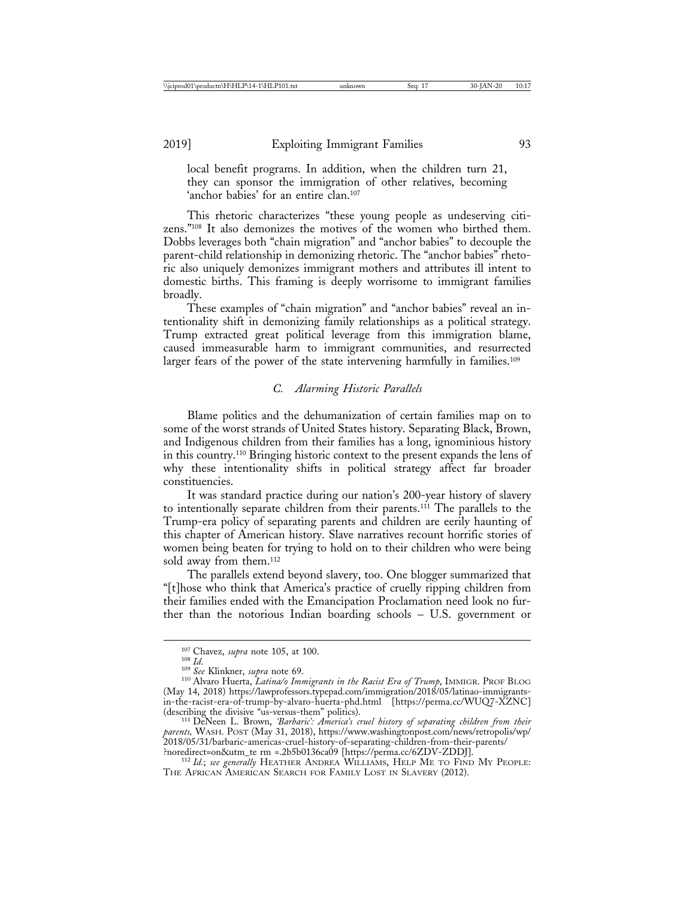local benefit programs. In addition, when the children turn 21, they can sponsor the immigration of other relatives, becoming 'anchor babies' for an entire clan.<sup>107</sup>

This rhetoric characterizes "these young people as undeserving citizens."108 It also demonizes the motives of the women who birthed them. Dobbs leverages both "chain migration" and "anchor babies" to decouple the parent-child relationship in demonizing rhetoric. The "anchor babies" rhetoric also uniquely demonizes immigrant mothers and attributes ill intent to domestic births. This framing is deeply worrisome to immigrant families broadly.

These examples of "chain migration" and "anchor babies" reveal an intentionality shift in demonizing family relationships as a political strategy. Trump extracted great political leverage from this immigration blame, caused immeasurable harm to immigrant communities, and resurrected larger fears of the power of the state intervening harmfully in families.<sup>109</sup>

## *C. Alarming Historic Parallels*

Blame politics and the dehumanization of certain families map on to some of the worst strands of United States history. Separating Black, Brown, and Indigenous children from their families has a long, ignominious history in this country.110 Bringing historic context to the present expands the lens of why these intentionality shifts in political strategy affect far broader constituencies.

It was standard practice during our nation's 200-year history of slavery to intentionally separate children from their parents.111 The parallels to the Trump-era policy of separating parents and children are eerily haunting of this chapter of American history. Slave narratives recount horrific stories of women being beaten for trying to hold on to their children who were being sold away from them.<sup>112</sup>

The parallels extend beyond slavery, too. One blogger summarized that "[t]hose who think that America's practice of cruelly ripping children from their families ended with the Emancipation Proclamation need look no further than the notorious Indian boarding schools – U.S. government or

<sup>&</sup>lt;sup>107</sup> Chavez, *supra* note 105, at 100.<br><sup>108</sup> *Id.* 109 *See* Klinkner, *supra* note 69.<br><sup>110</sup> Alvaro Huerta, *Latina/o Immigrants in the Racist Era of Trump*, IMMIGR. PROF BLOG (May 14, 2018) https://lawprofessors.typepad.com/immigration/2018/05/latinao-immigrantsin-the-racist-era-of-trump-by-alvaro-huerta-phd.html [https://perma.cc/WUQ7-XZNC] (describing the divisive "us-versus-them" politics). <sup>111</sup> DeNeen L. Brown, *'Barbaric': America's cruel history of separating children from their*

*parents,* WASH. POST (May 31, 2018), https://www.washingtonpost.com/news/retropolis/wp/ 2018/05/31/barbaric-americas-cruel-history-of-separating-children-from-their-parents/

<sup>&</sup>lt;sup>112</sup> Id.; see generally HEATHER ANDREA WILLIAMS, HELP ME TO FIND MY PEOPLE: THE AFRICAN AMERICAN SEARCH FOR FAMILY LOST IN SLAVERY (2012).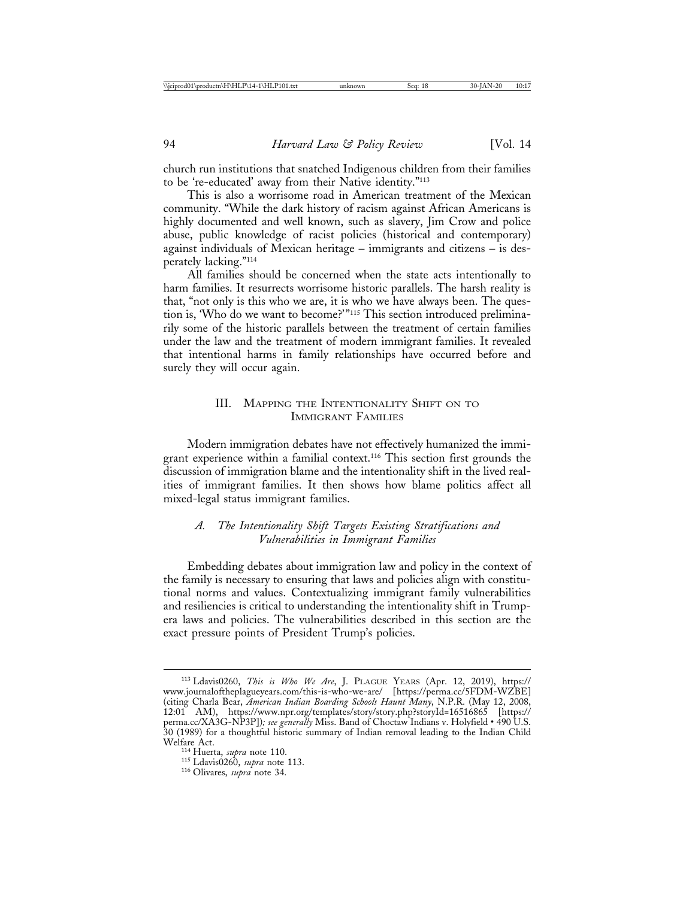church run institutions that snatched Indigenous children from their families to be 're-educated' away from their Native identity."113

This is also a worrisome road in American treatment of the Mexican community. "While the dark history of racism against African Americans is highly documented and well known, such as slavery, Jim Crow and police abuse, public knowledge of racist policies (historical and contemporary) against individuals of Mexican heritage – immigrants and citizens – is desperately lacking."114

All families should be concerned when the state acts intentionally to harm families. It resurrects worrisome historic parallels. The harsh reality is that, "not only is this who we are, it is who we have always been. The question is, 'Who do we want to become?'"115 This section introduced preliminarily some of the historic parallels between the treatment of certain families under the law and the treatment of modern immigrant families. It revealed that intentional harms in family relationships have occurred before and surely they will occur again.

## III. MAPPING THE INTENTIONALITY SHIFT ON TO IMMIGRANT FAMILIES

Modern immigration debates have not effectively humanized the immigrant experience within a familial context.116 This section first grounds the discussion of immigration blame and the intentionality shift in the lived realities of immigrant families. It then shows how blame politics affect all mixed-legal status immigrant families.

## *A. The Intentionality Shift Targets Existing Stratifications and Vulnerabilities in Immigrant Families*

Embedding debates about immigration law and policy in the context of the family is necessary to ensuring that laws and policies align with constitutional norms and values. Contextualizing immigrant family vulnerabilities and resiliencies is critical to understanding the intentionality shift in Trumpera laws and policies. The vulnerabilities described in this section are the exact pressure points of President Trump's policies.

<sup>113</sup> Ldavis0260, *This is Who We Are*, J. PLAGUE YEARS (Apr. 12, 2019), https:// www.journaloftheplagueyears.com/this-is-who-we-are/ [https://perma.cc/5FDM-WZBE] (citing Charla Bear, *American Indian Boarding Schools Haunt Many*, N.P.R. (May 12, 2008, 12:01 AM), https://www.npr.org/templates/story/story.php?storyId=16516865 [https:// perma.cc/XA3G-NP3P])*; see generally* Miss. Band of Choctaw Indians v. Holyfield • 490 U.S. 30 (1989) for a thoughtful historic summary of Indian removal leading to the Indian Child

<sup>&</sup>lt;sup>114</sup> Huerta, *supra* note 110.<br><sup>115</sup> Ldavis0260, *supra* note 113.<br><sup>116</sup> Olivares, *supra* note 34.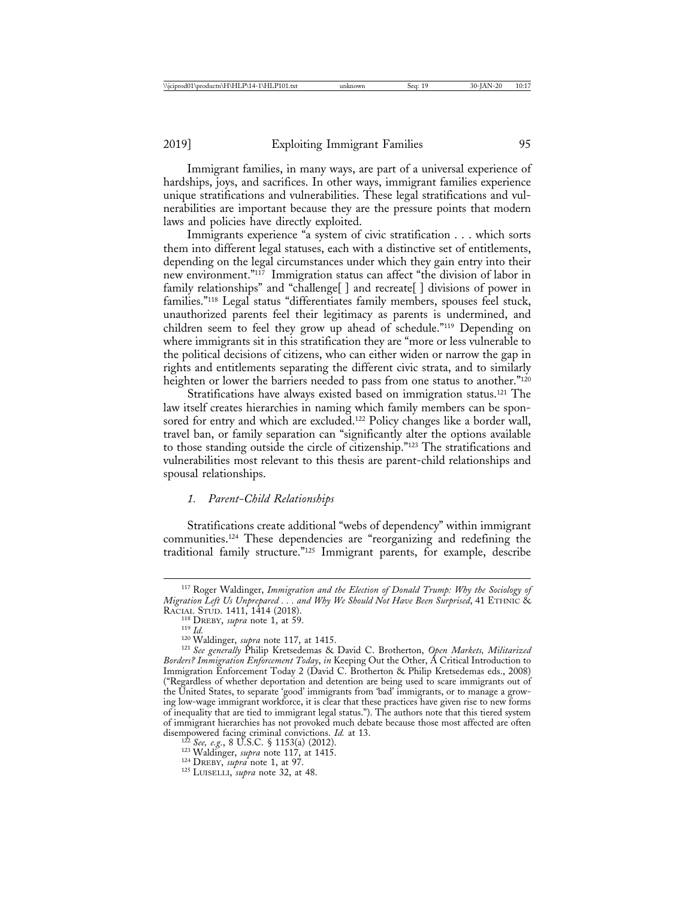Immigrant families, in many ways, are part of a universal experience of hardships, joys, and sacrifices. In other ways, immigrant families experience unique stratifications and vulnerabilities. These legal stratifications and vulnerabilities are important because they are the pressure points that modern laws and policies have directly exploited.

Immigrants experience "a system of civic stratification . . . which sorts them into different legal statuses, each with a distinctive set of entitlements, depending on the legal circumstances under which they gain entry into their new environment."117 Immigration status can affect "the division of labor in family relationships" and "challenge[] and recreate[] divisions of power in families."118 Legal status "differentiates family members, spouses feel stuck, unauthorized parents feel their legitimacy as parents is undermined, and children seem to feel they grow up ahead of schedule."119 Depending on where immigrants sit in this stratification they are "more or less vulnerable to the political decisions of citizens, who can either widen or narrow the gap in rights and entitlements separating the different civic strata, and to similarly heighten or lower the barriers needed to pass from one status to another."<sup>120</sup>

Stratifications have always existed based on immigration status.<sup>121</sup> The law itself creates hierarchies in naming which family members can be sponsored for entry and which are excluded.<sup>122</sup> Policy changes like a border wall, travel ban, or family separation can "significantly alter the options available to those standing outside the circle of citizenship."123 The stratifications and vulnerabilities most relevant to this thesis are parent-child relationships and spousal relationships.

#### *1. Parent-Child Relationships*

Stratifications create additional "webs of dependency" within immigrant communities.124 These dependencies are "reorganizing and redefining the traditional family structure."125 Immigrant parents, for example, describe

<sup>117</sup> Roger Waldinger, *Immigration and the Election of Donald Trump: Why the Sociology of Migration Left Us Unprepared . . . and Why We Should Not Have Been Surprised*, 41 ETHNIC &

RACIAL STUD. 1411, 1414 (2018).<br><sup>118</sup> DREBY, *supra* note 1, at 59.<br><sup>119</sup> Id.<br><sup>120</sup> Waldinger, *supra* note 117, at 1415.<br><sup>121</sup> See generally Philip Kretsedemas & David C. Brotherton, *Open Markets, Militarized Borders? Immigration Enforcement Today*, *in* Keeping Out the Other, A Critical Introduction to Immigration Enforcement Today 2 (David C. Brotherton & Philip Kretsedemas eds., 2008) ("Regardless of whether deportation and detention are being used to scare immigrants out of the United States, to separate 'good' immigrants from 'bad' immigrants, or to manage a growing low-wage immigrant workforce, it is clear that these practices have given rise to new forms of inequality that are tied to immigrant legal status."). The authors note that this tiered system of immigrant hierarchies has not provoked much debate because those most affected are often disempowered facing criminal convictions. *Id.* at 13.<br><sup>122</sup> See, e.g., 8 U.S.C. § 1153(a) (2012).<br><sup>123</sup> Waldinger, *supra* note 117, at 1415.<br><sup>124</sup> DREBY, *supra* note 1, at 97.<br><sup>125</sup> LUISELLI, *supra* note 32, at 48.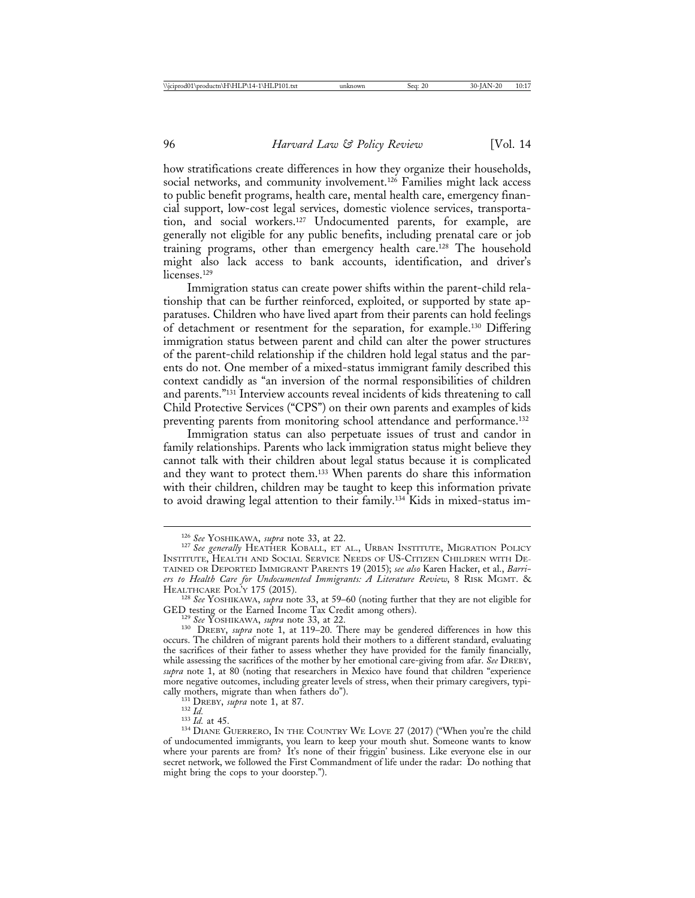how stratifications create differences in how they organize their households, social networks, and community involvement.<sup>126</sup> Families might lack access to public benefit programs, health care, mental health care, emergency financial support, low-cost legal services, domestic violence services, transportation, and social workers.127 Undocumented parents, for example, are generally not eligible for any public benefits, including prenatal care or job training programs, other than emergency health care.128 The household might also lack access to bank accounts, identification, and driver's licenses.<sup>129</sup>

Immigration status can create power shifts within the parent-child relationship that can be further reinforced, exploited, or supported by state apparatuses. Children who have lived apart from their parents can hold feelings of detachment or resentment for the separation, for example.130 Differing immigration status between parent and child can alter the power structures of the parent-child relationship if the children hold legal status and the parents do not. One member of a mixed-status immigrant family described this context candidly as "an inversion of the normal responsibilities of children and parents."131 Interview accounts reveal incidents of kids threatening to call Child Protective Services ("CPS") on their own parents and examples of kids preventing parents from monitoring school attendance and performance.<sup>132</sup>

Immigration status can also perpetuate issues of trust and candor in family relationships. Parents who lack immigration status might believe they cannot talk with their children about legal status because it is complicated and they want to protect them.133 When parents do share this information with their children, children may be taught to keep this information private to avoid drawing legal attention to their family.134 Kids in mixed-status im-

<sup>126</sup> *See* YOSHIKAWA, *supra* note 33, at 22. <sup>127</sup> *See generally* HEATHER KOBALL, ET AL., URBAN INSTITUTE, MIGRATION POLICY INSTITUTE, HEALTH AND SOCIAL SERVICE NEEDS OF US-CITIZEN CHILDREN WITH DE-TAINED OR DEPORTED IMMIGRANT PARENTS 19 (2015); *see also* Karen Hacker, et al., *Barriers to Health Care for Undocumented Immigrants: A Literature Review*, 8 RISK MGMT. &

<sup>&</sup>lt;sup>128</sup> *See* YOSHIKAWA, *supra* note 33, at 59–60 (noting further that they are not eligible for GED testing or the Earned Income Tax Credit among others).

<sup>&</sup>lt;sup>129</sup> See YOSHIKAWA, *supra* note 33, at 22. 130 DREBY, *supra* note 1, at 119–20. There may be gendered differences in how this occurs. The children of migrant parents hold their mothers to a different standard, evaluating the sacrifices of their father to assess whether they have provided for the family financially, while assessing the sacrifices of the mother by her emotional care-giving from afar. *See* DREBY, *supra* note 1, at 80 (noting that researchers in Mexico have found that children "experience more negative outcomes, including greater levels of stress, when their primary caregivers, typi-cally mothers, migrate than when fathers do").

<sup>&</sup>lt;sup>131</sup> DREBY, *supra* note 1, at 87.<br><sup>132</sup> *Id.* 132 *Id.* at 45. 133 *Id.* at 45. 133 *Id.* at 45. 134 DIANE GUERRERO, IN THE COUNTRY WE LOVE 27 (2017) ("When you're the child of undocumented immigrants, you learn to keep your mouth shut. Someone wants to know where your parents are from? It's none of their friggin' business. Like everyone else in our secret network, we followed the First Commandment of life under the radar: Do nothing that might bring the cops to your doorstep.").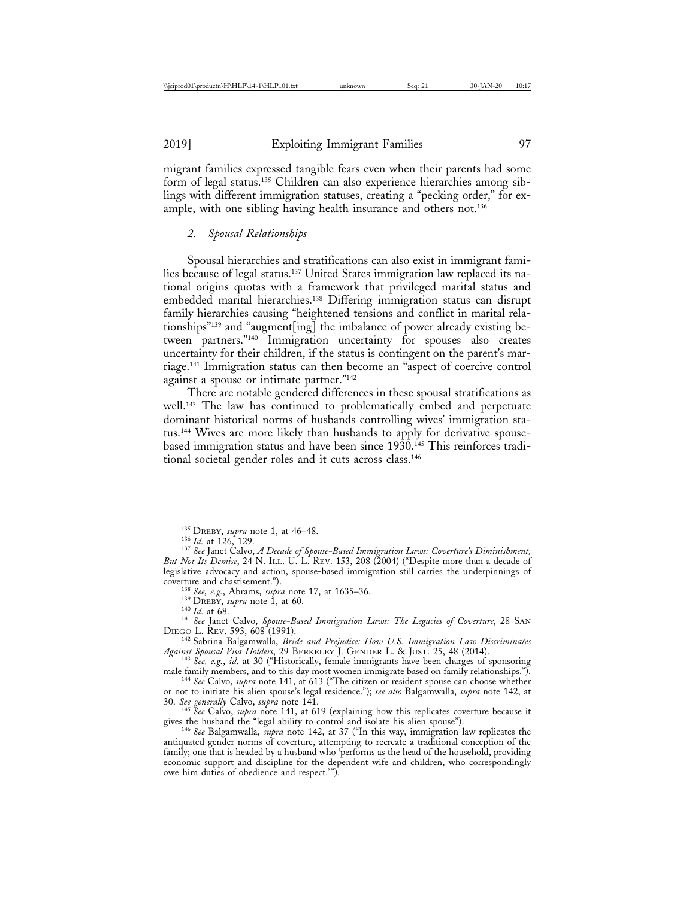migrant families expressed tangible fears even when their parents had some form of legal status.135 Children can also experience hierarchies among siblings with different immigration statuses, creating a "pecking order," for example, with one sibling having health insurance and others not.<sup>136</sup>

## *2. Spousal Relationships*

Spousal hierarchies and stratifications can also exist in immigrant families because of legal status.137 United States immigration law replaced its national origins quotas with a framework that privileged marital status and embedded marital hierarchies.138 Differing immigration status can disrupt family hierarchies causing "heightened tensions and conflict in marital relationships"139 and "augment[ing] the imbalance of power already existing between partners."140 Immigration uncertainty for spouses also creates uncertainty for their children, if the status is contingent on the parent's marriage.141 Immigration status can then become an "aspect of coercive control against a spouse or intimate partner."<sup>142</sup>

There are notable gendered differences in these spousal stratifications as well.143 The law has continued to problematically embed and perpetuate dominant historical norms of husbands controlling wives' immigration status.144 Wives are more likely than husbands to apply for derivative spousebased immigration status and have been since 1930.<sup>145</sup> This reinforces traditional societal gender roles and it cuts across class.146

<sup>&</sup>lt;sup>135</sup> DREBY, *supra* note 1, at 46–48.<br><sup>136</sup> Id. at 126, 129.<br><sup>137</sup> See Janet Calvo, *A Decade of Spouse-Based Immigration Laws: Coverture's Diminishment*, *But Not Its Demise*, 24 N. ILL. U. L. REV. 153, 208 (2004) ("Despite more than a decade of legislative advocacy and action, spouse-based immigration still carries the underpinnings of

coverture and chastisement.").<br>
<sup>138</sup> *See, e.g.*, Abrams, *supra* note 17, at 1635–36.<br>
<sup>139</sup> DREBY, *supra* note 1, at 60.<br>
<sup>140</sup> *Id.* at 60.<br>
<sup>141</sup> *See* Janet Calvo, *Spouse-Based Immigration Laws: The Legacies of Cov* 

<sup>&</sup>lt;sup>142</sup> Sabrina Balgamwalla, *Bride and Prejudice: How U.S. Immigration Law Discriminates*<br>*Against Spousal Visa Holders*, 29 BERKELEY J. GENDER L. & JUST. 25, 48 (2014).

<sup>&</sup>lt;sup>24</sup><sup>43</sup> *Age, e.g., id.* at 30 ("Historically, female immigrants have been charges of sponsoring male family members, and to this day most women immigrate based on family relationships.").

<sup>&</sup>lt;sup>144</sup> See Calvo, *supra* note 141, at 613 ("The citizen or resident spouse can choose whether or not to initiate his alien spouse's legal residence."); *see also* Balgamwalla, *supra* note 142, at

<sup>&</sup>lt;sup>145</sup> *See* Calvo, *supra* note 141, at 619 (explaining how this replicates coverture because it gives the husband the "legal ability to control and isolate his alien spouse").

<sup>&</sup>lt;sup>146</sup> See Balgamwalla, *supra* note 142, at 37 ("In this way, immigration law replicates the antiquated gender norms of coverture, attempting to recreate a traditional conception of the family; one that is headed by a husband who 'performs as the head of the household, providing economic support and discipline for the dependent wife and children, who correspondingly owe him duties of obedience and respect.'").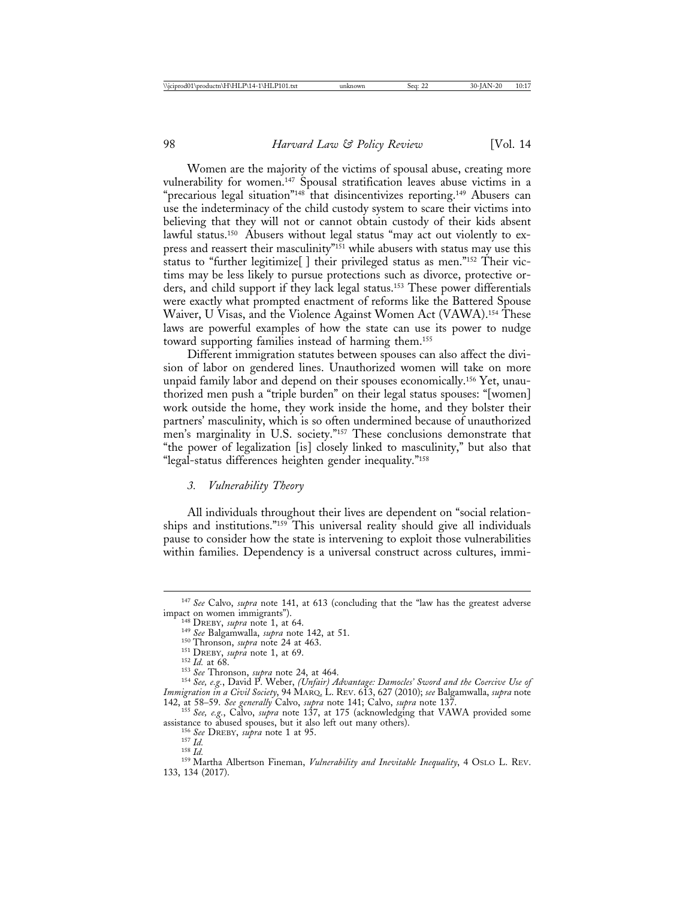Women are the majority of the victims of spousal abuse, creating more vulnerability for women.147 Spousal stratification leaves abuse victims in a "precarious legal situation"<sup>148</sup> that disincentivizes reporting.<sup>149</sup> Abusers can use the indeterminacy of the child custody system to scare their victims into believing that they will not or cannot obtain custody of their kids absent lawful status.<sup>150</sup> Abusers without legal status "may act out violently to express and reassert their masculinity"<sup>151</sup> while abusers with status may use this status to "further legitimize[ ] their privileged status as men."152 Their victims may be less likely to pursue protections such as divorce, protective orders, and child support if they lack legal status.153 These power differentials were exactly what prompted enactment of reforms like the Battered Spouse Waiver, U Visas, and the Violence Against Women Act (VAWA).154 These laws are powerful examples of how the state can use its power to nudge toward supporting families instead of harming them.155

Different immigration statutes between spouses can also affect the division of labor on gendered lines. Unauthorized women will take on more unpaid family labor and depend on their spouses economically.156 Yet, unauthorized men push a "triple burden" on their legal status spouses: "[women] work outside the home, they work inside the home, and they bolster their partners' masculinity, which is so often undermined because of unauthorized men's marginality in U.S. society."<sup>157</sup> These conclusions demonstrate that "the power of legalization [is] closely linked to masculinity," but also that "legal-status differences heighten gender inequality."158

#### *3. Vulnerability Theory*

All individuals throughout their lives are dependent on "social relationships and institutions."159 This universal reality should give all individuals pause to consider how the state is intervening to exploit those vulnerabilities within families. Dependency is a universal construct across cultures, immi-

<sup>156</sup> See DREBY, supra note 1 at 95.<br><sup>157</sup> Id.<br><sup>158</sup> Id. *158 Id.* Albertson Fineman, *Vulnerability and Inevitable Inequality*, 4 OSLO L. REV. 133, 134 (2017).

<sup>&</sup>lt;sup>147</sup> *See* Calvo, *supra* note 141, at 613 (concluding that the "law has the greatest adverse impact on women immigrants").<br><sup>148</sup> DREBY, *supra* note 1, at 64.

<sup>&</sup>lt;sup>149</sup> See Balgamwalla, *supra* note 142, at 51.<br><sup>150</sup> Thronson, *supra* note 24 at 463.<br><sup>151</sup> DREBY, *supra* note 1, at 69.<br><sup>152</sup> Id. at 68.<br><sup>153</sup> See Thronson, *supra* note 24, at 464.<br><sup>154</sup> See, e.g., David P. Weber, *(U Immigration in a Civil Society*, 94 MARQ. L. REV. 613, 627 (2010); *see* Balgamwalla, *supra* note

<sup>142,</sup> at 58–59. *See generally* Calvo, *supra* note 141; Calvo, *supra* note 137. <sup>155</sup> *See, e.g.*, Calvo, *supra* note 137, at 175 (acknowledging that VAWA provided some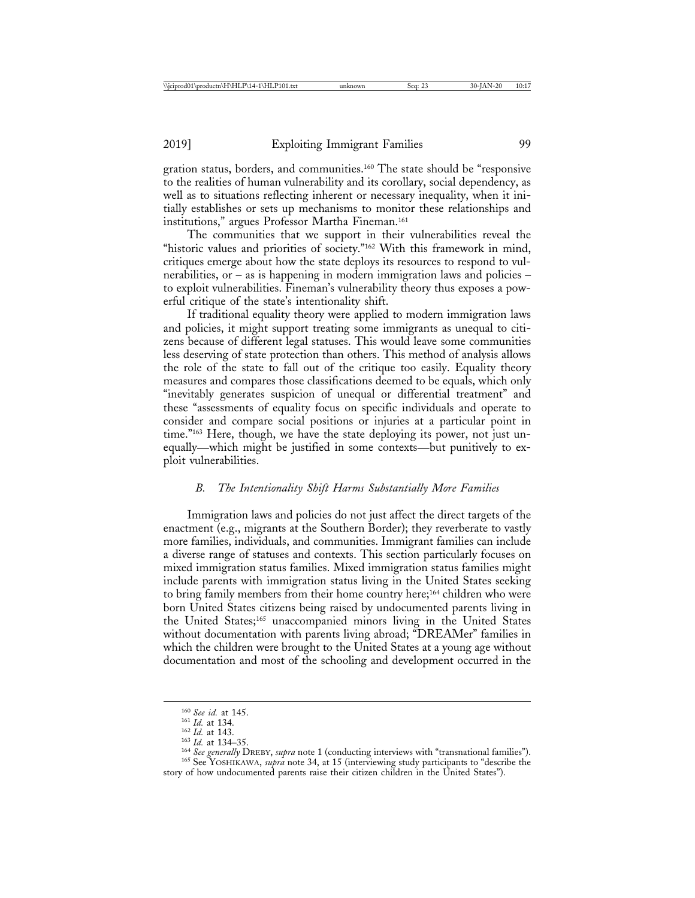gration status, borders, and communities.160 The state should be "responsive to the realities of human vulnerability and its corollary, social dependency, as well as to situations reflecting inherent or necessary inequality, when it initially establishes or sets up mechanisms to monitor these relationships and institutions," argues Professor Martha Fineman.161

The communities that we support in their vulnerabilities reveal the "historic values and priorities of society."<sup>162</sup> With this framework in mind, critiques emerge about how the state deploys its resources to respond to vulnerabilities, or – as is happening in modern immigration laws and policies – to exploit vulnerabilities. Fineman's vulnerability theory thus exposes a powerful critique of the state's intentionality shift.

If traditional equality theory were applied to modern immigration laws and policies, it might support treating some immigrants as unequal to citizens because of different legal statuses. This would leave some communities less deserving of state protection than others. This method of analysis allows the role of the state to fall out of the critique too easily. Equality theory measures and compares those classifications deemed to be equals, which only "inevitably generates suspicion of unequal or differential treatment" and these "assessments of equality focus on specific individuals and operate to consider and compare social positions or injuries at a particular point in time."163 Here, though, we have the state deploying its power, not just unequally—which might be justified in some contexts—but punitively to exploit vulnerabilities.

## *B. The Intentionality Shift Harms Substantially More Families*

Immigration laws and policies do not just affect the direct targets of the enactment (e.g., migrants at the Southern Border); they reverberate to vastly more families, individuals, and communities. Immigrant families can include a diverse range of statuses and contexts. This section particularly focuses on mixed immigration status families. Mixed immigration status families might include parents with immigration status living in the United States seeking to bring family members from their home country here;<sup>164</sup> children who were born United States citizens being raised by undocumented parents living in the United States;165 unaccompanied minors living in the United States without documentation with parents living abroad; "DREAMer" families in which the children were brought to the United States at a young age without documentation and most of the schooling and development occurred in the

<sup>&</sup>lt;sup>160</sup> See id. at 145.<br><sup>161</sup> Id. at 134.<br><sup>162</sup> Id. at 134.<br><sup>162</sup> Id. at 134-35.<br><sup>164</sup> See generally DREBY, supra note 1 (conducting interviews with "transnational families").<br><sup>165</sup> See YOSHIKAWA, *supra* note 34, at 15 (int story of how undocumented parents raise their citizen children in the United States").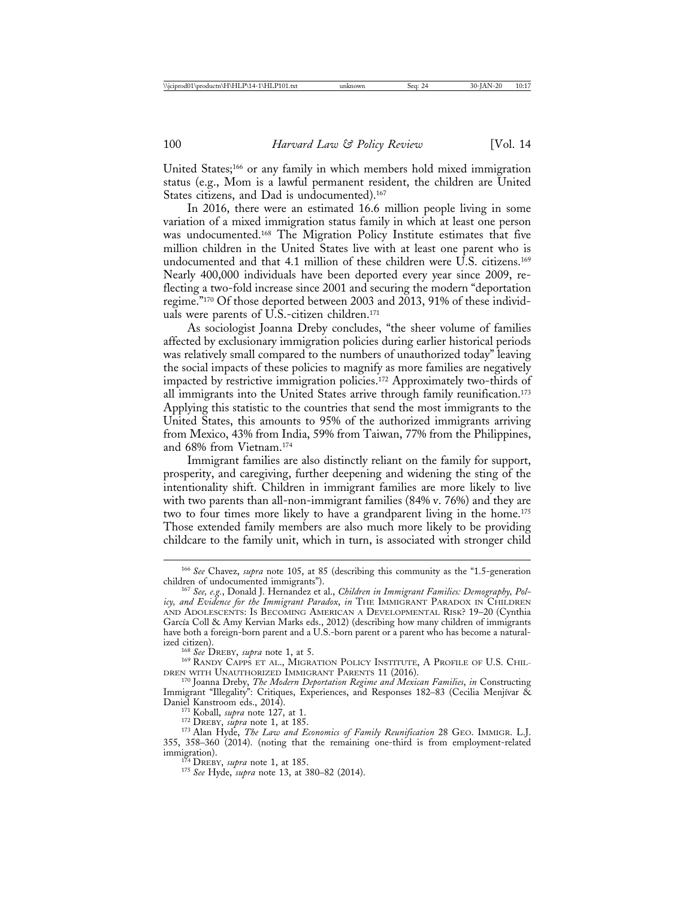United States;166 or any family in which members hold mixed immigration status (e.g., Mom is a lawful permanent resident, the children are United States citizens, and Dad is undocumented).<sup>167</sup>

In 2016, there were an estimated 16.6 million people living in some variation of a mixed immigration status family in which at least one person was undocumented.168 The Migration Policy Institute estimates that five million children in the United States live with at least one parent who is undocumented and that 4.1 million of these children were U.S. citizens.169 Nearly 400,000 individuals have been deported every year since 2009, reflecting a two-fold increase since 2001 and securing the modern "deportation regime."170 Of those deported between 2003 and 2013, 91% of these individuals were parents of U.S.-citizen children.171

As sociologist Joanna Dreby concludes, "the sheer volume of families affected by exclusionary immigration policies during earlier historical periods was relatively small compared to the numbers of unauthorized today" leaving the social impacts of these policies to magnify as more families are negatively impacted by restrictive immigration policies.172 Approximately two-thirds of all immigrants into the United States arrive through family reunification.<sup>173</sup> Applying this statistic to the countries that send the most immigrants to the United States, this amounts to 95% of the authorized immigrants arriving from Mexico, 43% from India, 59% from Taiwan, 77% from the Philippines, and 68% from Vietnam.174

Immigrant families are also distinctly reliant on the family for support, prosperity, and caregiving, further deepening and widening the sting of the intentionality shift. Children in immigrant families are more likely to live with two parents than all-non-immigrant families (84% v. 76%) and they are two to four times more likely to have a grandparent living in the home.<sup>175</sup> Those extended family members are also much more likely to be providing childcare to the family unit, which in turn, is associated with stronger child

<sup>&</sup>lt;sup>166</sup> See Chavez, *supra* note 105, at 85 (describing this community as the "1.5-generation children of undocumented immigrants").

<sup>&</sup>lt;sup>167</sup> See, e.g., Donald J. Hernandez et al., *Children in Immigrant Families: Demography*, Pol*icy, and Evidence for the Immigrant Paradox*, *in* THE IMMIGRANT PARADOX IN CHILDREN AND ADOLESCENTS: IS BECOMING AMERICAN A DEVELOPMENTAL RISK? 19–20 (Cynthia García Coll & Amy Kervian Marks eds., 2012) (describing how many children of immigrants have both a foreign-born parent and a U.S.-born parent or a parent who has become a natural-

<sup>&</sup>lt;sup>168</sup> See DREBY, *supra* note 1, at 5.<br><sup>169</sup> RANDY CAPPS ET AL., MIGRATION POLICY INSTITUTE, A PROFILE OF U.S. CHIL-<br>DREN WITH UNAUTHORIZED IMMIGRANT PARENTS 11 (2016).

<sup>&</sup>lt;sup>170</sup> Joanna Dreby, *The Modern Deportation Regime and Mexican Families*, *in* Constructing Immigrant "Illegality": Critiques, Experiences, and Responses 182-83 (Cecilia Menjívar & Daniel Kanstroom eds., 2014).

<sup>&</sup>lt;sup>171</sup> Koball, *supra* note 127, at 1.<br><sup>172</sup> DREBY, *supra* note 1, at 185.<br><sup>173</sup> Alan Hyde, *The Law and Economics of Family Reunification* 28 GEO. IMMIGR. L.J. 355, 358–360 (2014). (noting that the remaining one-third is from employment-related immigration). <sup>174</sup> DREBY, *supra* note 1, at 185. <sup>175</sup> *See* Hyde, *supra* note 13, at 380–82 (2014).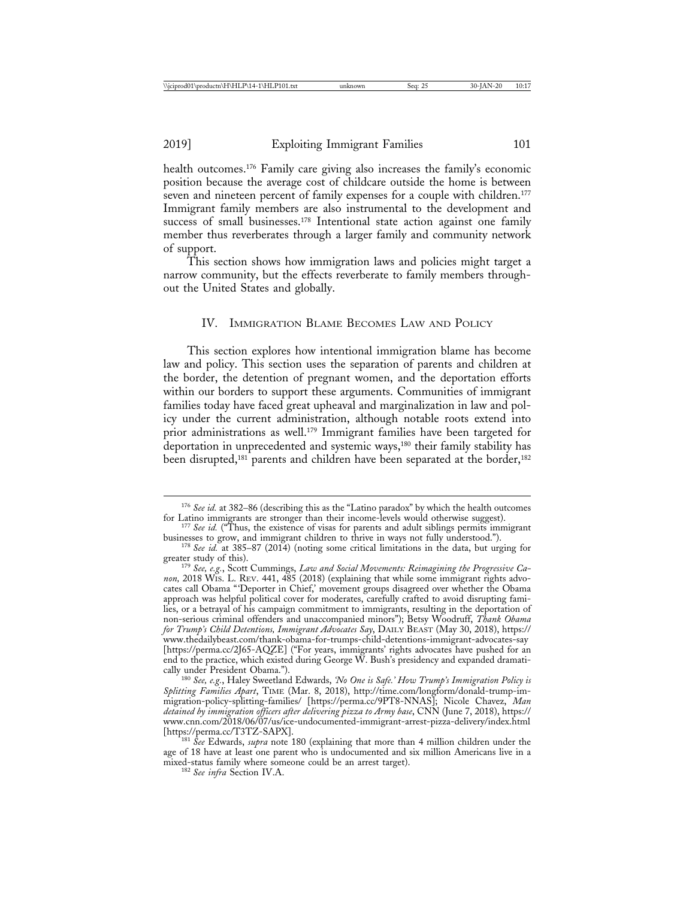health outcomes.176 Family care giving also increases the family's economic position because the average cost of childcare outside the home is between seven and nineteen percent of family expenses for a couple with children.<sup>177</sup> Immigrant family members are also instrumental to the development and success of small businesses.<sup>178</sup> Intentional state action against one family member thus reverberates through a larger family and community network of support.

This section shows how immigration laws and policies might target a narrow community, but the effects reverberate to family members throughout the United States and globally.

#### IV. IMMIGRATION BLAME BECOMES LAW AND POLICY

This section explores how intentional immigration blame has become law and policy. This section uses the separation of parents and children at the border, the detention of pregnant women, and the deportation efforts within our borders to support these arguments. Communities of immigrant families today have faced great upheaval and marginalization in law and policy under the current administration, although notable roots extend into prior administrations as well.179 Immigrant families have been targeted for deportation in unprecedented and systemic ways,180 their family stability has been disrupted,<sup>181</sup> parents and children have been separated at the border,<sup>182</sup>

<sup>176</sup> *See id.* at 382–86 (describing this as the "Latino paradox" by which the health outcomes

for Latino immigrants are stronger than their income-levels would otherwise suggest).<br><sup>177</sup> *See id.* ("Thus, the existence of visas for parents and adult siblings permits immigrant<br>businesses to grow, and immigrant childr

<sup>&</sup>lt;sup>178</sup> *See id.* at 385–87 (2014) (noting some critical limitations in the data, but urging for greater study of this).

<sup>&</sup>lt;sup>179</sup> See, e.g., Scott Cummings, *Law and Social Movements: Reimagining the Progressive Canon,* 2018 WIS. L. REV. 441, 485 (2018) (explaining that while some immigrant rights advocates call Obama "'Deporter in Chief,' movement groups disagreed over whether the Obama approach was helpful political cover for moderates, carefully crafted to avoid disrupting families, or a betrayal of his campaign commitment to immigrants, resulting in the deportation of non-serious criminal offenders and unaccompanied minors"); Betsy Woodruff, *Thank Obama for Trump's Child Detentions, Immigrant Advocates Say*, DAILY BEAST (May 30, 2018), https:// www.thedailybeast.com/thank-obama-for-trumps-child-detentions-immigrant-advocates-say [https://perma.cc/2J65-AQZE] ("For years, immigrants' rights advocates have pushed for an end to the practice, which existed during George W. Bush's presidency and expanded dramati-

cally under President Obama."). <sup>180</sup> *See, e.g.*, Haley Sweetland Edwards, *'No One is Safe.' How Trump's Immigration Policy is Splitting Families Apart*, TIME (Mar. 8, 2018), http://time.com/longform/donald-trump-immigration-policy-splitting-families/ [https://perma.cc/9PT8-NNAS]; Nicole Chavez, *Man detained by immigration officers after delivering pizza to Army base*, CNN (June 7, 2018), https:// www.cnn.com/2018/06/07/us/ice-undocumented-immigrant-arrest-pizza-delivery/index.html

<sup>&</sup>lt;sup>181</sup> *See* Edwards, *supra* note 180 (explaining that more than 4 million children under the age of 18 have at least one parent who is undocumented and six million Americans live in a mixed-status family where someone could be an arrest target). <sup>182</sup> *See infra* Section IV.A.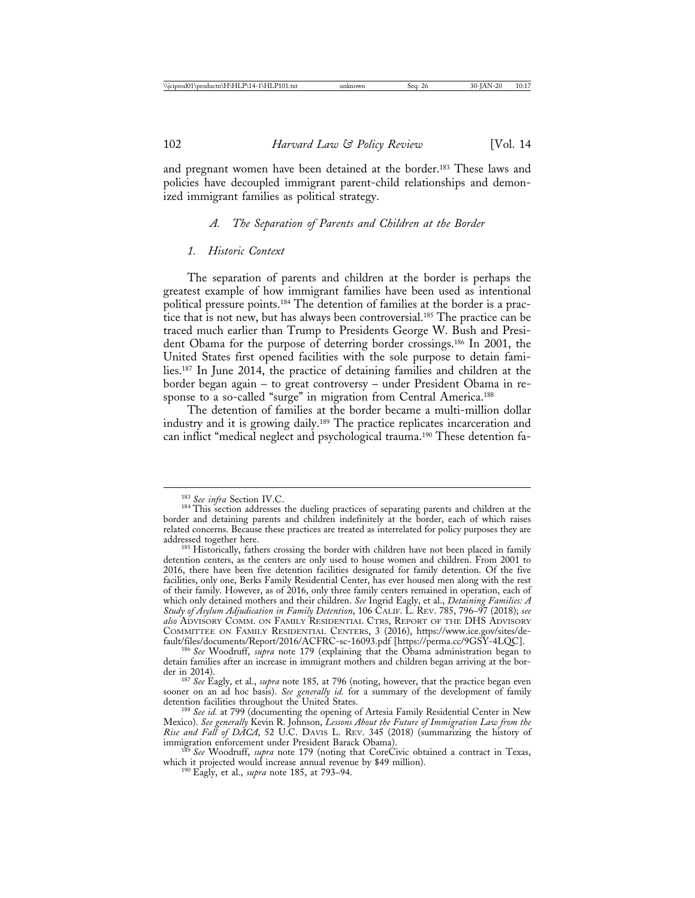and pregnant women have been detained at the border.<sup>183</sup> These laws and policies have decoupled immigrant parent-child relationships and demonized immigrant families as political strategy.

## *A. The Separation of Parents and Children at the Border*

#### *1. Historic Context*

The separation of parents and children at the border is perhaps the greatest example of how immigrant families have been used as intentional political pressure points.184 The detention of families at the border is a practice that is not new, but has always been controversial.185 The practice can be traced much earlier than Trump to Presidents George W. Bush and President Obama for the purpose of deterring border crossings.186 In 2001, the United States first opened facilities with the sole purpose to detain families.187 In June 2014, the practice of detaining families and children at the border began again – to great controversy – under President Obama in response to a so-called "surge" in migration from Central America.<sup>188</sup>

The detention of families at the border became a multi-million dollar industry and it is growing daily.189 The practice replicates incarceration and can inflict "medical neglect and psychological trauma.190 These detention fa-

<sup>&</sup>lt;sup>183</sup> See infra Section IV.C.<br><sup>184</sup> This section addresses the dueling practices of separating parents and children at the border and detaining parents and children indefinitely at the border, each of which raises related concerns. Because these practices are treated as interrelated for policy purposes they are

<sup>&</sup>lt;sup>185</sup> Historically, fathers crossing the border with children have not been placed in family detention centers, as the centers are only used to house women and children. From 2001 to 2016, there have been five detention facilities designated for family detention. Of the five facilities, only one, Berks Family Residential Center, has ever housed men along with the rest of their family. However, as of 2016, only three family centers remained in operation, each of which only detained mothers and their children. *See* Ingrid Eagly, et al., *Detaining Families: A Study of Asylum Adjudication in Family Detention*, 106 CALIF. L. REV. 785, 796–97 (2018); *see also* ADVISORY COMM. ON FAMILY RESIDENTIAL CTRS, REPORT OF THE DHS ADVISORY COMMITTEE ON FAMILY RESIDENTIAL CENTERS, 3 (2016), https://www.ice.gov/sites/de-

<sup>&</sup>lt;sup>186</sup> See Woodruff, *supra* note 179 (explaining that the Obama administration began to detain families after an increase in immigrant mothers and children began arriving at the border in 2014). <sup>187</sup> *See* Eagly, et al., *supra* note 185*,* at 796 (noting, however, that the practice began even

sooner on an ad hoc basis). *See generally id*. for a summary of the development of family detention facilities throughout the United States.

<sup>&</sup>lt;sup>188</sup> See id. at 799 (documenting the opening of Artesia Family Residential Center in New Mexico). *See generally* Kevin R. Johnson, *Lessons About the Future of Immigration Law from the Rise and Fall of DACA*, 52 U.C. DAVIS L. REV. 345 (2018) (summarizing the history of

<sup>&</sup>lt;sup>189</sup> See Woodruff, *supra* note 179 (noting that CoreCivic obtained a contract in Texas, which it projected would increase annual revenue by \$49 million). <sup>190</sup> Eagly, et al., *supra* note 185, at 793–94.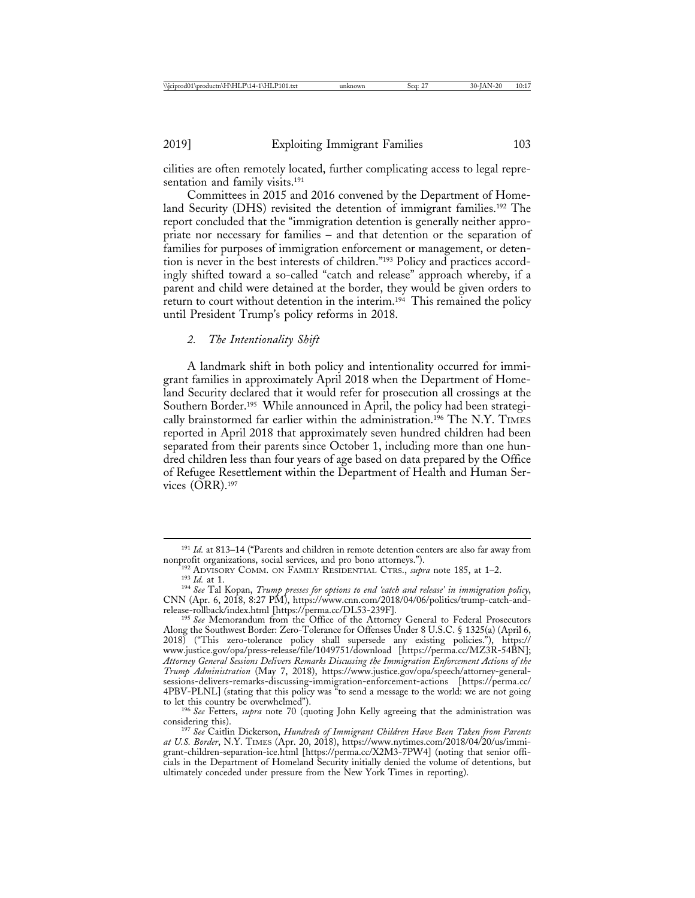cilities are often remotely located, further complicating access to legal representation and family visits.<sup>191</sup>

Committees in 2015 and 2016 convened by the Department of Homeland Security (DHS) revisited the detention of immigrant families.192 The report concluded that the "immigration detention is generally neither appropriate nor necessary for families – and that detention or the separation of families for purposes of immigration enforcement or management, or detention is never in the best interests of children."193 Policy and practices accordingly shifted toward a so-called "catch and release" approach whereby, if a parent and child were detained at the border, they would be given orders to return to court without detention in the interim.<sup>194</sup> This remained the policy until President Trump's policy reforms in 2018.

#### *2. The Intentionality Shift*

A landmark shift in both policy and intentionality occurred for immigrant families in approximately April 2018 when the Department of Homeland Security declared that it would refer for prosecution all crossings at the Southern Border.195 While announced in April, the policy had been strategically brainstormed far earlier within the administration.196 The N.Y. TIMES reported in April 2018 that approximately seven hundred children had been separated from their parents since October 1, including more than one hundred children less than four years of age based on data prepared by the Office of Refugee Resettlement within the Department of Health and Human Services (ORR).197

<sup>&</sup>lt;sup>191</sup> *Id.* at 813–14 ("Parents and children in remote detention centers are also far away from nonprofit organizations, social services, and pro bono attorneys.").

<sup>&</sup>lt;sup>192</sup> ADVISORY COMM. ON FAMILY RESIDENTIAL CTRS., *supra* note 185, at 1–2.<br><sup>193</sup> Id. at 1.<br><sup>194</sup> See Tal Kopan, *Trump presses for options to end 'catch and release' in immigration policy*,

CNN (Apr. 6, 2018, 8:27 PM), https://www.cnn.com/2018/04/06/politics/trump-catch-and-

<sup>&</sup>lt;sup>195</sup> See Memorandum from the Office of the Attorney General to Federal Prosecutors Along the Southwest Border: Zero-Tolerance for Offenses Under 8 U.S.C. § 1325(a) (April 6, 2018) ("This zero-tolerance policy shall supersede any existing policies."), https:// www.justice.gov/opa/press-release/file/1049751/download [https://perma.cc/MZ3R-54BN]; *Attorney General Sessions Delivers Remarks Discussing the Immigration Enforcement Actions of the Trump Administration* (May 7, 2018), https://www.justice.gov/opa/speech/attorney-generalsessions-delivers-remarks-discussing-immigration-enforcement-actions [https://perma.cc/ 4PBV-PLNL] (stating that this policy was "to send a message to the world: we are not going to let this country be overwhelmed").

<sup>&</sup>lt;sup>196</sup> See Fetters, *supra* note 70 (quoting John Kelly agreeing that the administration was considering this).

<sup>&</sup>lt;sup>197</sup> See Caitlin Dickerson, *Hundreds of Immigrant Children Have Been Taken from Parents at U.S. Border*, N.Y. TIMES (Apr. 20, 2018), https://www.nytimes.com/2018/04/20/us/immigrant-children-separation-ice.html [https://perma.cc/X2M3-7PW4] (noting that senior officials in the Department of Homeland Security initially denied the volume of detentions, but ultimately conceded under pressure from the New York Times in reporting).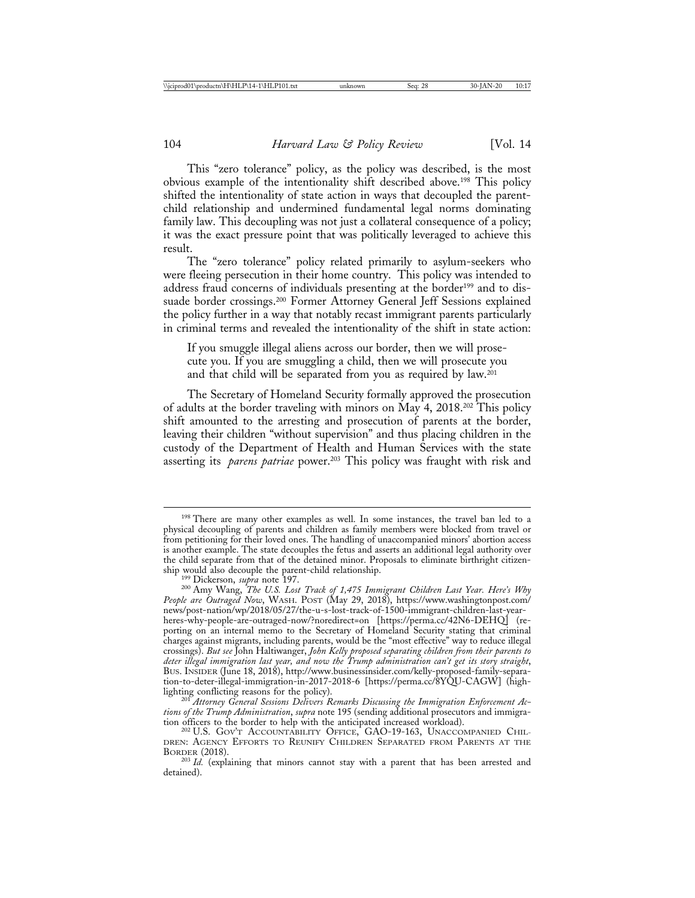This "zero tolerance" policy, as the policy was described, is the most obvious example of the intentionality shift described above.198 This policy shifted the intentionality of state action in ways that decoupled the parentchild relationship and undermined fundamental legal norms dominating family law. This decoupling was not just a collateral consequence of a policy; it was the exact pressure point that was politically leveraged to achieve this result.

The "zero tolerance" policy related primarily to asylum-seekers who were fleeing persecution in their home country. This policy was intended to address fraud concerns of individuals presenting at the border<sup>199</sup> and to dissuade border crossings.200 Former Attorney General Jeff Sessions explained the policy further in a way that notably recast immigrant parents particularly in criminal terms and revealed the intentionality of the shift in state action:

If you smuggle illegal aliens across our border, then we will prosecute you. If you are smuggling a child, then we will prosecute you and that child will be separated from you as required by law.201

The Secretary of Homeland Security formally approved the prosecution of adults at the border traveling with minors on May 4, 2018.202 This policy shift amounted to the arresting and prosecution of parents at the border, leaving their children "without supervision" and thus placing children in the custody of the Department of Health and Human Services with the state asserting its *parens patriae* power.203 This policy was fraught with risk and

<sup>201</sup> Attorney General Sessions Delivers Remarks Discussing the Immigration Enforcement Ac*tions of the Trump Administration*, *supra* note 195 (sending additional prosecutors and immigra-

<sup>202</sup> U.S. GOV'T ACCOUNTABILITY OFFICE, GAO-19-163, UNACCOMPANIED CHILdren: Agency Efforts to Reunify Children Separated from Parents at the<br>Border (2018).

<sup>&</sup>lt;sup>198</sup> There are many other examples as well. In some instances, the travel ban led to a physical decoupling of parents and children as family members were blocked from travel or from petitioning for their loved ones. The handling of unaccompanied minors' abortion access is another example. The state decouples the fetus and asserts an additional legal authority over the child separate from that of the detained minor. Proposals to eliminate birthright citizen-

ship would also decouple the parent-child relationship. <sup>199</sup> Dickerson, *supra* note 197. <sup>200</sup> Amy Wang, *The U.S. Lost Track of 1,475 Immigrant Children Last Year. Here's Why People are Outraged Now*, WASH. POST (May 29, 2018), https://www.washingtonpost.com/ news/post-nation/wp/2018/05/27/the-u-s-lost-track-of-1500-immigrant-children-last-yearheres-why-people-are-outraged-now/?noredirect=on [https://perma.cc/42N6-DEHQ] (reporting on an internal memo to the Secretary of Homeland Security stating that criminal charges against migrants, including parents, would be the "most effective" way to reduce illegal crossings). *But see* John Haltiwanger, *John Kelly proposed separating children from their parents to deter illegal immigration last year, and now the Trump administration can't get its story straight*, BUS. INSIDER (June 18, 2018), http://www.businessinsider.com/kelly-proposed-family-separation-to-deter-illegal-immigration-in-2017-2018-6 [https://perma.cc/8YQU-CAGW] (high-

<sup>&</sup>lt;sup>203</sup> Id. (explaining that minors cannot stay with a parent that has been arrested and detained).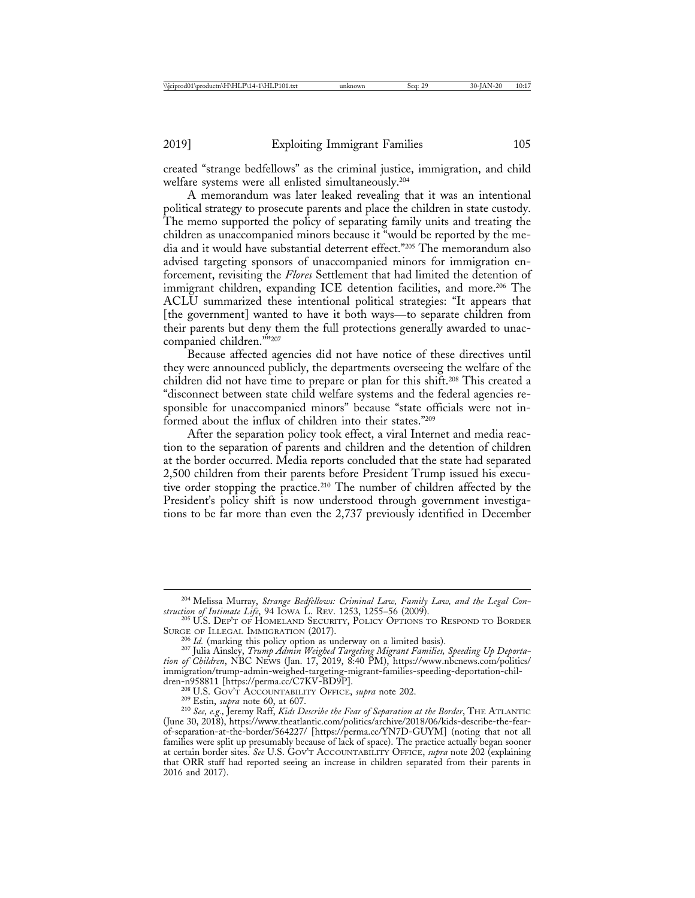created "strange bedfellows" as the criminal justice, immigration, and child welfare systems were all enlisted simultaneously.204

A memorandum was later leaked revealing that it was an intentional political strategy to prosecute parents and place the children in state custody. The memo supported the policy of separating family units and treating the children as unaccompanied minors because it "would be reported by the media and it would have substantial deterrent effect."205 The memorandum also advised targeting sponsors of unaccompanied minors for immigration enforcement, revisiting the *Flores* Settlement that had limited the detention of immigrant children, expanding ICE detention facilities, and more.<sup>206</sup> The ACLU summarized these intentional political strategies: "It appears that [the government] wanted to have it both ways—to separate children from their parents but deny them the full protections generally awarded to unaccompanied children.""207

Because affected agencies did not have notice of these directives until they were announced publicly, the departments overseeing the welfare of the children did not have time to prepare or plan for this shift.<sup>208</sup> This created a "disconnect between state child welfare systems and the federal agencies responsible for unaccompanied minors" because "state officials were not informed about the influx of children into their states."209

After the separation policy took effect, a viral Internet and media reaction to the separation of parents and children and the detention of children at the border occurred. Media reports concluded that the state had separated 2,500 children from their parents before President Trump issued his executive order stopping the practice.<sup>210</sup> The number of children affected by the President's policy shift is now understood through government investigations to be far more than even the 2,737 previously identified in December

<sup>204</sup> Melissa Murray, *Strange Bedfellows: Criminal Law, Family Law, and the Legal Con-*

*struction of Intimate Life*, 94 IOWA L. REV. 1253, 1255–56 (2009). <sup>205</sup> U.S. DEP'T OF HOMELAND SECURITY, POLICY OPTIONS TO RESPOND TO BORDER SURGE OF ILLEGAL IMMIGRATION (2017). <sup>206</sup> *Id.* (marking this policy option as underway on a limited basis). <sup>207</sup> Julia Ainsley, *Trump Admin Weighed Targeting Migrant Families, Speeding Up Deporta-*

*tion of Children*, NBC NEWS (Jan. 17, 2019, 8:40 PM), https://www.nbcnews.com/politics/ immigration/trump-admin-weighed-targeting-migrant-families-speeding-deportation-chil-

dren-n958811 [https://perma.cc/C7KV-BD9P].<br><sup>208</sup> U.S. Gov't Accountability Office, *supra* note 202.<br><sup>209</sup> Estin, *supra* note 60, at 607.<br><sup>210</sup> See, e.g., Jeremy Raff, *Kids Describe the Fear of Separation at the Border*, (June 30, 2018), https://www.theatlantic.com/politics/archive/2018/06/kids-describe-the-fearof-separation-at-the-border/564227/ [https://perma.cc/YN7D-GUYM] (noting that not all families were split up presumably because of lack of space). The practice actually began sooner at certain border sites. *See* U.S. GOV'T ACCOUNTABILITY OFFICE, *supra* note 202 (explaining that ORR staff had reported seeing an increase in children separated from their parents in 2016 and 2017).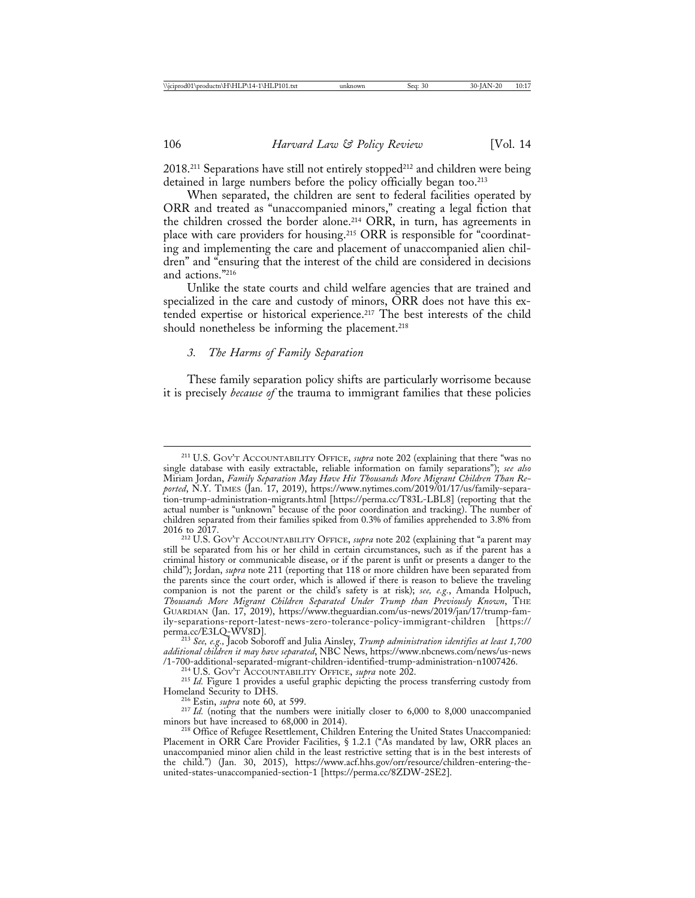2018.<sup>211</sup> Separations have still not entirely stopped<sup>212</sup> and children were being detained in large numbers before the policy officially began too.<sup>213</sup>

When separated, the children are sent to federal facilities operated by ORR and treated as "unaccompanied minors," creating a legal fiction that the children crossed the border alone.214 ORR, in turn, has agreements in place with care providers for housing.215 ORR is responsible for "coordinating and implementing the care and placement of unaccompanied alien children" and "ensuring that the interest of the child are considered in decisions and actions."216

Unlike the state courts and child welfare agencies that are trained and specialized in the care and custody of minors, ORR does not have this extended expertise or historical experience.217 The best interests of the child should nonetheless be informing the placement.<sup>218</sup>

### *3. The Harms of Family Separation*

These family separation policy shifts are particularly worrisome because it is precisely *because of* the trauma to immigrant families that these policies

<sup>211</sup> U.S. GOV'T ACCOUNTABILITY OFFICE, *supra* note 202 (explaining that there "was no single database with easily extractable, reliable information on family separations"); *see also* Miriam Jordan, *Family Separation May Have Hit Thousands More Migrant Children Than Reported*, N.Y. TIMES (Jan. 17, 2019), https://www.nytimes.com/2019/01/17/us/family-separation-trump-administration-migrants.html [https://perma.cc/T83L-LBL8] (reporting that the actual number is "unknown" because of the poor coordination and tracking). The number of children separated from their families spiked from 0.3% of families apprehended to 3.8% from

<sup>&</sup>lt;sup>212</sup> U.S. GOV'T ACCOUNTABILITY OFFICE, *supra* note 202 (explaining that "a parent may still be separated from his or her child in certain circumstances, such as if the parent has a criminal history or communicable disease, or if the parent is unfit or presents a danger to the child"); Jordan, *supra* note 211 (reporting that 118 or more children have been separated from the parents since the court order, which is allowed if there is reason to believe the traveling companion is not the parent or the child's safety is at risk); *see, e.g.*, Amanda Holpuch, *Thousands More Migrant Children Separated Under Trump than Previously Known*, THE GUARDIAN (Jan. 17, 2019), https://www.theguardian.com/us-news/2019/jan/17/trump-family-separations-report-latest-news-zero-tolerance-policy-immigrant-children [https://

<sup>&</sup>lt;sup>213</sup> See, e.g., Jacob Soboroff and Julia Ainsley, *Trump administration identifies at least 1,700 additional children it may have separated*, NBC News, https://www.nbcnews.com/news/us-news

<sup>&</sup>lt;sup>214</sup> U.S. GOV'T ACCOUNTABILITY OFFICE, *supra* note 202.<br><sup>215</sup> *Id.* Figure 1 provides a useful graphic depicting the process transferring custody from Homeland Security to DHS.

<sup>&</sup>lt;sup>216</sup> Estin, *supra* note 60, at 599. <sup>217</sup> *Id.* (noting that the numbers were initially closer to 6,000 to 8,000 unaccompanied minors but have increased to 68,000 in 2014).

<sup>&</sup>lt;sup>218</sup> Office of Refugee Resettlement, Children Entering the United States Unaccompanied: Placement in ORR Care Provider Facilities, § 1.2.1 ("As mandated by law, ORR places an unaccompanied minor alien child in the least restrictive setting that is in the best interests of the child.") (Jan. 30, 2015), https://www.acf.hhs.gov/orr/resource/children-entering-theunited-states-unaccompanied-section-1 [https://perma.cc/8ZDW-2SE2].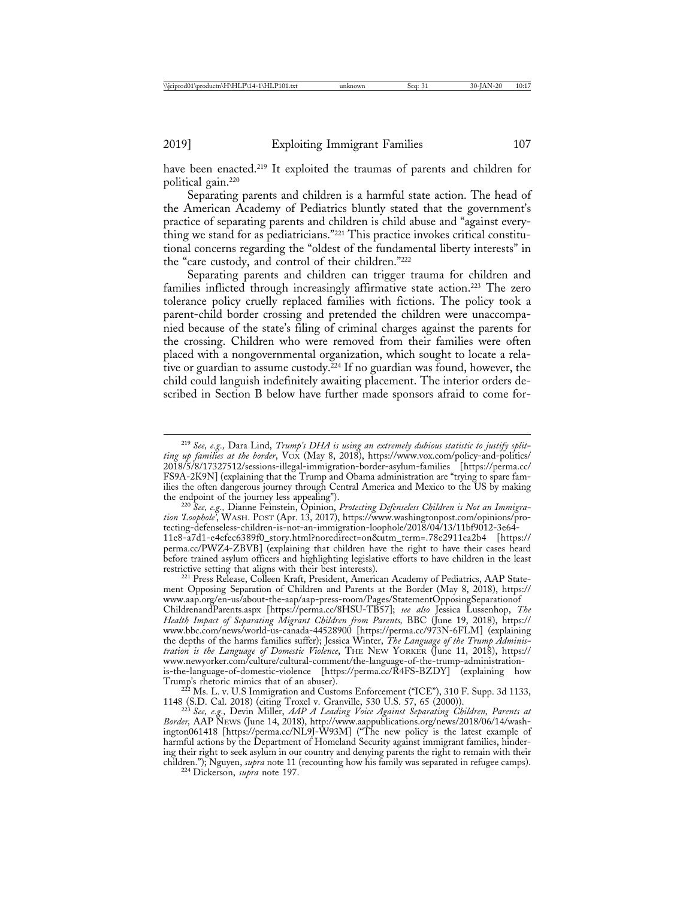have been enacted.<sup>219</sup> It exploited the traumas of parents and children for political gain.220

Separating parents and children is a harmful state action. The head of the American Academy of Pediatrics bluntly stated that the government's practice of separating parents and children is child abuse and "against everything we stand for as pediatricians."221 This practice invokes critical constitutional concerns regarding the "oldest of the fundamental liberty interests" in the "care custody, and control of their children."222

Separating parents and children can trigger trauma for children and families inflicted through increasingly affirmative state action.223 The zero tolerance policy cruelly replaced families with fictions. The policy took a parent-child border crossing and pretended the children were unaccompanied because of the state's filing of criminal charges against the parents for the crossing. Children who were removed from their families were often placed with a nongovernmental organization, which sought to locate a relative or guardian to assume custody. $^{224}$  If no guardian was found, however, the child could languish indefinitely awaiting placement. The interior orders described in Section B below have further made sponsors afraid to come for-

<sup>220</sup> See, e.g., Dianne Feinstein, Opinion, *Protecting Defenseless Children is Not an Immigration 'Loophole'*, WASH. POST (Apr. 13, 2017), https://www.washingtonpost.com/opinions/protecting-defenseless-children-is-not-an-immigration-loophole/2018/04/13/11bf9012-3e64- 11e8-a7d1-e4efec6389f0\_story.html?noredirect=on&utm\_term=.78e2911ca2b4 [https:// perma.cc/PWZ4-ZBVB] (explaining that children have the right to have their cases heard before trained asylum officers and highlighting legislative efforts to have children in the least

restrictive setting that aligns with their best interests).<br><sup>221</sup> Press Release, Colleen Kraft, President, American Academy of Pediatrics, AAP Statement Opposing Separation of Children and Parents at the Border (May 8, 2018), https:// www.aap.org/en-us/about-the-aap/aap-press-room/Pages/StatementOpposingSeparationof ChildrenandParents.aspx [https://perma.cc/8HSU-TB57]; *see also* Jessica Lussenhop, *The Health Impact of Separating Migrant Children from Parents,* BBC (June 19, 2018), https:// www.bbc.com/news/world-us-canada-44528900 [https://perma.cc/973N-6FLM] (explaining the depths of the harms families suffer); Jessica Winter, *The Language of the Trump Administration is the Language of Domestic Violence*, THE NEW YORKER (June 11, 2018), https:// www.newyorker.com/culture/cultural-comment/the-language-of-the-trump-administrationis-the-language-of-domestic-violence [https://perma.cc/R4FS-BZDY] (explaining how

 $T<sup>222</sup>$  Ms. L. v. U.S Immigration and Customs Enforcement ("ICE"), 310 F. Supp. 3d 1133,

1148 (S.D. Cal. 2018) (citing Troxel v. Granville, 530 U.S. 57, 65 (2000)). <sup>223</sup> *See, e.g.,* Devin Miller, *AAP A Leading Voice Against Separating Children, Parents at Border,* AAP NEWS (June 14, 2018), http://www.aappublications.org/news/2018/06/14/washington061418 [https://perma.cc/NL9J-W93M] ("The new policy is the latest example of harmful actions by the Department of Homeland Security against immigrant families, hindering their right to seek asylum in our country and denying parents the right to remain with their children."); Nguyen, *supra* note 11 (recounting how his family was separated in refugee camps). <sup>224</sup> Dickerson, *supra* note 197.

<sup>219</sup> *See, e.g.,* Dara Lind, *Trump's DHA is using an extremely dubious statistic to justify splitting up families at the border*, VOX (May 8, 2018), https://www.vox.com/policy-and-politics/ 2018/5/8/17327512/sessions-illegal-immigration-border-asylum-families [https://perma.cc/ FS9A-2K9N] (explaining that the Trump and Obama administration are "trying to spare families the often dangerous journey through Central America and Mexico to the US by making the endpoint of the journey less appealing").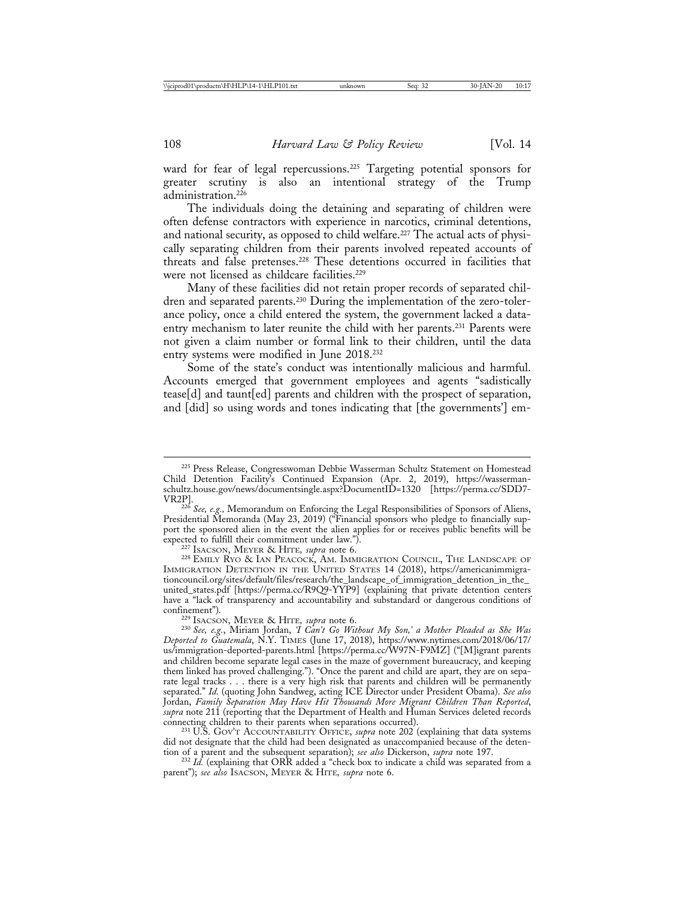ward for fear of legal repercussions.<sup>225</sup> Targeting potential sponsors for greater scrutiny is also an intentional strategy of the Trump administration.226

The individuals doing the detaining and separating of children were often defense contractors with experience in narcotics, criminal detentions, and national security, as opposed to child welfare.<sup>227</sup> The actual acts of physically separating children from their parents involved repeated accounts of threats and false pretenses.228 These detentions occurred in facilities that were not licensed as childcare facilities.<sup>229</sup>

Many of these facilities did not retain proper records of separated children and separated parents.<sup>230</sup> During the implementation of the zero-tolerance policy, once a child entered the system, the government lacked a dataentry mechanism to later reunite the child with her parents.<sup>231</sup> Parents were not given a claim number or formal link to their children, until the data entry systems were modified in June 2018.232

Some of the state's conduct was intentionally malicious and harmful. Accounts emerged that government employees and agents "sadistically tease[d] and taunt[ed] parents and children with the prospect of separation, and [did] so using words and tones indicating that [the governments'] em-

<sup>227</sup> Isacson, Meyer & Hite, *supra* note 6.<br><sup>228</sup> Emily Ryo & Ian Peacock, Am. Immigration Council, The Landscape of IMMIGRATION DETENTION IN THE UNITED STATES 14 (2018), https://americanimmigrationcouncil.org/sites/default/files/research/the\_landscape\_of\_immigration\_detention\_in\_the\_ united\_states.pdf [https://perma.cc/R9Q9-YYP9] (explaining that private detention centers have a "lack of transparency and accountability and substandard or dangerous conditions of confinement")*.* <sup>229</sup> ISACSON, MEYER & HITE*, supra* note 6. <sup>230</sup> *See, e.g.*, Miriam Jordan, *'I Can't Go Without My Son,' a Mother Pleaded as She Was*

*Deported to Guatemala*, N.Y. TIMES (June 17, 2018), https://www.nytimes.com/2018/06/17/ us/immigration-deported-parents.html [https://perma.cc/W97N-F9MZ] ("[M]igrant parents and children become separate legal cases in the maze of government bureaucracy, and keeping them linked has proved challenging."). "Once the parent and child are apart, they are on separate legal tracks . . . there is a very high risk that parents and children will be permanently separated." *Id.* (quoting John Sandweg, acting ICE Director under President Obama). *See also* Jordan, *Family Separation May Have Hit Thousands More Migrant Children Than Reported*, *supra* note 211 (reporting that the Department of Health and Human Services deleted records connecting children to their parents when separations occurred). <sup>231</sup> U.S. GOV'T ACCOUNTABILITY OFFICE, *supra* note 202 (explaining that data systems

did not designate that the child had been designated as unaccompanied because of the detention of a parent and the subsequent separation); see also Dickerson, supra note 197.

<sup>232</sup> Id. (explaining that ORR added a "check box to indicate a child was separated from a parent"); *see also* ISACSON, MEYER & HITE*, supra* note 6.

<sup>225</sup> Press Release, Congresswoman Debbie Wasserman Schultz Statement on Homestead Child Detention Facility's Continued Expansion (Apr. 2, 2019), https://wassermanschultz.house.gov/news/documentsingle.aspx?DocumentID=1320 [https://perma.cc/SDD7-

<sup>&</sup>lt;sup>226</sup> See, e.g., Memorandum on Enforcing the Legal Responsibilities of Sponsors of Aliens, Presidential Memoranda (May 23, 2019) ("Financial sponsors who pledge to financially support the sponsored alien in the event the alien applies for or receives public benefits will be expected to fulfill their commitment under law.").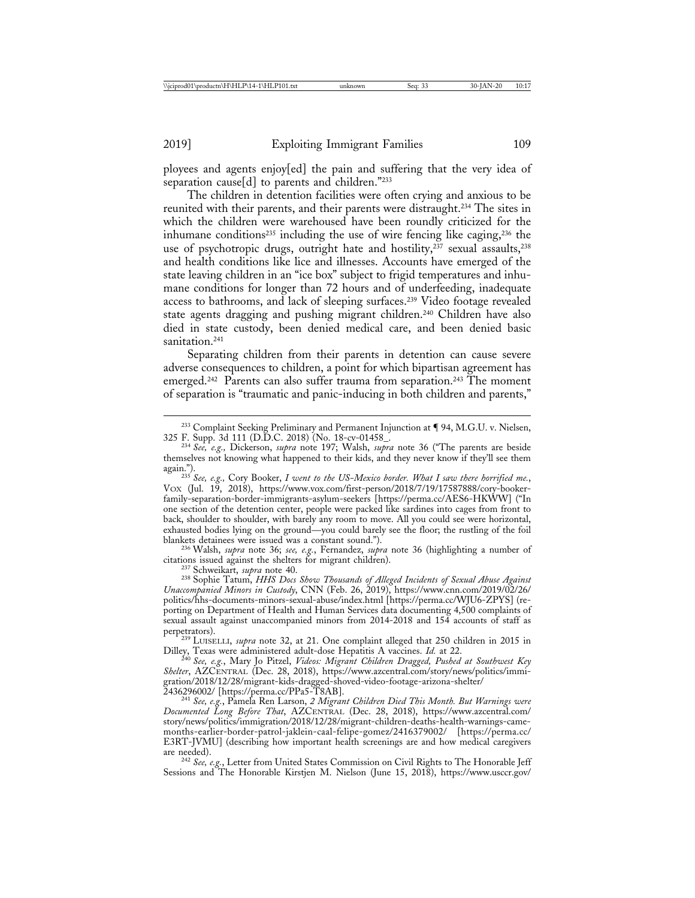ployees and agents enjoy[ed] the pain and suffering that the very idea of separation cause[d] to parents and children."233

The children in detention facilities were often crying and anxious to be reunited with their parents, and their parents were distraught.234 The sites in which the children were warehoused have been roundly criticized for the inhumane conditions<sup>235</sup> including the use of wire fencing like caging, $236$  the use of psychotropic drugs, outright hate and hostility, $237$  sexual assaults, $238$ and health conditions like lice and illnesses. Accounts have emerged of the state leaving children in an "ice box" subject to frigid temperatures and inhumane conditions for longer than 72 hours and of underfeeding, inadequate access to bathrooms, and lack of sleeping surfaces.239 Video footage revealed state agents dragging and pushing migrant children.<sup>240</sup> Children have also died in state custody, been denied medical care, and been denied basic sanitation.<sup>241</sup>

Separating children from their parents in detention can cause severe adverse consequences to children, a point for which bipartisan agreement has emerged.<sup>242</sup> Parents can also suffer trauma from separation.<sup>243</sup> The moment of separation is "traumatic and panic-inducing in both children and parents,"

blankets detainees were issued was a constant sound.").<br><sup>236</sup> Walsh, *supra* note 36; *see, e.g.*, Fernandez, *supra* note 36 (highlighting a number of citations issued against the shelters for migrant children).

<sup>237</sup> Schweikart, *supra* note 40.<br><sup>238</sup> Sophie Tatum, *HHS Docs Show Thousands of Alleged Incidents of Sexual Abuse Against Unaccompanied Minors in Custody*, CNN (Feb. 26, 2019), https://www.cnn.com/2019/02/26/ politics/hhs-documents-minors-sexual-abuse/index.html [https://perma.cc/WJU6-ZPYS] (reporting on Department of Health and Human Services data documenting 4,500 complaints of sexual assault against unaccompanied minors from 2014-2018 and 154 accounts of staff as

 $\frac{1}{2}$ <sup>1</sup> <sup>239</sup> LUISELLI, *supra* note 32, at 21. One complaint alleged that 250 children in 2015 in Dilley, Texas were administered adult-dose Hepatitis A vaccines. *Id.* at 22.

Dilley, Texas were administered adult-dose Hepatitis A vaccines. *Id.* at 22. <sup>240</sup> *See, e.g.*, Mary Jo Pitzel, *Videos: Migrant Children Dragged, Pushed at Southwest Key Shelter*, AZCENTRAL (Dec. 28, 2018), https://www.azcentral.com/story/news/politics/immigration/2018/12/28/migrant-kids-dragged-shoved-video-footage-arizona-shelter/

<sup>241</sup> See, e.g., Pamela Ren Larson, 2 Migrant Children Died This Month. But Warnings were *Documented Long Before That*, AZCENTRAL (Dec. 28, 2018), https://www.azcentral.com/ story/news/politics/immigration/2018/12/28/migrant-children-deaths-health-warnings-camemonths-earlier-border-patrol-jaklein-caal-felipe-gomez/2416379002/ [https://perma.cc/ E3RT-JVMU] (describing how important health screenings are and how medical caregivers

<sup>242</sup> See, e.g., Letter from United States Commission on Civil Rights to The Honorable Jeff Sessions and The Honorable Kirstjen M. Nielson (June 15, 2018), https://www.usccr.gov/

 $^{233}$  Complaint Seeking Preliminary and Permanent Injunction at  $\P$  94, M.G.U. v. Nielsen, 325 F. Supp. 3d 111 (D.D.C. 2018) (No. 18-cv-01458\_.

<sup>&</sup>lt;sup>234</sup> See, e.g., Dickerson, *supra* note 197; Walsh, *supra* note 36 ("The parents are beside themselves not knowing what happened to their kids, and they never know if they'll see them

again."). <sup>235</sup> *See, e.g.,* Cory Booker, *I went to the US-Mexico border. What I saw there horrified me.*, VOX (Jul. 19, 2018), https://www.vox.com/first-person/2018/7/19/17587888/cory-bookerfamily-separation-border-immigrants-asylum-seekers [https://perma.cc/AES6-HKWW] ("In one section of the detention center, people were packed like sardines into cages from front to back, shoulder to shoulder, with barely any room to move. All you could see were horizontal, exhausted bodies lying on the ground—you could barely see the floor; the rustling of the foil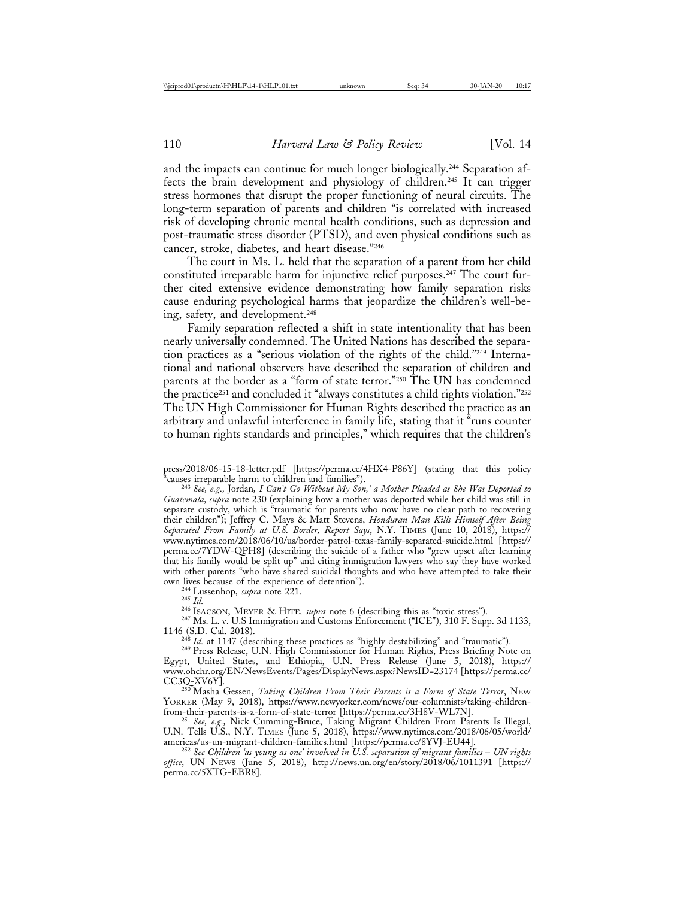and the impacts can continue for much longer biologically.244 Separation affects the brain development and physiology of children.245 It can trigger stress hormones that disrupt the proper functioning of neural circuits. The long-term separation of parents and children "is correlated with increased risk of developing chronic mental health conditions, such as depression and post-traumatic stress disorder (PTSD), and even physical conditions such as cancer, stroke, diabetes, and heart disease."246

The court in Ms. L. held that the separation of a parent from her child constituted irreparable harm for injunctive relief purposes.<sup>247</sup> The court further cited extensive evidence demonstrating how family separation risks cause enduring psychological harms that jeopardize the children's well-being, safety, and development.248

Family separation reflected a shift in state intentionality that has been nearly universally condemned. The United Nations has described the separation practices as a "serious violation of the rights of the child."249 International and national observers have described the separation of children and parents at the border as a "form of state terror."250 The UN has condemned the practice251 and concluded it "always constitutes a child rights violation."252 The UN High Commissioner for Human Rights described the practice as an arbitrary and unlawful interference in family life, stating that it "runs counter to human rights standards and principles," which requires that the children's

<sup>248</sup> *Id.* at 1147 (describing these practices as "highly destabilizing" and "traumatic"). <sup>249</sup> Press Release, U.N. High Commissioner for Human Rights, Press Briefing Note on

press/2018/06-15-18-letter.pdf [https://perma.cc/4HX4-P86Y] (stating that this policy "causes irreparable harm to children and families").

<sup>&</sup>lt;sup>243</sup> See, e.g., Jordan, *I Can't Go Without My Son,' a Mother Pleaded as She Was Deported to Guatemala*, *supra* note 230 (explaining how a mother was deported while her child was still in separate custody, which is "traumatic for parents who now have no clear path to recovering their children"); Jeffrey C. Mays & Matt Stevens, *Honduran Man Kills Himself After Being Separated From Family at U.S. Border, Report Says*, N.Y. TIMES (June 10, 2018), https:// www.nytimes.com/2018/06/10/us/border-patrol-texas-family-separated-suicide.html [https:// perma.cc/7YDW-QPH8] (describing the suicide of a father who "grew upset after learning that his family would be split up" and citing immigration lawyers who say they have worked with other parents "who have shared suicidal thoughts and who have attempted to take their own lives because of the experience of detention").

<sup>&</sup>lt;sup>244</sup> Lussenhop, *supra* note 221.<br><sup>245</sup> Id.<br><sup>246</sup> ISACSON, MEYER & HITE, *supra* note 6 (describing this as "toxic stress").<br><sup>247</sup> Ms. L. v. U.S Immigration and Customs Enforcement ("ICE"), 310 F. Supp. 3d 1133,<br>1146 (S.

Egypt, United States, and Ethiopia, U.N. Press Release (June 5, 2018), https:// www.ohchr.org/EN/NewsEvents/Pages/DisplayNews.aspx?NewsID=23174 [https://perma.cc/

<sup>&</sup>lt;sup>250</sup> Masha Gessen, *Taking Children From Their Parents is a Form of State Terror*, NEW YORKER (May 9, 2018), https://www.newyorker.com/news/our-columnists/taking-children-<br>from-their-parents-is-a-form-of-state-terror [https://perma.cc/3H8V-WL7N].

from-their-parents-is-a-form-of-state-terror [https://perma.cc/3H8V-WL7N]. <sup>251</sup> *See, e.g.,* Nick Cumming-Bruce, Taking Migrant Children From Parents Is Illegal, U.N. Tells U.S., N.Y. TIMES (June 5, 2018), https://www.nytimes.com/2018/06/05/world/ americas/us-un-migrant-children-families.html [https://perma.cc/8YVJ-EU44]. <sup>252</sup> *See Children 'as young as one' involved in U.S. separation of migrant families* – *UN rights*

*office*, UN NEWS (June 5, 2018), http://news.un.org/en/story/2018/06/1011391 [https:// perma.cc/5XTG-EBR8].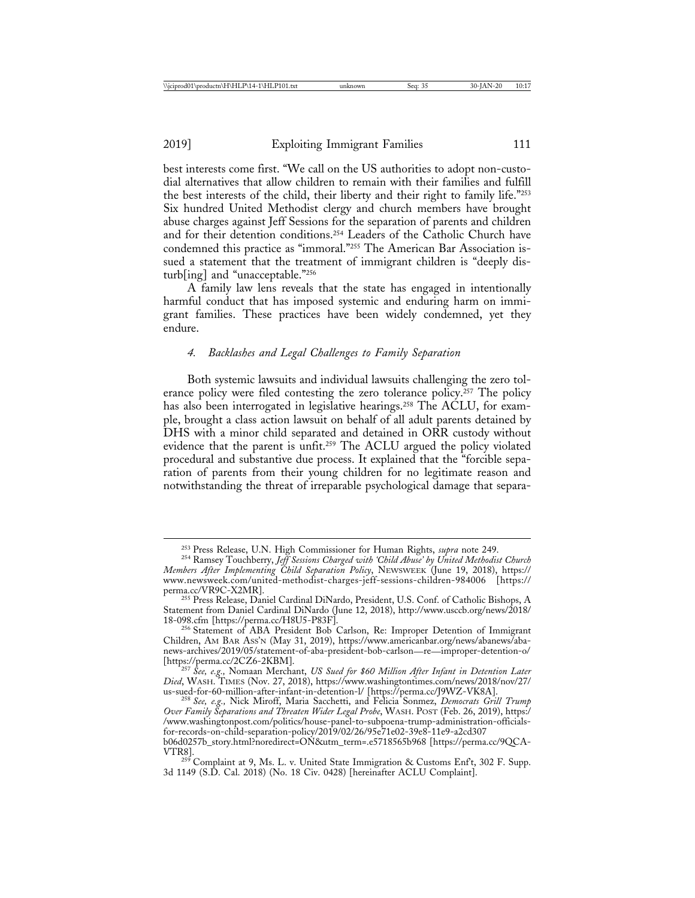2019] Exploiting Immigrant Families 111

best interests come first. "We call on the US authorities to adopt non-custodial alternatives that allow children to remain with their families and fulfill the best interests of the child, their liberty and their right to family life."253 Six hundred United Methodist clergy and church members have brought abuse charges against Jeff Sessions for the separation of parents and children and for their detention conditions.254 Leaders of the Catholic Church have condemned this practice as "immoral."255 The American Bar Association issued a statement that the treatment of immigrant children is "deeply disturb[ing] and "unacceptable."256

A family law lens reveals that the state has engaged in intentionally harmful conduct that has imposed systemic and enduring harm on immigrant families. These practices have been widely condemned, yet they endure.

## *4. Backlashes and Legal Challenges to Family Separation*

Both systemic lawsuits and individual lawsuits challenging the zero tolerance policy were filed contesting the zero tolerance policy.<sup>257</sup> The policy has also been interrogated in legislative hearings.<sup>258</sup> The ACLU, for example, brought a class action lawsuit on behalf of all adult parents detained by DHS with a minor child separated and detained in ORR custody without evidence that the parent is unfit.259 The ACLU argued the policy violated procedural and substantive due process. It explained that the "forcible separation of parents from their young children for no legitimate reason and notwithstanding the threat of irreparable psychological damage that separa-

<sup>&</sup>lt;sup>253</sup> Press Release, U.N. High Commissioner for Human Rights, *supra* note 249.<br><sup>254</sup> Ramsey Touchberry, *Jeff Sessions Charged with 'Child Abuse' by United Methodist Church Members After Implementing Child Separation Policy*, NEWSWEEK (June 19, 2018), https:// www.newsweek.com/united-methodist-charges-jeff-sessions-children-984006 [https://

<sup>&</sup>lt;sup>255</sup> Press Release, Daniel Cardinal DiNardo, President, U.S. Conf. of Catholic Bishops, A Statement from Daniel Cardinal DiNardo (June 12, 2018), http://www.usccb.org/news/2018/

<sup>&</sup>lt;sup>256</sup> Statement of ABA President Bob Carlson, Re: Improper Detention of Immigrant Children, AM BAR ASS'N (May 31, 2019), https://www.americanbar.org/news/abanews/abanews-archives/2019/05/statement-of-aba-president-bob-carlson—re—improper-detention-o/

<sup>&</sup>lt;sup>257</sup> See, e.g., Nomaan Merchant, *US Sued for \$60 Million After Infant in Detention Later Died*, WASH. TIMES (Nov. 27, 2018), https://www.washingtontimes.com/news/2018/nov/27/

<sup>&</sup>lt;sup>258</sup> See, e.g., Nick Miroff, Maria Sacchetti, and Felicia Sonmez, *Democrats Grill Trump Over Family Separations and Threaten Wider Legal Probe*, WASH. POST (Feb. 26, 2019), https:/ /www.washingtonpost.com/politics/house-panel-to-subpoena-trump-administration-officialsfor-records-on-child-separation-policy/2019/02/26/95e71e02-39e8-11e9-a2cd307

b06d0257b\_story.html?noredirect=ON&utm\_term=.e5718565b968 [https://perma.cc/9QCA-

<sup>&</sup>lt;sup>259</sup> Complaint at 9, Ms. L. v. United State Immigration & Customs Enf<sup>t</sup>, 302 F. Supp. 3d 1149 (S.D. Cal. 2018) (No. 18 Civ. 0428) [hereinafter ACLU Complaint].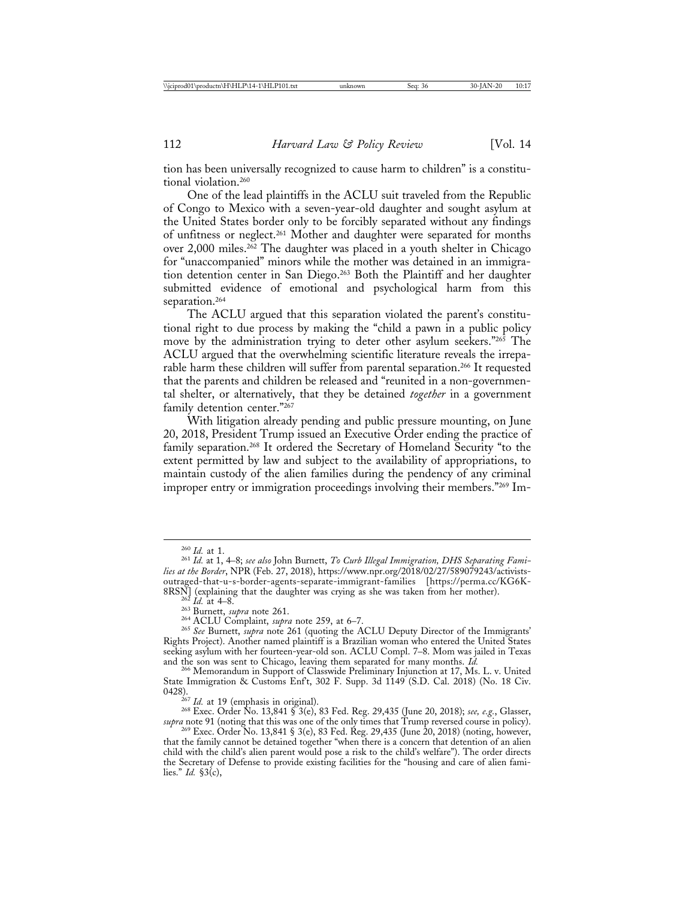tion has been universally recognized to cause harm to children" is a constitutional violation.260

One of the lead plaintiffs in the ACLU suit traveled from the Republic of Congo to Mexico with a seven-year-old daughter and sought asylum at the United States border only to be forcibly separated without any findings of unfitness or neglect.261 Mother and daughter were separated for months over 2,000 miles.<sup>262</sup> The daughter was placed in a youth shelter in Chicago for "unaccompanied" minors while the mother was detained in an immigration detention center in San Diego.<sup>263</sup> Both the Plaintiff and her daughter submitted evidence of emotional and psychological harm from this separation.<sup>264</sup>

The ACLU argued that this separation violated the parent's constitutional right to due process by making the "child a pawn in a public policy move by the administration trying to deter other asylum seekers."265 The ACLU argued that the overwhelming scientific literature reveals the irreparable harm these children will suffer from parental separation.266 It requested that the parents and children be released and "reunited in a non-governmental shelter, or alternatively, that they be detained *together* in a government family detention center."267

With litigation already pending and public pressure mounting, on June 20, 2018, President Trump issued an Executive Order ending the practice of family separation.<sup>268</sup> It ordered the Secretary of Homeland Security "to the extent permitted by law and subject to the availability of appropriations, to maintain custody of the alien families during the pendency of any criminal improper entry or immigration proceedings involving their members."269 Im-

<sup>260</sup> *Id.* at 1. <sup>261</sup> *Id.* at 1, 4–8; *see also* John Burnett, *To Curb Illegal Immigration, DHS Separating Families at the Border*, NPR (Feb. 27, 2018), https://www.npr.org/2018/02/27/589079243/activistsoutraged-that-u-s-border-agents-separate-immigrant-families [https://perma.cc/KG6K-

<sup>&</sup>lt;sup>262</sup> Id. at 4–8.<br>
<sup>263</sup> Burnett, *supra* note 261.<br>
<sup>263</sup> Burnett, *supra* note 261.<br>
<sup>264</sup> ACLU Complaint, *supra* note 259, at 6–7.<br>
<sup>265</sup> *See* Burnett, *supra* note 261 (quoting the ACLU Deputy Director of the Immigra Rights Project). Another named plaintiff is a Brazilian woman who entered the United States seeking asylum with her fourteen-year-old son. ACLU Compl. 7–8. Mom was jailed in Texas and the son was sent to Chicago, leaving them separated for many months. *Id.* <sup>266</sup> Memorandum in Support of Classwide Preliminary Injunction at 17, Ms. L. v. United

State Immigration & Customs Enf't, 302 F. Supp. 3d 1149 (S.D. Cal. 2018) (No. 18 Civ. 0428). <sup>267</sup> *Id.* at 19 (emphasis in original). <sup>268</sup> Exec. Order No. 13,841 § 3(e), 83 Fed. Reg. 29,435 (June 20, 2018); *see, e.g.*, Glasser,

*supra* note 91 (noting that this was one of the only times that Trump reversed course in policy).

<sup>269</sup> Exec. Order No. 13,841 § 3(e), 83 Fed. Reg. 29,435 (June 20, 2018) (noting, however, that the family cannot be detained together "when there is a concern that detention of an alien child with the child's alien parent would pose a risk to the child's welfare"). The order directs the Secretary of Defense to provide existing facilities for the "housing and care of alien families." *Id.* §3(c),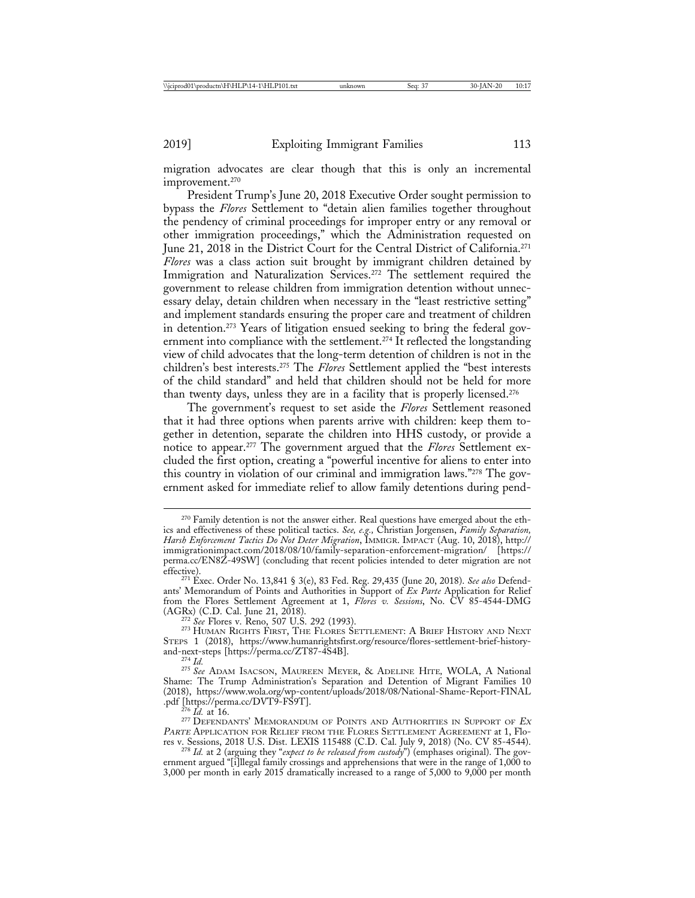migration advocates are clear though that this is only an incremental improvement.270

President Trump's June 20, 2018 Executive Order sought permission to bypass the *Flores* Settlement to "detain alien families together throughout the pendency of criminal proceedings for improper entry or any removal or other immigration proceedings," which the Administration requested on June 21, 2018 in the District Court for the Central District of California.<sup>271</sup> *Flores* was a class action suit brought by immigrant children detained by Immigration and Naturalization Services.<sup>272</sup> The settlement required the government to release children from immigration detention without unnecessary delay, detain children when necessary in the "least restrictive setting" and implement standards ensuring the proper care and treatment of children in detention.273 Years of litigation ensued seeking to bring the federal government into compliance with the settlement.<sup>274</sup> It reflected the longstanding view of child advocates that the long-term detention of children is not in the children's best interests.275 The *Flores* Settlement applied the "best interests of the child standard" and held that children should not be held for more than twenty days, unless they are in a facility that is properly licensed.276

The government's request to set aside the *Flores* Settlement reasoned that it had three options when parents arrive with children: keep them together in detention, separate the children into HHS custody, or provide a notice to appear.277 The government argued that the *Flores* Settlement excluded the first option, creating a "powerful incentive for aliens to enter into this country in violation of our criminal and immigration laws."278 The government asked for immediate relief to allow family detentions during pend-

<sup>&</sup>lt;sup>270</sup> Family detention is not the answer either. Real questions have emerged about the ethics and effectiveness of these political tactics. *See, e.g.,* Christian Jorgensen, *Family Separation, Harsh Enforcement Tactics Do Not Deter Migration*, IMMIGR. IMPACT (Aug. 10, 2018), http:// immigrationimpact.com/2018/08/10/family-separation-enforcement-migration/ [https:// perma.cc/EN8Z-49SW] (concluding that recent policies intended to deter migration are not

<sup>&</sup>lt;sup>271</sup> Exec. Order No. 13,841 § 3(e), 83 Fed. Reg. 29,435 (June 20, 2018). *See also* Defendants' Memorandum of Points and Authorities in Support of *Ex Parte* Application for Relief from the Flores Settlement Agreement at 1, *Flores v. Sessions*, No. CV 85-4544-DMG

<sup>&</sup>lt;sup>272</sup> See Flores v. Reno, 507 U.S. 292 (1993).<br><sup>273</sup> Human Rights First, The Flores Settlement: A Brief History and Next STEPS 1 (2018), https://www.humanrightsfirst.org/resource/flores-settlement-brief-history-<br>and-next-steps [https://perma.cc/ZT87-4S4B].

<sup>&</sup>lt;sup>274</sup> Id.<sup>275</sup> See ADAM IsACSON, MAUREEN MEYER, & ADELINE HITE, WOLA, A National Shame: The Trump Administration's Separation and Detention of Migrant Families 10 (2018), https://www.wola.org/wp-content/uploads/2018/08/National-Shame-Report-FINAL

<sup>&</sup>lt;sup>276</sup> Id. at 16.<br><sup>277</sup> Defendants' Memorandum of Points and Authorities in Support of *Ex* PARTE APPLICATION FOR RELIEF FROM THE FLORES SETTLEMENT AGREEMENT at 1, Flo-<br>res v. Sessions, 2018 U.S. Dist. LEXIS 115488 (C.D. Cal. July 9, 2018) (No. CV 85-4544).

<sup>&</sup>lt;sup>278</sup> Id. at 2 (arguing they "*expect to be released from custody*") (emphases original). The government argued "[i]llegal family crossings and apprehensions that were in the range of 1,000 to 3,000 per month in early 2015 dramatically increased to a range of 5,000 to 9,000 per month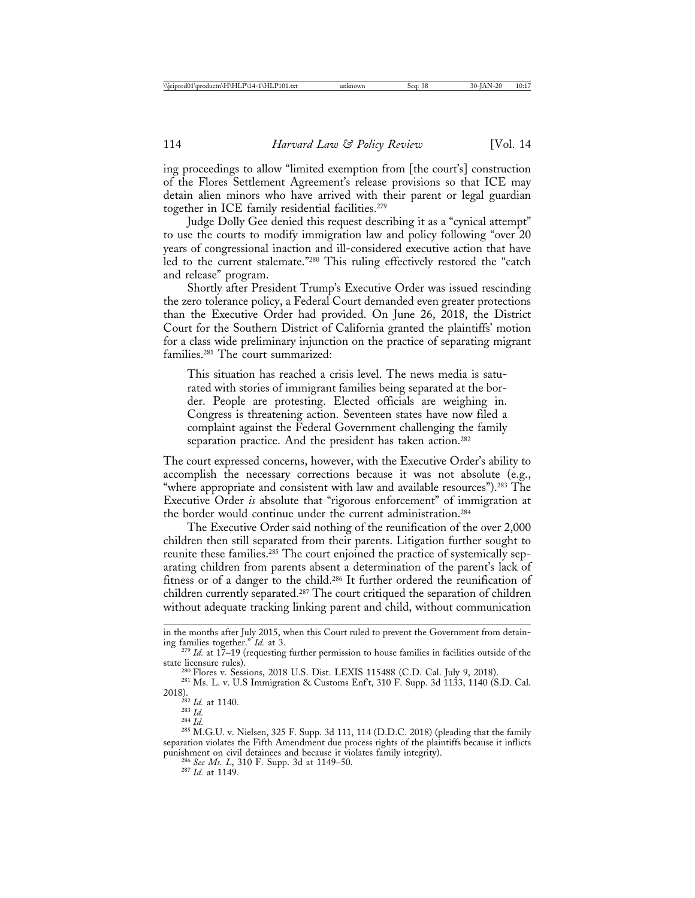ing proceedings to allow "limited exemption from [the court's] construction of the Flores Settlement Agreement's release provisions so that ICE may detain alien minors who have arrived with their parent or legal guardian together in ICE family residential facilities.279

Judge Dolly Gee denied this request describing it as a "cynical attempt" to use the courts to modify immigration law and policy following "over 20 years of congressional inaction and ill-considered executive action that have led to the current stalemate."280 This ruling effectively restored the "catch and release" program.

Shortly after President Trump's Executive Order was issued rescinding the zero tolerance policy, a Federal Court demanded even greater protections than the Executive Order had provided. On June 26, 2018, the District Court for the Southern District of California granted the plaintiffs' motion for a class wide preliminary injunction on the practice of separating migrant families.281 The court summarized:

This situation has reached a crisis level. The news media is saturated with stories of immigrant families being separated at the border. People are protesting. Elected officials are weighing in. Congress is threatening action. Seventeen states have now filed a complaint against the Federal Government challenging the family separation practice. And the president has taken action.<sup>282</sup>

The court expressed concerns, however, with the Executive Order's ability to accomplish the necessary corrections because it was not absolute (e.g., "where appropriate and consistent with law and available resources").<sup>283</sup> The Executive Order *is* absolute that "rigorous enforcement" of immigration at the border would continue under the current administration.<sup>284</sup>

The Executive Order said nothing of the reunification of the over 2,000 children then still separated from their parents. Litigation further sought to reunite these families.<sup>285</sup> The court enjoined the practice of systemically separating children from parents absent a determination of the parent's lack of fitness or of a danger to the child.286 It further ordered the reunification of children currently separated.287 The court critiqued the separation of children without adequate tracking linking parent and child, without communication

in the months after July 2015, when this Court ruled to prevent the Government from detain-

ing families together." *Id.* at 3.<br><sup>279</sup> *Id.* at 17–19 (requesting further permission to house families in facilities outside of the state licensure rules).

<sup>&</sup>lt;sup>280</sup> Flores v. Sessions, 2018 U.S. Dist. LEXIS 115488 (C.D. Cal. July 9, 2018). <sup>281</sup> Ms. L. v. U.S Immigration & Customs Enf<sup>t</sup>t, 310 F. Supp. 3d 1133, 1140 (S.D. Cal. 2018).

<sup>&</sup>lt;sup>282</sup> *Id.* at 1140.<br><sup>283</sup> *Id.*<br><sup>284</sup> *Id.* 284 *Id.* 284 *Id.* 284 *Id.* 285 F. Supp. 3d 111, 114 (D.D.C. 2018) (pleading that the family separation violates the Fifth Amendment due process rights of the plaintiffs because it inflicts punishment on civil detainees and because it violates family integrity). <sup>286</sup> *See Ms. L*, 310 F. Supp. 3d at 1149–50. <sup>287</sup> *Id.* at 1149.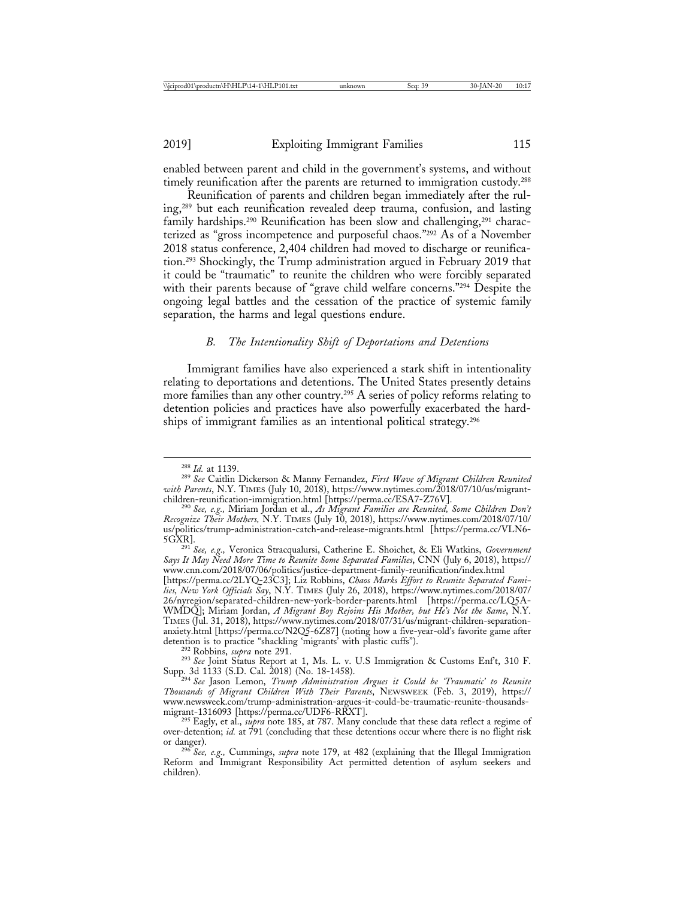enabled between parent and child in the government's systems, and without timely reunification after the parents are returned to immigration custody.288

Reunification of parents and children began immediately after the ruling,289 but each reunification revealed deep trauma, confusion, and lasting family hardships.<sup>290</sup> Reunification has been slow and challenging,<sup>291</sup> characterized as "gross incompetence and purposeful chaos."292 As of a November 2018 status conference, 2,404 children had moved to discharge or reunification.293 Shockingly, the Trump administration argued in February 2019 that it could be "traumatic" to reunite the children who were forcibly separated with their parents because of "grave child welfare concerns."<sup>294</sup> Despite the ongoing legal battles and the cessation of the practice of systemic family separation, the harms and legal questions endure.

## *B. The Intentionality Shift of Deportations and Detentions*

Immigrant families have also experienced a stark shift in intentionality relating to deportations and detentions. The United States presently detains more families than any other country.295 A series of policy reforms relating to detention policies and practices have also powerfully exacerbated the hardships of immigrant families as an intentional political strategy.296

<sup>288</sup> *Id.* at 1139. <sup>289</sup> *See* Caitlin Dickerson & Manny Fernandez, *First Wave of Migrant Children Reunited with Parents*, N.Y. TIMES (July 10, 2018), https://www.nytimes.com/2018/07/10/us/migrant-children-reunification-immigration.html [https://perma.cc/ESA7-Z76V].

<sup>&</sup>lt;sup>290</sup> See, e.g., Miriam Jordan et al., *As Migrant Families are Reunited*, Some Children Don't *Recognize Their Mothers,* N.Y. TIMES (July 10, 2018), https://www.nytimes.com/2018/07/10/ us/politics/trump-administration-catch-and-release-migrants.html [https://perma.cc/VLN6-

<sup>&</sup>lt;sup>291</sup> See, e.g., Veronica Stracqualursi, Catherine E. Shoichet, & Eli Watkins, *Government Says It May Need More Time to Reunite Some Separated Families*, CNN (July 6, 2018), https:// www.cnn.com/2018/07/06/politics/justice-department-family-reunification/index.html

<sup>[</sup>https://perma.cc/2LYQ-23C3]; Liz Robbins, *Chaos Marks Effort to Reunite Separated Families, New York Officials Say*, N.Y. TIMES (July 26, 2018), https://www.nytimes.com/2018/07/ 26/nyregion/separated-children-new-york-border-parents.html [https://perma.cc/LQ5A-WMDQ]; Miriam Jordan, *A Migrant Boy Rejoins His Mother, but He's Not the Same*, N.Y. TIMES (Jul. 31, 2018), https://www.nytimes.com/2018/07/31/us/migrant-children-separationanxiety.html [https://perma.cc/N2Q5-6Z87] (noting how a five-year-old's favorite game after detention is to practice "shackling 'migrants' with plastic cuffs").

<sup>&</sup>lt;sup>292</sup> Robbins, *supra* note 291.<br><sup>293</sup> See Joint Status Report at 1, Ms. L. v. U.S Immigration & Customs Enf't, 310 F.<br>Supp. 3d 1133 (S.D. Cal. 2018) (No. 18-1458).

<sup>&</sup>lt;sup>294</sup> See Jason Lemon, *Trump Administration Argues it Could be 'Traumatic' to Reunite Thousands of Migrant Children With Their Parents*, NEWSWEEK (Feb. 3, 2019), https:// www.newsweek.com/trump-administration-argues-it-could-be-traumatic-reunite-thousands-

and Loresson [Intepermant Corporation 1316].<br><sup>295</sup> Eagly, et al., *supra* note 185, at 787. Many conclude that these data reflect a regime of over-detention; *id.* at 791 (concluding that these detentions occur where there is no flight risk or danger).

<sup>&</sup>lt;sup>296</sup> See, e.g., Cummings, *supra* note 179, at 482 (explaining that the Illegal Immigration Reform and Immigrant Responsibility Act permitted detention of asylum seekers and children).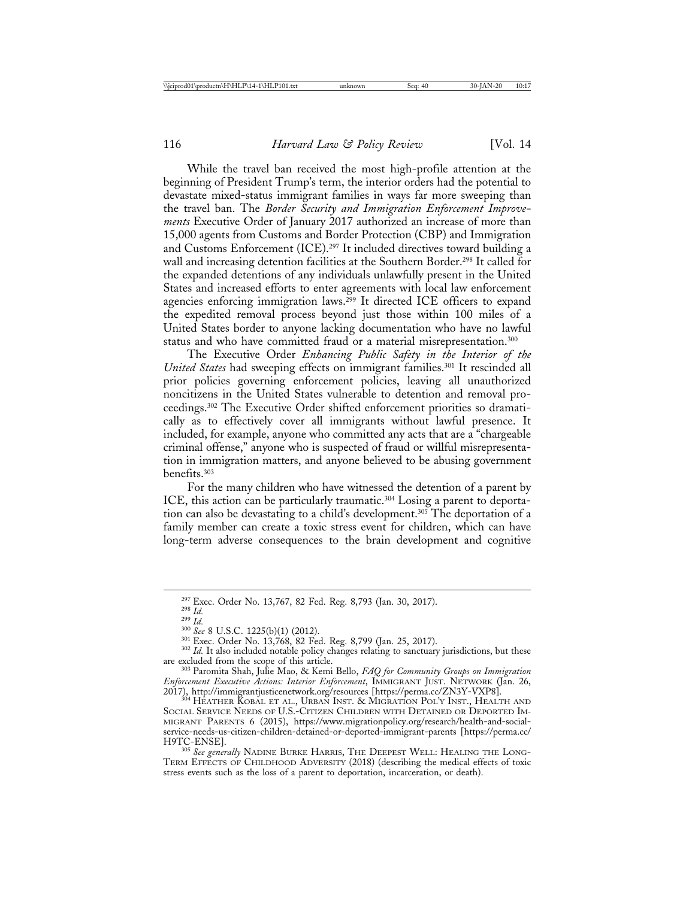While the travel ban received the most high-profile attention at the beginning of President Trump's term, the interior orders had the potential to devastate mixed-status immigrant families in ways far more sweeping than the travel ban. The *Border Security and Immigration Enforcement Improvements* Executive Order of January 2017 authorized an increase of more than 15,000 agents from Customs and Border Protection (CBP) and Immigration and Customs Enforcement (ICE).297 It included directives toward building a wall and increasing detention facilities at the Southern Border.298 It called for the expanded detentions of any individuals unlawfully present in the United States and increased efforts to enter agreements with local law enforcement agencies enforcing immigration laws.<sup>299</sup> It directed ICE officers to expand the expedited removal process beyond just those within 100 miles of a United States border to anyone lacking documentation who have no lawful status and who have committed fraud or a material misrepresentation.<sup>300</sup>

The Executive Order *Enhancing Public Safety in the Interior of the United States* had sweeping effects on immigrant families.<sup>301</sup> It rescinded all prior policies governing enforcement policies, leaving all unauthorized noncitizens in the United States vulnerable to detention and removal proceedings.302 The Executive Order shifted enforcement priorities so dramatically as to effectively cover all immigrants without lawful presence. It included, for example, anyone who committed any acts that are a "chargeable criminal offense," anyone who is suspected of fraud or willful misrepresentation in immigration matters, and anyone believed to be abusing government benefits.303

For the many children who have witnessed the detention of a parent by ICE, this action can be particularly traumatic.304 Losing a parent to deportation can also be devastating to a child's development.305 The deportation of a family member can create a toxic stress event for children, which can have long-term adverse consequences to the brain development and cognitive

<sup>&</sup>lt;sup>297</sup> Exec. Order No. 13,767, 82 Fed. Reg. 8,793 (Jan. 30, 2017).<br><sup>298</sup> *Id.*<br><sup>309</sup> *Id.*<br><sup>309</sup> *Id.*<br><sup>300</sup> *See* 8 U.S.C. 1225(b)(1) (2012).<br><sup>301</sup> Exec. Order No. 13,768, 82 Fed. Reg. 8,799 (Jan. 25, 2017).<br><sup>302</sup> *Id.* I

<sup>&</sup>lt;sup>303</sup> Paromita Shah, Julie Mao, & Kemi Bello, *FAQ for Community Groups on Immigration Enforcement Executive Actions: Interior Enforcement*, IMMIGRANT JUST. NETWORK (Jan. 26, 2017), http://immigrantjusticenetwork.org/resources [https://perma.cc/ZN3Y-VXP8]. <sup>304</sup> HEATHER KOBAL ET AL., URBAN INST. & MIGRATION POL'Y INST., HEALTH AND

SOCIAL SERVICE NEEDS OF U.S.-CITIZEN CHILDREN WITH DETAINED OR DEPORTED IM-MIGRANT PARENTS 6 (2015), https://www.migrationpolicy.org/research/health-and-socialservice-needs-us-citizen-children-detained-or-deported-immigrant-parents [https://perma.cc/

<sup>&</sup>lt;sup>305</sup> See generally NADINE BURKE HARRIS, THE DEEPEST WELL: HEALING THE LONG-TERM EFFECTS OF CHILDHOOD ADVERSITY (2018) (describing the medical effects of toxic stress events such as the loss of a parent to deportation, incarceration, or death).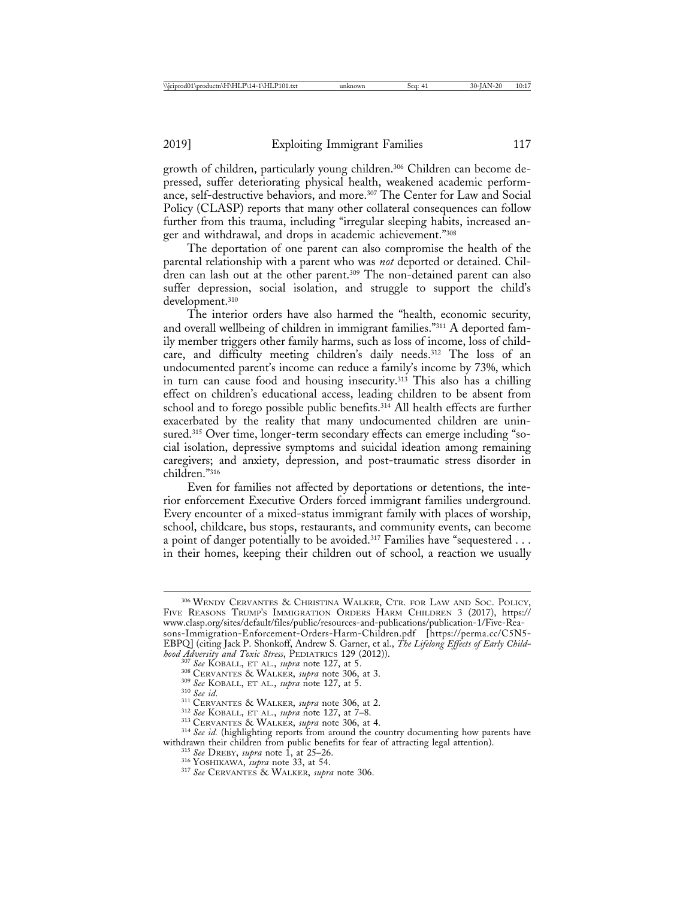growth of children, particularly young children.306 Children can become depressed, suffer deteriorating physical health, weakened academic performance, self-destructive behaviors, and more.307 The Center for Law and Social Policy (CLASP) reports that many other collateral consequences can follow further from this trauma, including "irregular sleeping habits, increased anger and withdrawal, and drops in academic achievement."308

The deportation of one parent can also compromise the health of the parental relationship with a parent who was *not* deported or detained. Children can lash out at the other parent.<sup>309</sup> The non-detained parent can also suffer depression, social isolation, and struggle to support the child's development.310

The interior orders have also harmed the "health, economic security, and overall wellbeing of children in immigrant families."311 A deported family member triggers other family harms, such as loss of income, loss of childcare, and difficulty meeting children's daily needs.312 The loss of an undocumented parent's income can reduce a family's income by 73%, which in turn can cause food and housing insecurity.<sup>313</sup> This also has a chilling effect on children's educational access, leading children to be absent from school and to forego possible public benefits. $314$  All health effects are further exacerbated by the reality that many undocumented children are uninsured.315 Over time, longer-term secondary effects can emerge including "social isolation, depressive symptoms and suicidal ideation among remaining caregivers; and anxiety, depression, and post-traumatic stress disorder in children."316

Even for families not affected by deportations or detentions, the interior enforcement Executive Orders forced immigrant families underground. Every encounter of a mixed-status immigrant family with places of worship, school, childcare, bus stops, restaurants, and community events, can become a point of danger potentially to be avoided.<sup>317</sup> Families have "sequestered . . . in their homes, keeping their children out of school, a reaction we usually

<sup>307</sup> See KOBALL, ET AL., *supra* note 127, at 5.<br><sup>308</sup> CERVANTES & WALKER, *supra* note 306, at 3.<br><sup>309</sup> See KOBALL, ET AL., *supra* note 127, at 5.<br><sup>310</sup> See id.<br><sup>311</sup> CERVANTES & WALKER, *supra* note 306, at 2.<br><sup>312</sup> S withdrawn their children from public benefits for fear of attracting legal attention).<br><sup>315</sup> See DREBY, *supra* note 1, at 25–26.<br><sup>316</sup> YOSHIKAWA, *supra* note 33, at 54.<br><sup>317</sup> See CERVANTES & WALKER, *supra* note 306.

<sup>306</sup> WENDY CERVANTES & CHRISTINA WALKER, CTR. FOR LAW AND SOC. POLICY, FIVE REASONS TRUMP'S IMMIGRATION ORDERS HARM CHILDREN 3 (2017), https:// www.clasp.org/sites/default/files/public/resources-and-publications/publication-1/Five-Reasons-Immigration-Enforcement-Orders-Harm-Children.pdf [https://perma.cc/C5N5- EBPQ] (citing Jack P. Shonkoff, Andrew S. Garner, et al., *The Lifelong Effects of Early Child-hood Adversity and Toxic Stress*, PEDIATRICS 129 (2012)).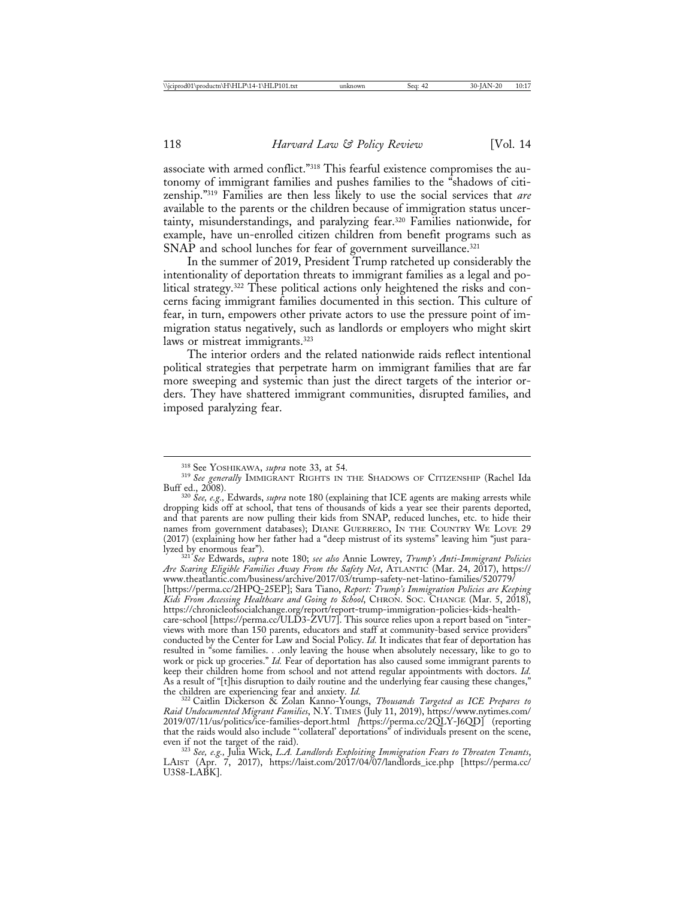associate with armed conflict."318 This fearful existence compromises the autonomy of immigrant families and pushes families to the "shadows of citizenship."319 Families are then less likely to use the social services that *are* available to the parents or the children because of immigration status uncertainty, misunderstandings, and paralyzing fear.320 Families nationwide, for example, have un-enrolled citizen children from benefit programs such as SNAP and school lunches for fear of government surveillance.<sup>321</sup>

In the summer of 2019, President Trump ratcheted up considerably the intentionality of deportation threats to immigrant families as a legal and political strategy.322 These political actions only heightened the risks and concerns facing immigrant families documented in this section. This culture of fear, in turn, empowers other private actors to use the pressure point of immigration status negatively, such as landlords or employers who might skirt laws or mistreat immigrants.<sup>323</sup>

The interior orders and the related nationwide raids reflect intentional political strategies that perpetrate harm on immigrant families that are far more sweeping and systemic than just the direct targets of the interior orders. They have shattered immigrant communities, disrupted families, and imposed paralyzing fear.

lyzed by enormous fear"). <sup>321</sup> *See* Edwards, *supra* note 180; *see also* Annie Lowrey, *Trump's Anti-Immigrant Policies Are Scaring Eligible Families Away From the Safety Net*, ATLANTIC (Mar. 24, 2017), https:// www.theatlantic.com/business/archive/2017/03/trump-safety-net-latino-families/520779/ [https://perma.cc/2HPQ-25EP]; Sara Tiano, *Report: Trump's Immigration Policies are Keeping Kids From Accessing Healthcare and Going to School*, CHRON. SOC. CHANGE (Mar. 5, 2018), https://chronicleofsocialchange.org/report/report-trump-immigration-policies-kids-healthcare-school [https://perma.cc/ULD3-ZVU7]. This source relies upon a report based on "interviews with more than 150 parents, educators and staff at community-based service providers" conducted by the Center for Law and Social Policy. *Id.* It indicates that fear of deportation has resulted in "some families. . .only leaving the house when absolutely necessary, like to go to work or pick up groceries." *Id.* Fear of deportation has also caused some immigrant parents to keep their children home from school and not attend regular appointments with doctors. *Id.* As a result of " $[t]$ his disruption to daily routine and the underlying fear causing these changes," the children are experiencing fear and anxiety.  $Id$ .

<sup>322</sup> Caitlin Dickerson & Zolan Kanno-Youngs, *Thousands Targeted as ICE Prepares to Raid Undocumented Migrant Families*, N.Y. TIMES (July 11, 2019), https://www.nytimes.com/ 2019/07/11/us/politics/ice-families-deport.html *[*https://perma.cc/2QLY-J6QD] (reporting that the raids would also include "'collateral' deportations" of individuals present on the scene,

<sup>323</sup> See, e.g., Julia Wick, *L.A. Landlords Exploiting Immigration Fears to Threaten Tenants*, LAIST (Apr. 7, 2017), https://laist.com/2017/04/07/landlords\_ice.php [https://perma.cc/ U3S8-LABK].

<sup>&</sup>lt;sup>318</sup> See Yoshikawa, *supra* note 33, at 54.<br><sup>319</sup> See generally Immigrant Rights in the Shadows of Citizenship (Rachel Ida Buff ed., 2008). <sup>320</sup> *See, e.g.,* Edwards, *supra* note 180 (explaining that ICE agents are making arrests while

dropping kids off at school, that tens of thousands of kids a year see their parents deported, and that parents are now pulling their kids from SNAP, reduced lunches, etc. to hide their names from government databases); DIANE GUERRERO, IN THE COUNTRY WE LOVE 29 (2017) (explaining how her father had a "deep mistrust of its systems" leaving him "just para-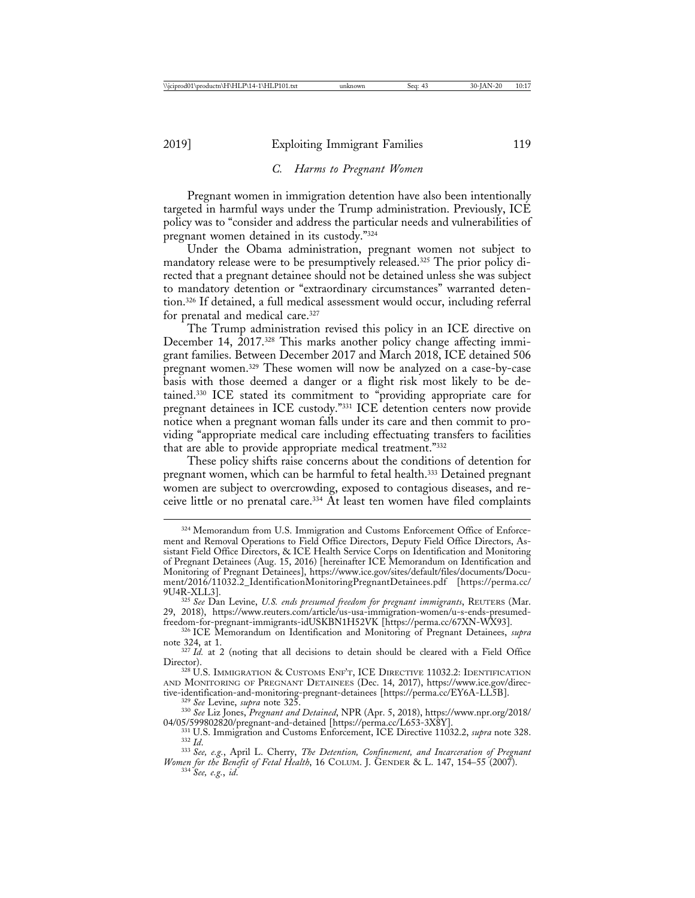#### *C. Harms to Pregnant Women*

Pregnant women in immigration detention have also been intentionally targeted in harmful ways under the Trump administration. Previously, ICE policy was to "consider and address the particular needs and vulnerabilities of pregnant women detained in its custody."324

Under the Obama administration, pregnant women not subject to mandatory release were to be presumptively released.325 The prior policy directed that a pregnant detainee should not be detained unless she was subject to mandatory detention or "extraordinary circumstances" warranted detention.326 If detained, a full medical assessment would occur, including referral for prenatal and medical care.327

The Trump administration revised this policy in an ICE directive on December 14, 2017.328 This marks another policy change affecting immigrant families. Between December 2017 and March 2018, ICE detained 506 pregnant women.329 These women will now be analyzed on a case-by-case basis with those deemed a danger or a flight risk most likely to be detained.330 ICE stated its commitment to "providing appropriate care for pregnant detainees in ICE custody."331 ICE detention centers now provide notice when a pregnant woman falls under its care and then commit to providing "appropriate medical care including effectuating transfers to facilities that are able to provide appropriate medical treatment."332

These policy shifts raise concerns about the conditions of detention for pregnant women, which can be harmful to fetal health.<sup>333</sup> Detained pregnant women are subject to overcrowding, exposed to contagious diseases, and receive little or no prenatal care.334 At least ten women have filed complaints

<sup>324</sup> Memorandum from U.S. Immigration and Customs Enforcement Office of Enforcement and Removal Operations to Field Office Directors, Deputy Field Office Directors, Assistant Field Office Directors, & ICE Health Service Corps on Identification and Monitoring of Pregnant Detainees (Aug. 15, 2016) [hereinafter ICE Memorandum on Identification and Monitoring of Pregnant Detainees], https://www.ice.gov/sites/default/files/documents/Document/2016/11032.2\_IdentificationMonitoringPregnantDetainees.pdf [https://perma.cc/

<sup>&</sup>lt;sup>325</sup> See Dan Levine, *U.S. ends presumed freedom for pregnant immigrants*, REUTERS (Mar. 29, 2018), https://www.reuters.com/article/us-usa-immigration-women/u-s-ends-presumed-

<sup>&</sup>lt;sup>326</sup> ICE Memorandum on Identification and Monitoring of Pregnant Detainees, *supra* note 324, at 1.

<sup>&</sup>lt;sup>327</sup> *Id.* at 2 (noting that all decisions to detain should be cleared with a Field Office Director). <sup>328</sup> U.S. IMMIGRATION & CUSTOMS ENF'T, ICE DIRECTIVE 11032.2: IDENTIFICATION

AND MONITORING OF PREGNANT DETAINEES (Dec. 14, 2017), https://www.ice.gov/directive-identification-and-monitoring-pregnant-detainees [https://perma.cc/EY6A-LL5B].

<sup>&</sup>lt;sup>329</sup> See Levine, *supra* note 325.<br><sup>330</sup> See Liz Jones, *Pregnant and Detained*, NPR (Apr. 5, 2018), https://www.npr.org/2018/

<sup>04/05/599802820/</sup>pregnant-and-detained [https://perma.cc/L653-3X8Y].<br>
<sup>331</sup> U.S. Immigration and Customs Enforcement, ICE Directive 11032.2, *supra* note 328.<br>
<sup>332</sup> Id.<br>
<sup>333</sup> See, e.g., April L. Cherry, *The Detention, C* 

*Women for the Benefit of Fetal Health*, 16 COLUM. J. GENDER & L. 147, 154–55 (2007). <sup>334</sup> *See, e.g.*, *id*.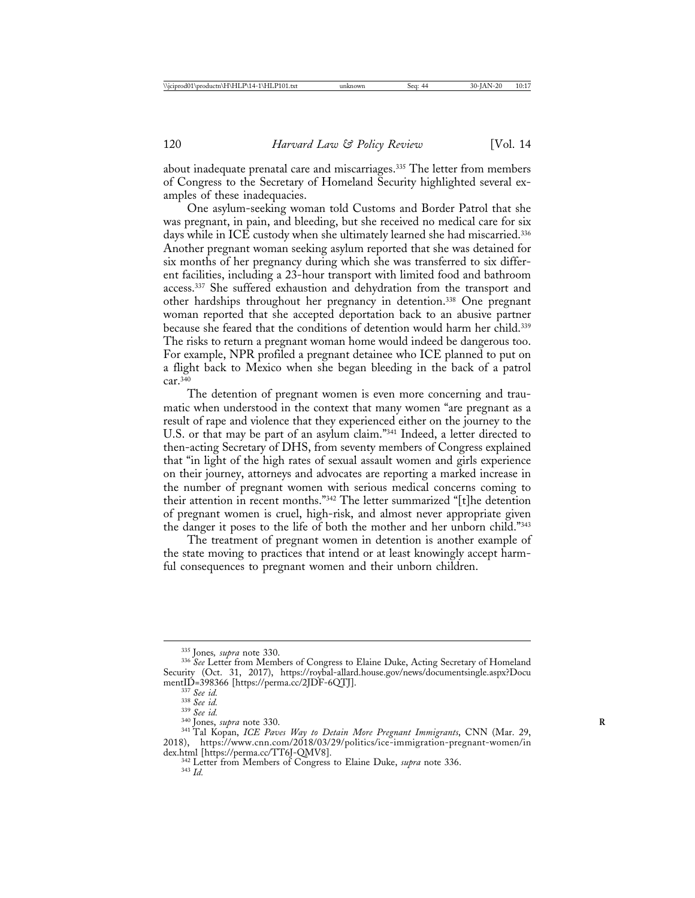about inadequate prenatal care and miscarriages.335 The letter from members of Congress to the Secretary of Homeland Security highlighted several examples of these inadequacies.

One asylum-seeking woman told Customs and Border Patrol that she was pregnant, in pain, and bleeding, but she received no medical care for six days while in ICE custody when she ultimately learned she had miscarried.<sup>336</sup> Another pregnant woman seeking asylum reported that she was detained for six months of her pregnancy during which she was transferred to six different facilities, including a 23-hour transport with limited food and bathroom access.<sup>337</sup> She suffered exhaustion and dehydration from the transport and other hardships throughout her pregnancy in detention.338 One pregnant woman reported that she accepted deportation back to an abusive partner because she feared that the conditions of detention would harm her child.<sup>339</sup> The risks to return a pregnant woman home would indeed be dangerous too. For example, NPR profiled a pregnant detainee who ICE planned to put on a flight back to Mexico when she began bleeding in the back of a patrol  $car<sup>340</sup>$ 

The detention of pregnant women is even more concerning and traumatic when understood in the context that many women "are pregnant as a result of rape and violence that they experienced either on the journey to the U.S. or that may be part of an asylum claim."341 Indeed, a letter directed to then-acting Secretary of DHS, from seventy members of Congress explained that "in light of the high rates of sexual assault women and girls experience on their journey, attorneys and advocates are reporting a marked increase in the number of pregnant women with serious medical concerns coming to their attention in recent months."342 The letter summarized "[t]he detention of pregnant women is cruel, high-risk, and almost never appropriate given the danger it poses to the life of both the mother and her unborn child."343

The treatment of pregnant women in detention is another example of the state moving to practices that intend or at least knowingly accept harmful consequences to pregnant women and their unborn children.

<sup>&</sup>lt;sup>335</sup> Jones, *supra* note 330.<br><sup>336</sup> See Letter from Members of Congress to Elaine Duke, Acting Secretary of Homeland Security (Oct. 31, 2017), https://roybal-allard.house.gov/news/documentsingle.aspx?Docu

<sup>&</sup>lt;sup>337</sup> See id.<br><sup>338</sup> See id.<br><sup>339</sup> See id.<br><sup>340</sup> Jones, *supra* note 330.<br><sup>341</sup> Tal Kopan, *ICE Paves Way to Detain More Pregnant Immigrants*, CNN (Mar. 29, 2018), https://www.cnn.com/2018/03/29/politics/ice-immigration-pregnant-women/in

dex.html [https://perma.cc/TT6J-QMV8].<br><sup>342</sup> Letter from Members of Congress to Elaine Duke, *supra* note 336.<br><sup>343</sup> *Id*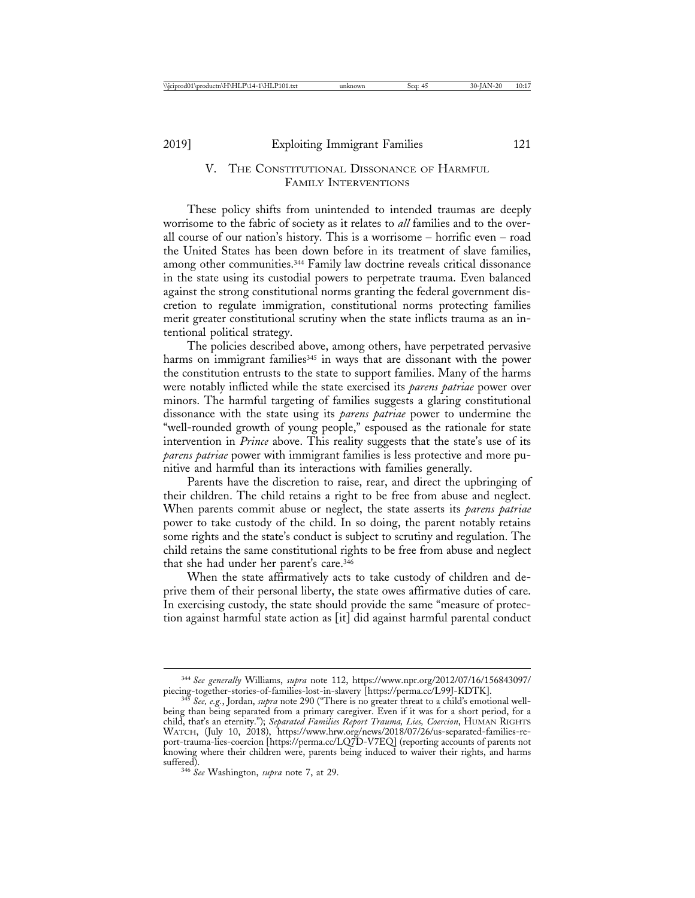## V. THE CONSTITUTIONAL DISSONANCE OF HARMFUL. FAMILY INTERVENTIONS

These policy shifts from unintended to intended traumas are deeply worrisome to the fabric of society as it relates to *all* families and to the overall course of our nation's history. This is a worrisome – horrific even – road the United States has been down before in its treatment of slave families, among other communities.<sup>344</sup> Family law doctrine reveals critical dissonance in the state using its custodial powers to perpetrate trauma. Even balanced against the strong constitutional norms granting the federal government discretion to regulate immigration, constitutional norms protecting families merit greater constitutional scrutiny when the state inflicts trauma as an intentional political strategy.

The policies described above, among others, have perpetrated pervasive harms on immigrant families<sup>345</sup> in ways that are dissonant with the power the constitution entrusts to the state to support families. Many of the harms were notably inflicted while the state exercised its *parens patriae* power over minors. The harmful targeting of families suggests a glaring constitutional dissonance with the state using its *parens patriae* power to undermine the "well-rounded growth of young people," espoused as the rationale for state intervention in *Prince* above. This reality suggests that the state's use of its *parens patriae* power with immigrant families is less protective and more punitive and harmful than its interactions with families generally.

Parents have the discretion to raise, rear, and direct the upbringing of their children. The child retains a right to be free from abuse and neglect. When parents commit abuse or neglect, the state asserts its *parens patriae* power to take custody of the child. In so doing, the parent notably retains some rights and the state's conduct is subject to scrutiny and regulation. The child retains the same constitutional rights to be free from abuse and neglect that she had under her parent's care.346

When the state affirmatively acts to take custody of children and deprive them of their personal liberty, the state owes affirmative duties of care. In exercising custody, the state should provide the same "measure of protection against harmful state action as [it] did against harmful parental conduct

<sup>344</sup> *See generally* Williams, *supra* note 112, https://www.npr.org/2012/07/16/156843097/ piecing-together-stories-of-families-lost-in-slavery [https://perma.cc/L99J-KDTK]. <sup>345</sup> *See, e.g.*, Jordan, *supra* note 290 ("There is no greater threat to a child's emotional well-

being than being separated from a primary caregiver. Even if it was for a short period, for a child, that's an eternity."); *Separated Families Report Trauma, Lies, Coercion*, HUMAN RIGHTS WATCH, (July 10, 2018), https://www.hrw.org/news/2018/07/26/us-separated-families-report-trauma-lies-coercion [https://perma.cc/LQ7D-V7EQ] (reporting accounts of parents not knowing where their children were, parents being induced to waiver their rights, and harms

<sup>&</sup>lt;sup>346</sup> See Washington, *supra* note 7, at 29.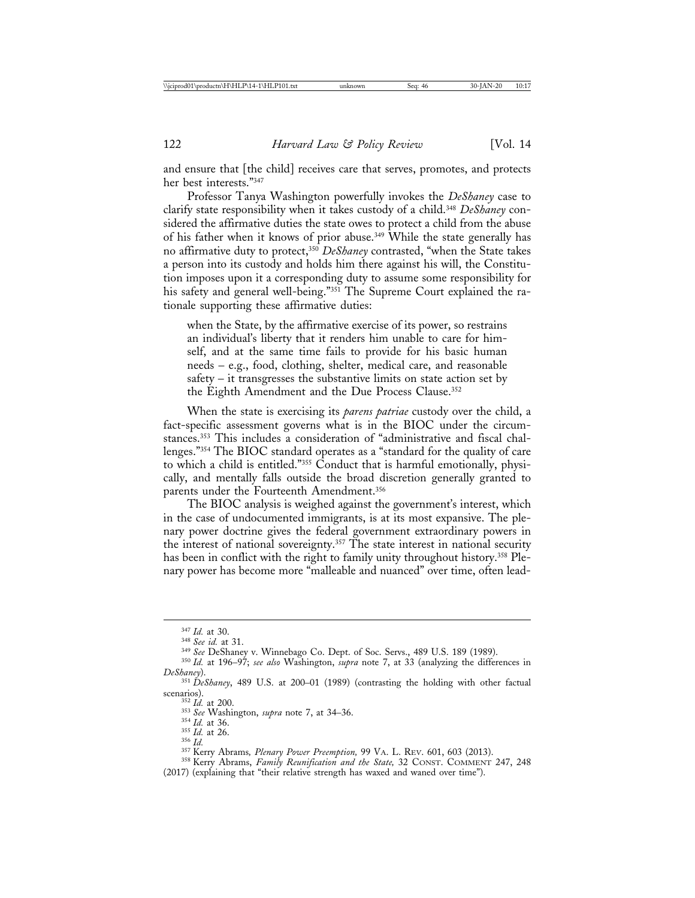and ensure that [the child] receives care that serves, promotes, and protects her best interests."347

Professor Tanya Washington powerfully invokes the *DeShaney* case to clarify state responsibility when it takes custody of a child.348 *DeShaney* considered the affirmative duties the state owes to protect a child from the abuse of his father when it knows of prior abuse.<sup>349</sup> While the state generally has no affirmative duty to protect,<sup>350</sup> *DeShaney* contrasted, "when the State takes a person into its custody and holds him there against his will, the Constitution imposes upon it a corresponding duty to assume some responsibility for his safety and general well-being."351 The Supreme Court explained the rationale supporting these affirmative duties:

when the State, by the affirmative exercise of its power, so restrains an individual's liberty that it renders him unable to care for himself, and at the same time fails to provide for his basic human needs – e.g., food, clothing, shelter, medical care, and reasonable safety – it transgresses the substantive limits on state action set by the Eighth Amendment and the Due Process Clause.352

When the state is exercising its *parens patriae* custody over the child, a fact-specific assessment governs what is in the BIOC under the circumstances.<sup>353</sup> This includes a consideration of "administrative and fiscal challenges."354 The BIOC standard operates as a "standard for the quality of care to which a child is entitled."355 Conduct that is harmful emotionally, physically, and mentally falls outside the broad discretion generally granted to parents under the Fourteenth Amendment.356

The BIOC analysis is weighed against the government's interest, which in the case of undocumented immigrants, is at its most expansive. The plenary power doctrine gives the federal government extraordinary powers in the interest of national sovereignty.357 The state interest in national security has been in conflict with the right to family unity throughout history.<sup>358</sup> Plenary power has become more "malleable and nuanced" over time, often lead-

<sup>&</sup>lt;sup>347</sup> Id. at 30.<br><sup>348</sup> See id. at 31.<br><sup>349</sup> See DeShaney v. Winnebago Co. Dept. of Soc. Servs., 489 U.S. 189 (1989).<br><sup>350</sup> Id. at 196–97; *see also* Washington, *supra* note 7, at 33 (analyzing the differences in<br>DeShaney

*DeShaney*). <sup>351</sup> *DeShaney*, 489 U.S. at 200–01 (1989) (contrasting the holding with other factual scenarios).<br>
<sup>352</sup> *Id.* at 200.<br>
<sup>353</sup> *Id.* at 36.<br>
<sup>354</sup> *Id.* at 36.<br>
<sup>354</sup> *Id.* at 36.<br>
<sup>355</sup> *Id.* at 26.<br>
<sup>357</sup> Kerry Abrams, *Plenary Power Preemption*, 99 VA. L. Rev. 601, 603 (2013).<br>
<sup>357</sup> Kerry Abrams, *Family* 

<sup>(2017) (</sup>explaining that "their relative strength has waxed and waned over time").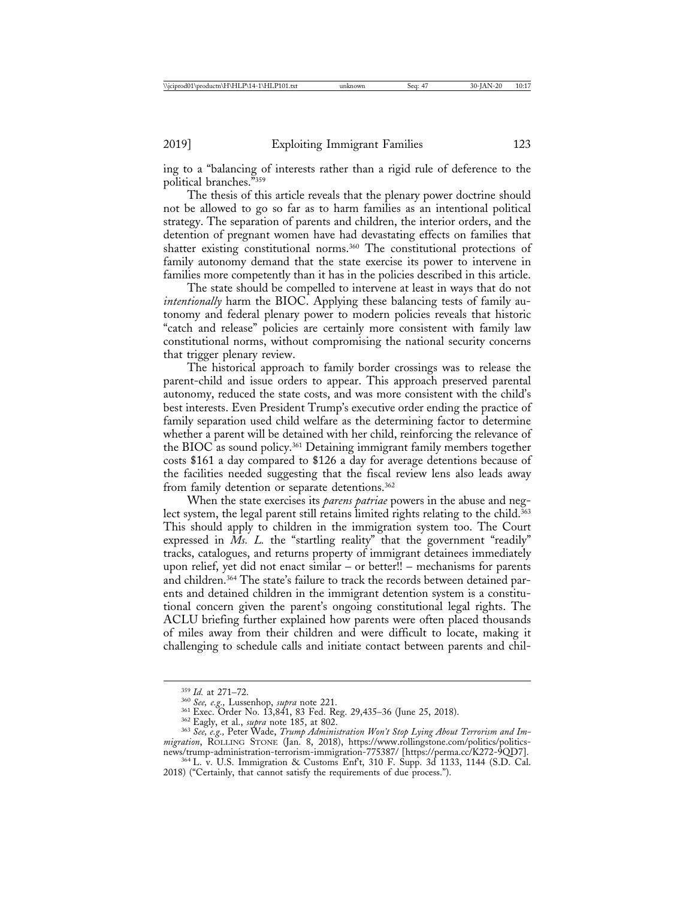ing to a "balancing of interests rather than a rigid rule of deference to the political branches."359

The thesis of this article reveals that the plenary power doctrine should not be allowed to go so far as to harm families as an intentional political strategy. The separation of parents and children, the interior orders, and the detention of pregnant women have had devastating effects on families that shatter existing constitutional norms.360 The constitutional protections of family autonomy demand that the state exercise its power to intervene in families more competently than it has in the policies described in this article.

The state should be compelled to intervene at least in ways that do not *intentionally* harm the BIOC. Applying these balancing tests of family autonomy and federal plenary power to modern policies reveals that historic "catch and release" policies are certainly more consistent with family law constitutional norms, without compromising the national security concerns that trigger plenary review.

The historical approach to family border crossings was to release the parent-child and issue orders to appear. This approach preserved parental autonomy, reduced the state costs, and was more consistent with the child's best interests. Even President Trump's executive order ending the practice of family separation used child welfare as the determining factor to determine whether a parent will be detained with her child, reinforcing the relevance of the BIOC as sound policy.361 Detaining immigrant family members together costs \$161 a day compared to \$126 a day for average detentions because of the facilities needed suggesting that the fiscal review lens also leads away from family detention or separate detentions.<sup>362</sup>

When the state exercises its *parens patriae* powers in the abuse and neglect system, the legal parent still retains limited rights relating to the child.<sup>363</sup> This should apply to children in the immigration system too. The Court expressed in *Ms. L.* the "startling reality" that the government "readily" tracks, catalogues, and returns property of immigrant detainees immediately upon relief, yet did not enact similar – or better!! – mechanisms for parents and children.364 The state's failure to track the records between detained parents and detained children in the immigrant detention system is a constitutional concern given the parent's ongoing constitutional legal rights. The ACLU briefing further explained how parents were often placed thousands of miles away from their children and were difficult to locate, making it challenging to schedule calls and initiate contact between parents and chil-

<sup>&</sup>lt;sup>359</sup> *Id.* at 271–72.<br><sup>360</sup> *See, e.g.*, Lussenhop, *supra* note 221.<br><sup>361</sup> Exec. Order No. 13,841, 83 Fed. Reg. 29,435–36 (June 25, 2018).<br><sup>362</sup> Eagly, et al., *supra* note 185, at 802.<br><sup>363</sup> *See, e.g.*, Peter Wade, *T* migration, ROLLING STONE (Jan. 8, 2018), https://www.rollingstone.com/politics/politics-<br>news/trump-administration-terrorism-immigration-775387/ [https://perma.cc/K272-9QD7].

 $1364$  L. v. U.S. Immigration & Customs Enf't, 310 F. Supp. 3d 1133, 1144 (S.D. Cal. 2018) ("Certainly, that cannot satisfy the requirements of due process.").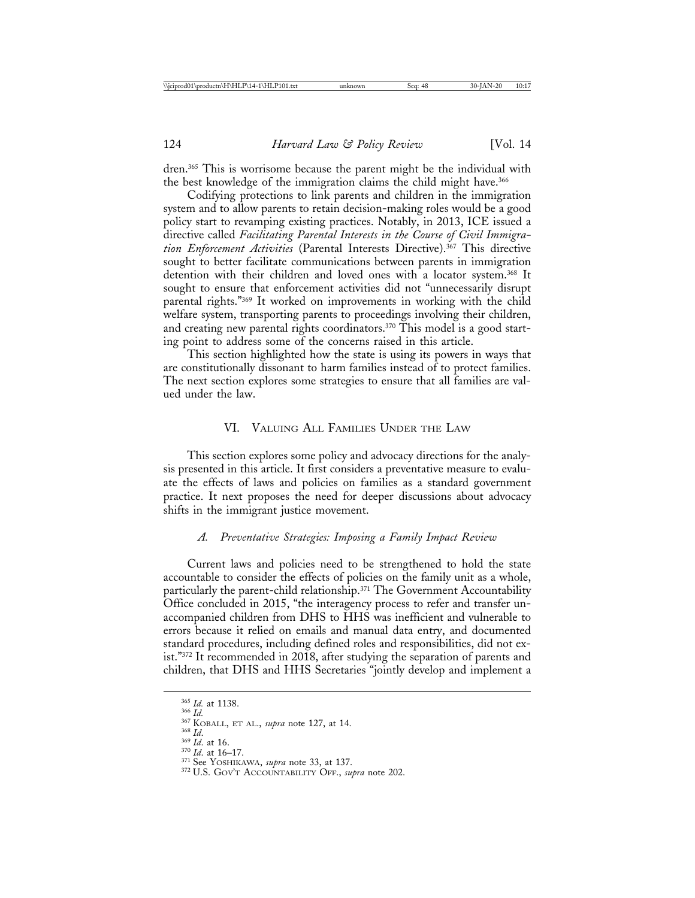dren.365 This is worrisome because the parent might be the individual with the best knowledge of the immigration claims the child might have.<sup>366</sup>

Codifying protections to link parents and children in the immigration system and to allow parents to retain decision-making roles would be a good policy start to revamping existing practices. Notably, in 2013, ICE issued a directive called *Facilitating Parental Interests in the Course of Civil Immigration Enforcement Activities* (Parental Interests Directive).367 This directive sought to better facilitate communications between parents in immigration detention with their children and loved ones with a locator system.368 It sought to ensure that enforcement activities did not "unnecessarily disrupt parental rights."369 It worked on improvements in working with the child welfare system, transporting parents to proceedings involving their children, and creating new parental rights coordinators.<sup>370</sup> This model is a good starting point to address some of the concerns raised in this article.

This section highlighted how the state is using its powers in ways that are constitutionally dissonant to harm families instead of to protect families. The next section explores some strategies to ensure that all families are valued under the law.

#### VI. VALUING ALL FAMILIES UNDER THE LAW

This section explores some policy and advocacy directions for the analysis presented in this article. It first considers a preventative measure to evaluate the effects of laws and policies on families as a standard government practice. It next proposes the need for deeper discussions about advocacy shifts in the immigrant justice movement.

#### *A. Preventative Strategies: Imposing a Family Impact Review*

Current laws and policies need to be strengthened to hold the state accountable to consider the effects of policies on the family unit as a whole, particularly the parent-child relationship.<sup>371</sup> The Government Accountability Office concluded in 2015, "the interagency process to refer and transfer unaccompanied children from DHS to HHS was inefficient and vulnerable to errors because it relied on emails and manual data entry, and documented standard procedures, including defined roles and responsibilities, did not exist."372 It recommended in 2018, after studying the separation of parents and children, that DHS and HHS Secretaries "jointly develop and implement a

<sup>&</sup>lt;sup>365</sup> *Id.* at 1138.<br>
<sup>366</sup> *Id.*<br>
<sup>366</sup> *Id.*<br>
<sup>368</sup> *Id.* at 16.<br>
<sup>369</sup> *Id.* at 16.<br>
<sup>370</sup> *Id.* at 16-17.<br>
<sup>371</sup> See YOSHIKAWA, *supra* note 33, at 137.<br>
<sup>372</sup> U.S. GOV'T ACCOUNTABILITY OFF., *supra* note 202.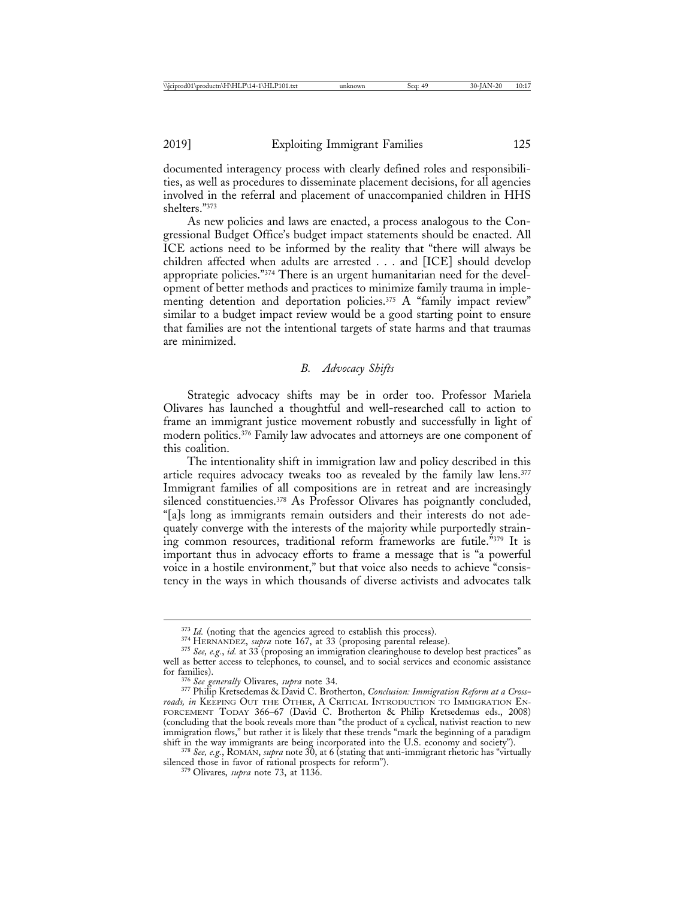documented interagency process with clearly defined roles and responsibilities, as well as procedures to disseminate placement decisions, for all agencies involved in the referral and placement of unaccompanied children in HHS shelters."373

As new policies and laws are enacted, a process analogous to the Congressional Budget Office's budget impact statements should be enacted. All ICE actions need to be informed by the reality that "there will always be children affected when adults are arrested . . . and [ICE] should develop appropriate policies."374 There is an urgent humanitarian need for the development of better methods and practices to minimize family trauma in implementing detention and deportation policies.<sup>375</sup> A "family impact review" similar to a budget impact review would be a good starting point to ensure that families are not the intentional targets of state harms and that traumas are minimized.

## *B. Advocacy Shifts*

Strategic advocacy shifts may be in order too. Professor Mariela Olivares has launched a thoughtful and well-researched call to action to frame an immigrant justice movement robustly and successfully in light of modern politics.376 Family law advocates and attorneys are one component of this coalition.

The intentionality shift in immigration law and policy described in this article requires advocacy tweaks too as revealed by the family law lens.377 Immigrant families of all compositions are in retreat and are increasingly silenced constituencies.<sup>378</sup> As Professor Olivares has poignantly concluded, "[a]s long as immigrants remain outsiders and their interests do not adequately converge with the interests of the majority while purportedly straining common resources, traditional reform frameworks are futile."379 It is important thus in advocacy efforts to frame a message that is "a powerful voice in a hostile environment," but that voice also needs to achieve "consistency in the ways in which thousands of diverse activists and advocates talk

<sup>&</sup>lt;sup>373</sup> *Id.* (noting that the agencies agreed to establish this process).<br><sup>374</sup> HERNANDEZ, *supra* note 167, at 33 (proposing parental release).<br><sup>375</sup> *See*, *e.g.*, *id.* at 33 (proposing an immigration clearinghouse to d well as better access to telephones, to counsel, and to social services and economic assistance for families). <sup>376</sup> *See generally* Olivares, *supra* note 34. <sup>377</sup> Philip Kretsedemas & David C. Brotherton, *Conclusion: Immigration Reform at a Cross-*

*roads, in* KEEPING OUT THE OTHER, A CRITICAL INTRODUCTION TO IMMIGRATION EN-FORCEMENT TODAY 366–67 (David C. Brotherton & Philip Kretsedemas eds., 2008) (concluding that the book reveals more than "the product of a cyclical, nativist reaction to new immigration flows," but rather it is likely that these trends "mark the beginning of a paradigm<br>shift in the way immigrants are being incorporated into the U.S. economy and society").

<sup>&</sup>lt;sup>378</sup> See, e.g., ROMAN, *supra* note 30, at 6 (stating that anti-immigrant rhetoric has "virtually silenced those in favor of rational prospects for reform"). <sup>379</sup> Olivares, *supra* note 73, at 1136.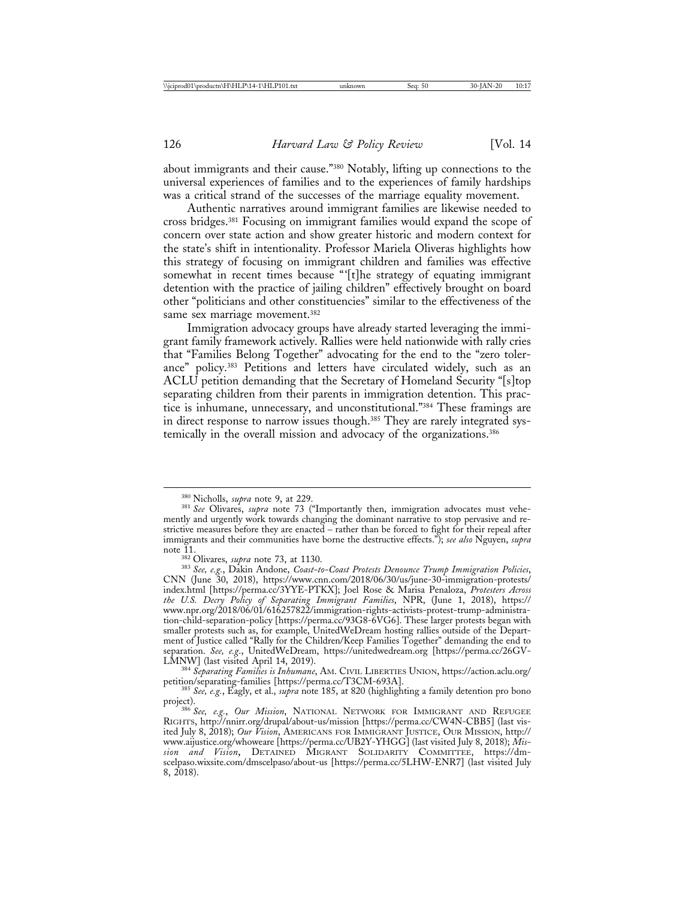about immigrants and their cause."380 Notably, lifting up connections to the universal experiences of families and to the experiences of family hardships was a critical strand of the successes of the marriage equality movement.

Authentic narratives around immigrant families are likewise needed to cross bridges.381 Focusing on immigrant families would expand the scope of concern over state action and show greater historic and modern context for the state's shift in intentionality. Professor Mariela Oliveras highlights how this strategy of focusing on immigrant children and families was effective somewhat in recent times because "'[t]he strategy of equating immigrant detention with the practice of jailing children" effectively brought on board other "politicians and other constituencies" similar to the effectiveness of the same sex marriage movement.<sup>382</sup>

Immigration advocacy groups have already started leveraging the immigrant family framework actively. Rallies were held nationwide with rally cries that "Families Belong Together" advocating for the end to the "zero tolerance" policy.383 Petitions and letters have circulated widely, such as an ACLU petition demanding that the Secretary of Homeland Security "[s]top separating children from their parents in immigration detention. This practice is inhumane, unnecessary, and unconstitutional."384 These framings are in direct response to narrow issues though.<sup>385</sup> They are rarely integrated systemically in the overall mission and advocacy of the organizations.<sup>386</sup>

<sup>&</sup>lt;sup>380</sup> Nicholls, *supra* note 9, at 229.<br><sup>381</sup> *See* Olivares, *supra* note 73 ("Importantly then, immigration advocates must vehemently and urgently work towards changing the dominant narrative to stop pervasive and restrictive measures before they are enacted – rather than be forced to fight for their repeal after immigrants and their communities have borne the destructive effects."); *see also* Nguyen, *supra*

note 11. <sup>382</sup> Olivares, *supra* note 73, at 1130. <sup>383</sup> *See, e.g.*, Dakin Andone, *Coast-to-Coast Protests Denounce Trump Immigration Policies*, CNN (June 30, 2018), https://www.cnn.com/2018/06/30/us/june-30-immigration-protests/ index.html [https://perma.cc/3YYE-PTKX]; Joel Rose & Marisa Penaloza, *Protesters Across the U.S. Decry Policy of Separating Immigrant Families*, NPR, (June 1, 2018), https:// www.npr.org/2018/06/01/616257822/immigration-rights-activists-protest-trump-administration-child-separation-policy [https://perma.cc/93G8-6VG6]. These larger protests began with smaller protests such as, for example, UnitedWeDream hosting rallies outside of the Department of Justice called "Rally for the Children/Keep Families Together" demanding the end to separation. *See, e.g.*, UnitedWeDream, https://unitedwedream.org [https://perma.cc/26GV-LMNW] (last visited April 14, 2019).

<sup>&</sup>lt;sup>384</sup> Separating Families is Inhumane, AM. CIVIL LIBERTIES UNION, https://action.aclu.org/ petition/separating-families [https://perma.cc/T3CM-693A]. <sup>385</sup> *See, e.g.*, Eagly, et al., *supra* note 185, at 820 (highlighting a family detention pro bono

project). <sup>386</sup> *See, e.g.*, *Our Mission*, NATIONAL NETWORK FOR IMMIGRANT AND REFUGEE

RIGHTS, http://nnirr.org/drupal/about-us/mission [https://perma.cc/CW4N-CBB5] (last visited July 8, 2018); *Our Vision*, AMERICANS FOR IMMIGRANT JUSTICE, OUR MISSION, http:// www.aijustice.org/whoweare [https://perma.cc/UB2Y-YHGG] (last visited July 8, 2018); *Mission and Vision*, DETAINED MIGRANT SOLIDARITY COMMITTEE, https://dmscelpaso.wixsite.com/dmscelpaso/about-us [https://perma.cc/5LHW-ENR7] (last visited July 8, 2018).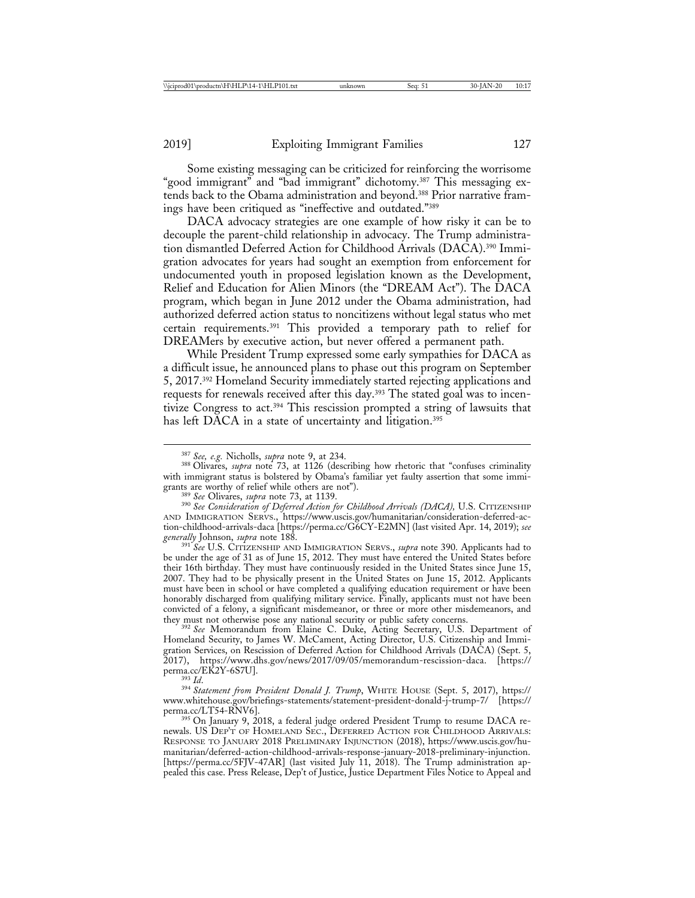Some existing messaging can be criticized for reinforcing the worrisome "good immigrant" and "bad immigrant" dichotomy.387 This messaging extends back to the Obama administration and beyond.388 Prior narrative framings have been critiqued as "ineffective and outdated."389

DACA advocacy strategies are one example of how risky it can be to decouple the parent-child relationship in advocacy. The Trump administration dismantled Deferred Action for Childhood Arrivals (DACA).390 Immigration advocates for years had sought an exemption from enforcement for undocumented youth in proposed legislation known as the Development, Relief and Education for Alien Minors (the "DREAM Act"). The DACA program, which began in June 2012 under the Obama administration, had authorized deferred action status to noncitizens without legal status who met certain requirements.391 This provided a temporary path to relief for DREAMers by executive action, but never offered a permanent path.

While President Trump expressed some early sympathies for DACA as a difficult issue, he announced plans to phase out this program on September 5, 2017.392 Homeland Security immediately started rejecting applications and requests for renewals received after this day.393 The stated goal was to incentivize Congress to act.394 This rescission prompted a string of lawsuits that has left DACA in a state of uncertainty and litigation.<sup>395</sup>

<sup>389</sup> See Olivares, *supra* note 73, at 1139.<br><sup>390</sup> See Consideration of Deferred Action for Childhood Arrivals (DACA), U.S. CITIZENSHIP AND IMMIGRATION SERVS., https://www.uscis.gov/humanitarian/consideration-deferred-action-childhood-arrivals-daca [https://perma.cc/G6CY-E2MN] (last visited Apr. 14, 2019); *see*

<sup>391</sup> See U.S. CITIZENSHIP AND IMMIGRATION SERVS., *supra* note 390. Applicants had to be under the age of 31 as of June 15, 2012. They must have entered the United States before their 16th birthday. They must have continuously resided in the United States since June 15, 2007. They had to be physically present in the United States on June 15, 2012. Applicants must have been in school or have completed a qualifying education requirement or have been honorably discharged from qualifying military service. Finally, applicants must not have been convicted of a felony, a significant misdemeanor, or three or more other misdemeanors, and they must not otherwise pose any national security or public safety concerns.

<sup>392</sup> See Memorandum from Elaine C. Duke, Acting Secretary, U.S. Department of Homeland Security, to James W. McCament, Acting Director, U.S. Citizenship and Immigration Services, on Rescission of Deferred Action for Childhood Arrivals (DACA) (Sept. 5, 2017), https://www.dhs.gov/news/2017/09/05/memorandum-rescission-daca. [https://

<sup>387</sup> *See, e.g.* Nicholls, *supra* note 9, at 234. <sup>388</sup> Olivares, *supra* note 73, at 1126 (describing how rhetoric that "confuses criminality with immigrant status is bolstered by Obama's familiar yet faulty assertion that some immigrants are worthy of relief while others are not").

perma.cc/EK2Y-6S7U]. <sup>393</sup> *Id*. <sup>394</sup> *Statement from President Donald J. Trump*, WHITE HOUSE (Sept. 5, 2017), https:// www.whitehouse.gov/briefings-statements/statement-president-donald-j-trump-7/ [https://

<sup>395</sup> On January 9, 2018, a federal judge ordered President Trump to resume DACA renewals. US DEP'T OF HOMELAND SEC., DEFERRED ACTION FOR CHILDHOOD ARRIVALS: RESPONSE TO JANUARY 2018 PRELIMINARY INJUNCTION (2018), https://www.uscis.gov/humanitarian/deferred-action-childhood-arrivals-response-january-2018-preliminary-injunction. [https://perma.cc/5FJV-47AR] (last visited July 11, 2018). The Trump administration appealed this case. Press Release, Dep't of Justice, Justice Department Files Notice to Appeal and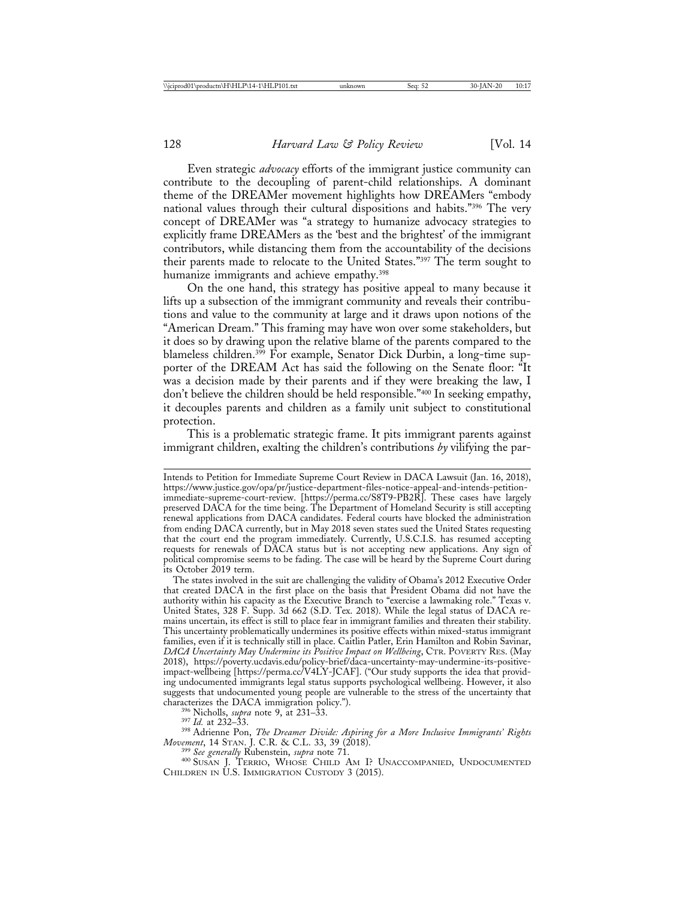Even strategic *advocacy* efforts of the immigrant justice community can contribute to the decoupling of parent-child relationships. A dominant theme of the DREAMer movement highlights how DREAMers "embody national values through their cultural dispositions and habits."396 The very concept of DREAMer was "a strategy to humanize advocacy strategies to explicitly frame DREAMers as the 'best and the brightest' of the immigrant contributors, while distancing them from the accountability of the decisions their parents made to relocate to the United States."397 The term sought to humanize immigrants and achieve empathy.<sup>398</sup>

On the one hand, this strategy has positive appeal to many because it lifts up a subsection of the immigrant community and reveals their contributions and value to the community at large and it draws upon notions of the "American Dream." This framing may have won over some stakeholders, but it does so by drawing upon the relative blame of the parents compared to the blameless children.<sup>399</sup> For example, Senator Dick Durbin, a long-time supporter of the DREAM Act has said the following on the Senate floor: "It was a decision made by their parents and if they were breaking the law, I don't believe the children should be held responsible."400 In seeking empathy, it decouples parents and children as a family unit subject to constitutional protection.

This is a problematic strategic frame. It pits immigrant parents against immigrant children, exalting the children's contributions *by* vilifying the par-

The states involved in the suit are challenging the validity of Obama's 2012 Executive Order that created DACA in the first place on the basis that President Obama did not have the authority within his capacity as the Executive Branch to "exercise a lawmaking role." Texas v. United States, 328 F. Supp. 3d 662 (S.D. Tex. 2018). While the legal status of DACA remains uncertain, its effect is still to place fear in immigrant families and threaten their stability. This uncertainty problematically undermines its positive effects within mixed-status immigrant families, even if it is technically still in place. Caitlin Patler, Erin Hamilton and Robin Savinar, *DACA Uncertainty May Undermine its Positive Impact on Wellbeing*, CTR. POVERTY RES. (May 2018), https://poverty.ucdavis.edu/policy-brief/daca-uncertainty-may-undermine-its-positiveimpact-wellbeing [https://perma.cc/V4LY-JCAF]. ("Our study supports the idea that providing undocumented immigrants legal status supports psychological wellbeing. However, it also suggests that undocumented young people are vulnerable to the stress of the uncertainty that characterizes the DACA immigration policy.").

<sup>396</sup> Nicholls, *supra* note 9, at 231–33. <br><sup>397</sup> *Id.* at 232–33.<br><sup>398</sup> Adrienne Pon, *The Dreamer Divide: Aspiring for a More Inclusive Immigrants' Rights Movement*, 14 STAN. J. C.R. & C.L. 33, 39 (2018). <sup>399</sup> *See generally Rubenstein, <i>supra* note 71.<br><sup>400</sup> SUSAN J. TERRIO, WHOSE CHILD AM I? UNACCOMPANIED, UNDOCUMENTED

CHILDREN IN U.S. IMMIGRATION CUSTODY 3 (2015).

Intends to Petition for Immediate Supreme Court Review in DACA Lawsuit (Jan. 16, 2018), https://www.justice.gov/opa/pr/justice-department-files-notice-appeal-and-intends-petitionimmediate-supreme-court-review. [https://perma.cc/S8T9-PB2R]. These cases have largely preserved DACA for the time being. The Department of Homeland Security is still accepting renewal applications from DACA candidates. Federal courts have blocked the administration from ending DACA currently, but in May 2018 seven states sued the United States requesting that the court end the program immediately. Currently, U.S.C.I.S. has resumed accepting requests for renewals of DACA status but is not accepting new applications. Any sign of political compromise seems to be fading. The case will be heard by the Supreme Court during its October 2019 term.